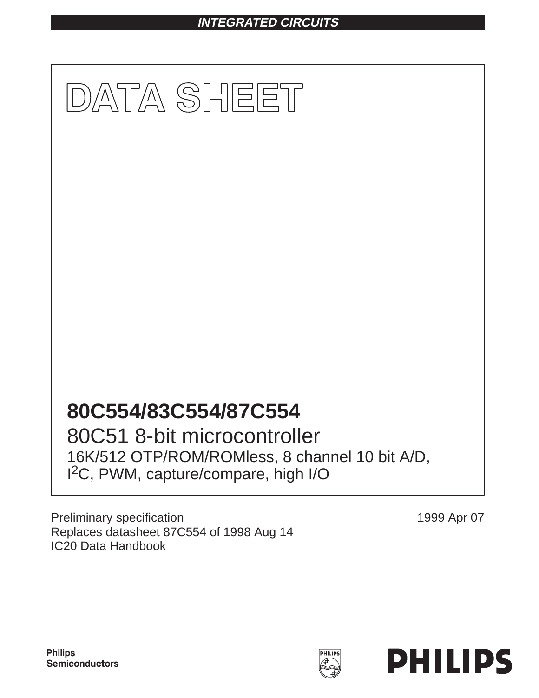# **INTEGRATED CIRCUITS**



I 2C, PWM, capture/compare, high I/O

Preliminary specification Replaces datasheet 87C554 of 1998 Aug 14 IC20 Data Handbook

1999 Apr 07



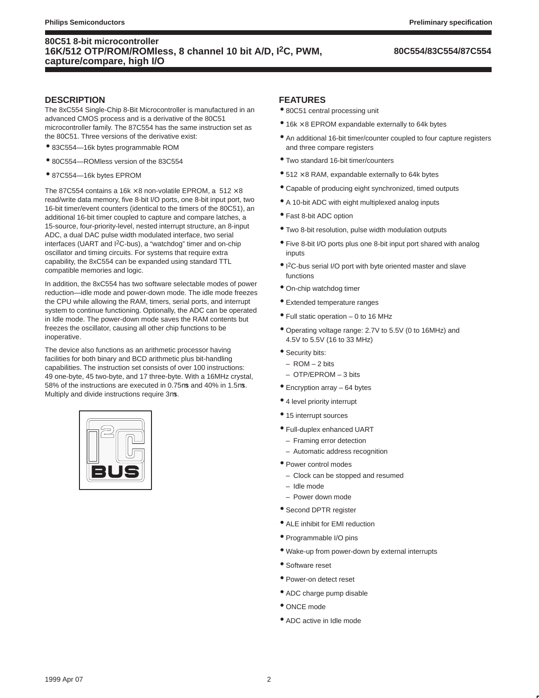### **80C554/83C554/87C554**

### **DESCRIPTION**

The 8xC554 Single-Chip 8-Bit Microcontroller is manufactured in an advanced CMOS process and is a derivative of the 80C51 microcontroller family. The 87C554 has the same instruction set as the 80C51. Three versions of the derivative exist:

- 83C554—16k bytes programmable ROM
- 80C554—ROMless version of the 83C554
- 87C554—16k bytes EPROM

The 87C554 contains a 16k  $\times$  8 non-volatile EPROM, a 512  $\times$  8 read/write data memory, five 8-bit I/O ports, one 8-bit input port, two 16-bit timer/event counters (identical to the timers of the 80C51), an additional 16-bit timer coupled to capture and compare latches, a 15-source, four-priority-level, nested interrupt structure, an 8-input ADC, a dual DAC pulse width modulated interface, two serial interfaces (UART and I2C-bus), a "watchdog" timer and on-chip oscillator and timing circuits. For systems that require extra capability, the 8xC554 can be expanded using standard TTL compatible memories and logic.

In addition, the 8xC554 has two software selectable modes of power reduction—idle mode and power-down mode. The idle mode freezes the CPU while allowing the RAM, timers, serial ports, and interrupt system to continue functioning. Optionally, the ADC can be operated in Idle mode. The power-down mode saves the RAM contents but freezes the oscillator, causing all other chip functions to be inoperative.

The device also functions as an arithmetic processor having facilities for both binary and BCD arithmetic plus bit-handling capabilities. The instruction set consists of over 100 instructions: 49 one-byte, 45 two-byte, and 17 three-byte. With a 16MHz crystal, 58% of the instructions are executed in 0.75µs and 40% in 1.5µs. Multiply and divide instructions require 3µs.



#### **FEATURES**

- 80C51 central processing unit
- $\bullet$  16k  $\times$  8 EPROM expandable externally to 64k bytes
- An additional 16-bit timer/counter coupled to four capture registers and three compare registers
- Two standard 16-bit timer/counters
- $\bullet$  512  $\times$  8 RAM, expandable externally to 64k bytes
- Capable of producing eight synchronized, timed outputs
- A 10-bit ADC with eight multiplexed analog inputs
- Fast 8-bit ADC option
- Two 8-bit resolution, pulse width modulation outputs
- Five 8-bit I/O ports plus one 8-bit input port shared with analog inputs
- I 2C-bus serial I/O port with byte oriented master and slave functions
- On-chip watchdog timer
- Extended temperature ranges
- Full static operation 0 to 16 MHz
- Operating voltage range: 2.7V to 5.5V (0 to 16MHz) and 4.5V to 5.5V (16 to 33 MHz)
- Security bits:
	- ROM 2 bits
	- OTP/EPROM 3 bits
- Encryption array 64 bytes
- 4 level priority interrupt
- 15 interrupt sources
- Full-duplex enhanced UART
- Framing error detection
- Automatic address recognition
- Power control modes
	- Clock can be stopped and resumed
	- Idle mode
	- Power down mode
- Second DPTR register
- ALE inhibit for EMI reduction
- Programmable I/O pins
- Wake-up from power-down by external interrupts
- Software reset
- Power-on detect reset
- ADC charge pump disable
- ONCE mode
- ADC active in Idle mode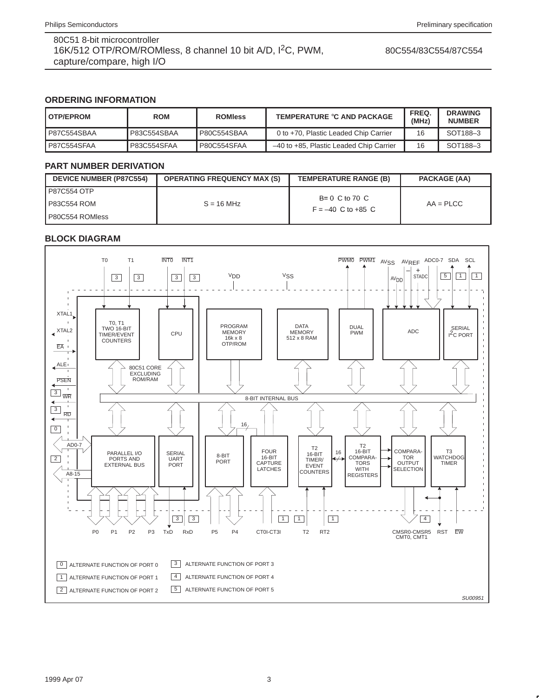80C554/83C554/87C554

### **ORDERING INFORMATION**

| <b>OTP/EPROM</b>   | <b>ROM</b>         | <b>ROMIess</b> | TEMPERATURE °C AND PACKAGE              | FREQ.<br>(MHz) | <b>DRAWING</b><br><b>NUMBER</b> |
|--------------------|--------------------|----------------|-----------------------------------------|----------------|---------------------------------|
| P87C554SBAA        | P83C554SBAA        | P80C554SBAA    | 0 to +70, Plastic Leaded Chip Carrier   | 16             | SOT <sub>188</sub> -3           |
| <b>P87C554SFAA</b> | <b>P83C554SFAA</b> | P80C554SFAA    | -40 to +85. Plastic Leaded Chip Carrier | 16             | SOT <sub>188</sub> -3           |

### **PART NUMBER DERIVATION**

| <b>DEVICE NUMBER (P87C554)</b> | <b>OPERATING FREQUENCY MAX (S)</b> | <b>TEMPERATURE RANGE (B)</b>            | <b>PACKAGE (AA)</b> |
|--------------------------------|------------------------------------|-----------------------------------------|---------------------|
| P87C554 OTP                    |                                    | $B=0^{\circ}C$ to 70 $^{\circ}C$        |                     |
| P83C554 ROM                    | $S = 16 MHz$                       | $F = -40^{\circ}$ C to +85 $^{\circ}$ C | $AA = P L C C$      |
| P80C554 ROMIess                |                                    |                                         |                     |

# **BLOCK DIAGRAM**



#### 1999 Apr 07 3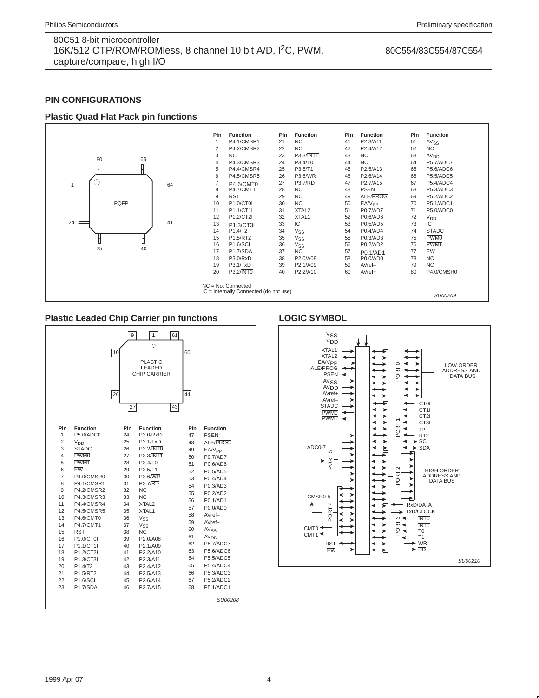#### 80C554/83C554/87C554

### **PIN CONFIGURATIONS**

### **Plastic Quad Flat Pack pin functions**



#### **Plastic Leaded Chip Carrier pin functions**

|                                                                                                                                                                                                                                                                                                                                                                                                                                                                                                                                                                             | 9<br>10<br>26<br>27                                                                                                                           | $\mathbf{1}$<br>$\circ$<br><b>PLASTIC</b><br>LEADED<br>CHIP CARRIER                                                                                                                                                                                                                                                                                                                               | 61<br>43 | 60<br>44                                                                                                                                |                                                                                                                                                                                                                                                                                                                                                                       |
|-----------------------------------------------------------------------------------------------------------------------------------------------------------------------------------------------------------------------------------------------------------------------------------------------------------------------------------------------------------------------------------------------------------------------------------------------------------------------------------------------------------------------------------------------------------------------------|-----------------------------------------------------------------------------------------------------------------------------------------------|---------------------------------------------------------------------------------------------------------------------------------------------------------------------------------------------------------------------------------------------------------------------------------------------------------------------------------------------------------------------------------------------------|----------|-----------------------------------------------------------------------------------------------------------------------------------------|-----------------------------------------------------------------------------------------------------------------------------------------------------------------------------------------------------------------------------------------------------------------------------------------------------------------------------------------------------------------------|
| Pin<br><b>Function</b><br>1<br>P5.0/ADC0<br>$\overline{2}$<br>V <sub>DD</sub><br>3<br><b>STADC</b><br>$\overline{4}$<br><b>PWM0</b><br>5<br>PWM <sub>1</sub><br>6<br>EW<br>7<br>P4.0/CMSR0<br>8<br><b>P4.1/CMSR1</b><br>9<br><b>P4.2/CMSR2</b><br>10<br>P4.3/CMSR3<br>11<br>P4.4/CMSR4<br>12<br><b>P4.5/CMSR5</b><br>13<br>P4.6/CMT0<br>14<br><b>P4.7/CMT1</b><br>15<br><b>RST</b><br>16<br>P <sub>1.0</sub> /CT <sub>0</sub><br>17<br>P1.1/CT1I<br>18<br>P1.2/CT2I<br>19<br>P1.3/CT3I<br>20<br>P1.4/T2<br>21<br>P1.5/RT2<br>22<br><b>P1.6/SCL</b><br>23<br><b>P1.7/SDA</b> | Pin<br>24<br>25<br>26<br>27<br>28<br>29<br>30<br>31<br>32<br>33<br>34<br>35<br>36<br>37<br>38<br>39<br>40<br>41<br>42<br>43<br>44<br>45<br>46 | <b>Function</b><br>P3.0/RxD<br>P3.1/TxD<br>P3.2/INT0<br>P3.3/INT1<br>P3.4/T0<br>P3.5/T1<br>P3.6/WR<br><b>P3.7/RD</b><br>NC.<br>N <sub>C</sub><br>XTAL <sub>2</sub><br>XTAL <sub>1</sub><br>$V_{SS}$<br>$V_{SS}$<br>NC.<br>P <sub>2.0</sub> /A <sub>08</sub><br>P <sub>2.1</sub> /A <sub>09</sub><br>P2.2/A10<br>P2.3/A11<br>P <sub>2.4</sub> /A <sub>12</sub><br>P2.5/A13<br>P2.6/A14<br>P2.7/A15 |          | Pin<br>47<br>48<br>49<br>50<br>51<br>52<br>53<br>54<br>55<br>56<br>57<br>58<br>59<br>60<br>61<br>62<br>63<br>64<br>65<br>66<br>67<br>68 | <b>Function</b><br><b>PSEN</b><br>ALE/PROG<br>EA/V <sub>PP</sub><br>P0.7/AD7<br>P0.6/AD6<br>P0.5/AD5<br>P0.4/AD4<br>P0.3/AD3<br>P0.2/AD2<br>P0.1/AD1<br>P0.0/AD0<br>AVref-<br>AVref+<br>AV <sub>SS</sub><br>AV <sub>DD</sub><br><b>P5.7/ADC7</b><br><b>P5.6/ADC6</b><br><b>P5.5/ADC5</b><br><b>P5.4/ADC4</b><br>P5.3/ADC3<br><b>P5.2/ADC2</b><br>P5.1/ADC1<br>SU00208 |

### **LOGIC SYMBOL**

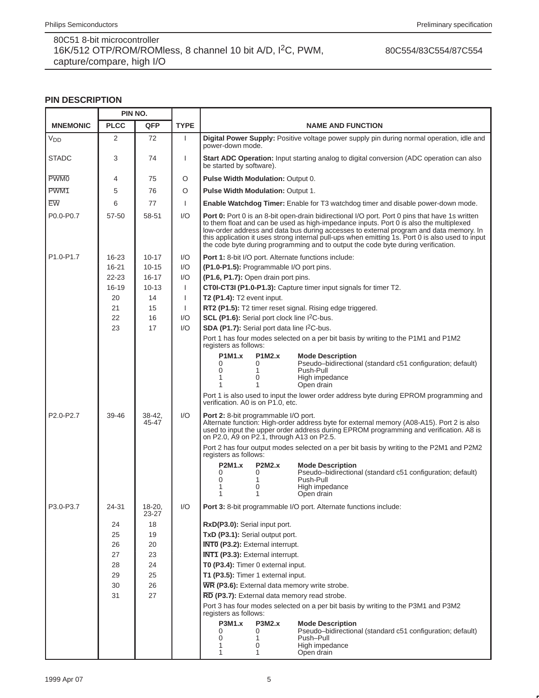80C554/83C554/87C554

# **PIN DESCRIPTION**

|                       | PIN NO.     |                 |              |                                                                                                                                                                                                                                                                                                                                                                                                                                                                                    |  |  |  |  |  |  |  |  |
|-----------------------|-------------|-----------------|--------------|------------------------------------------------------------------------------------------------------------------------------------------------------------------------------------------------------------------------------------------------------------------------------------------------------------------------------------------------------------------------------------------------------------------------------------------------------------------------------------|--|--|--|--|--|--|--|--|
| <b>MNEMONIC</b>       | <b>PLCC</b> | <b>QFP</b>      | <b>TYPE</b>  | <b>NAME AND FUNCTION</b>                                                                                                                                                                                                                                                                                                                                                                                                                                                           |  |  |  |  |  |  |  |  |
| <b>V<sub>DD</sub></b> | 2           | 72              | $\mathbf{I}$ | Digital Power Supply: Positive voltage power supply pin during normal operation, idle and<br>power-down mode.                                                                                                                                                                                                                                                                                                                                                                      |  |  |  |  |  |  |  |  |
| <b>STADC</b>          | 3           | 74              | ı            | Start ADC Operation: Input starting analog to digital conversion (ADC operation can also<br>be started by software).                                                                                                                                                                                                                                                                                                                                                               |  |  |  |  |  |  |  |  |
| <b>PWM0</b>           | 4           | 75              | O            | Pulse Width Modulation: Output 0.                                                                                                                                                                                                                                                                                                                                                                                                                                                  |  |  |  |  |  |  |  |  |
| PWM1                  | 5           | 76              | O            | <b>Pulse Width Modulation: Output 1.</b>                                                                                                                                                                                                                                                                                                                                                                                                                                           |  |  |  |  |  |  |  |  |
| EW                    | 6           | 77              | $\mathbf{I}$ | Enable Watchdog Timer: Enable for T3 watchdog timer and disable power-down mode.                                                                                                                                                                                                                                                                                                                                                                                                   |  |  |  |  |  |  |  |  |
| P0.0-P0.7             | 57-50       | 58-51           | 1/O          | <b>Port 0:</b> Port 0 is an 8-bit open-drain bidirectional I/O port. Port 0 pins that have 1s written<br>to them float and can be used as high-impedance inputs. Port 0 is also the multiplexed<br>low-order address and data bus during accesses to external program and data memory. In<br>this application it uses strong internal pull-ups when emitting 1s. Port 0 is also used to input<br>the code byte during programming and to output the code byte during verification. |  |  |  |  |  |  |  |  |
| P1.0-P1.7             | 16-23       | $10 - 17$       | I/O          | Port 1: 8-bit I/O port. Alternate functions include:                                                                                                                                                                                                                                                                                                                                                                                                                               |  |  |  |  |  |  |  |  |
|                       | $16 - 21$   | $10 - 15$       | 1/O          | (P1.0-P1.5): Programmable I/O port pins.                                                                                                                                                                                                                                                                                                                                                                                                                                           |  |  |  |  |  |  |  |  |
|                       | $22 - 23$   | $16 - 17$       | 1/O          | (P1.6, P1.7): Open drain port pins.                                                                                                                                                                                                                                                                                                                                                                                                                                                |  |  |  |  |  |  |  |  |
|                       | 16-19       | $10 - 13$       | $\mathbf{I}$ | CT0I-CT3I (P1.0-P1.3): Capture timer input signals for timer T2.                                                                                                                                                                                                                                                                                                                                                                                                                   |  |  |  |  |  |  |  |  |
|                       | 20          | 14              | $\mathbf{I}$ | <b>T2 (P1.4):</b> T2 event input.                                                                                                                                                                                                                                                                                                                                                                                                                                                  |  |  |  |  |  |  |  |  |
|                       | 21          | 15              | $\mathbf{I}$ | RT2 (P1.5): T2 timer reset signal. Rising edge triggered.                                                                                                                                                                                                                                                                                                                                                                                                                          |  |  |  |  |  |  |  |  |
|                       | 22<br>23    | 16<br>17        | 1/O<br>1/O   | <b>SCL (P1.6):</b> Serial port clock line $1^2C$ -bus.<br>SDA (P1.7): Serial port data line I <sup>2</sup> C-bus.                                                                                                                                                                                                                                                                                                                                                                  |  |  |  |  |  |  |  |  |
|                       |             |                 |              | Port 1 has four modes selected on a per bit basis by writing to the P1M1 and P1M2                                                                                                                                                                                                                                                                                                                                                                                                  |  |  |  |  |  |  |  |  |
|                       |             |                 |              | registers as follows:                                                                                                                                                                                                                                                                                                                                                                                                                                                              |  |  |  |  |  |  |  |  |
|                       |             |                 |              | <b>P1M1.x</b><br><b>P1M2.x</b><br><b>Mode Description</b><br>Pseudo-bidirectional (standard c51 configuration; default)<br>0<br>$\Omega$<br>$\Omega$<br>Push-Pull<br>1<br>High impedance<br>1<br>0<br>Open drain                                                                                                                                                                                                                                                                   |  |  |  |  |  |  |  |  |
|                       |             |                 |              | Port 1 is also used to input the lower order address byte during EPROM programming and<br>verification. A0 is on P1.0, etc.                                                                                                                                                                                                                                                                                                                                                        |  |  |  |  |  |  |  |  |
| P2.0-P2.7             | 39-46       | 38-42,<br>45-47 | 1/O          | Port 2: 8-bit programmable I/O port.<br>Alternate function: High-order address byte for external memory (A08-A15). Port 2 is also<br>used to input the upper order address during EPROM programming and verification. A8 is<br>on P2.0, A9 on P2.1, through A13 on P2.5.                                                                                                                                                                                                           |  |  |  |  |  |  |  |  |
|                       |             |                 |              | Port 2 has four output modes selected on a per bit basis by writing to the P2M1 and P2M2<br>registers as follows:                                                                                                                                                                                                                                                                                                                                                                  |  |  |  |  |  |  |  |  |
|                       |             |                 |              | <b>P2M1.x</b><br><b>P2M2.x</b><br><b>Mode Description</b><br>Pseudo-bidirectional (standard c51 configuration; default)<br>0<br>0<br>Push-Pull<br>0<br>1<br>High impedance<br>1<br>0<br>Open drain<br>1<br>1                                                                                                                                                                                                                                                                       |  |  |  |  |  |  |  |  |
| P3.0-P3.7             | 24-31       | 18-20,<br>23-27 | I/O          | Port 3: 8-bit programmable I/O port. Alternate functions include:                                                                                                                                                                                                                                                                                                                                                                                                                  |  |  |  |  |  |  |  |  |
|                       | 24          | 18              |              | RxD(P3.0): Serial input port.                                                                                                                                                                                                                                                                                                                                                                                                                                                      |  |  |  |  |  |  |  |  |
|                       | 25          | 19              |              | TxD (P3.1): Serial output port.                                                                                                                                                                                                                                                                                                                                                                                                                                                    |  |  |  |  |  |  |  |  |
|                       | 26          | 20              |              | <b>INTO (P3.2):</b> External interrupt.                                                                                                                                                                                                                                                                                                                                                                                                                                            |  |  |  |  |  |  |  |  |
|                       | 27          | 23              |              | INT1 (P3.3): External interrupt.                                                                                                                                                                                                                                                                                                                                                                                                                                                   |  |  |  |  |  |  |  |  |
|                       | 28          | 24              |              | T0 (P3.4): Timer 0 external input.                                                                                                                                                                                                                                                                                                                                                                                                                                                 |  |  |  |  |  |  |  |  |
|                       | 29          | 25              |              | T1 (P3.5): Timer 1 external input.                                                                                                                                                                                                                                                                                                                                                                                                                                                 |  |  |  |  |  |  |  |  |
|                       | 30<br>31    | 26<br>27        |              | WR (P3.6): External data memory write strobe.                                                                                                                                                                                                                                                                                                                                                                                                                                      |  |  |  |  |  |  |  |  |
|                       |             |                 |              | RD (P3.7): External data memory read strobe.<br>Port 3 has four modes selected on a per bit basis by writing to the P3M1 and P3M2                                                                                                                                                                                                                                                                                                                                                  |  |  |  |  |  |  |  |  |
|                       |             |                 |              | registers as follows:                                                                                                                                                                                                                                                                                                                                                                                                                                                              |  |  |  |  |  |  |  |  |
|                       |             |                 |              | <b>P3M1.x</b><br><b>P3M2.x</b><br><b>Mode Description</b><br>Pseudo-bidirectional (standard c51 configuration; default)<br>0<br>0<br>0<br>Push-Pull<br>1<br>High impedance<br>1<br>0<br>1<br>Open drain<br>1                                                                                                                                                                                                                                                                       |  |  |  |  |  |  |  |  |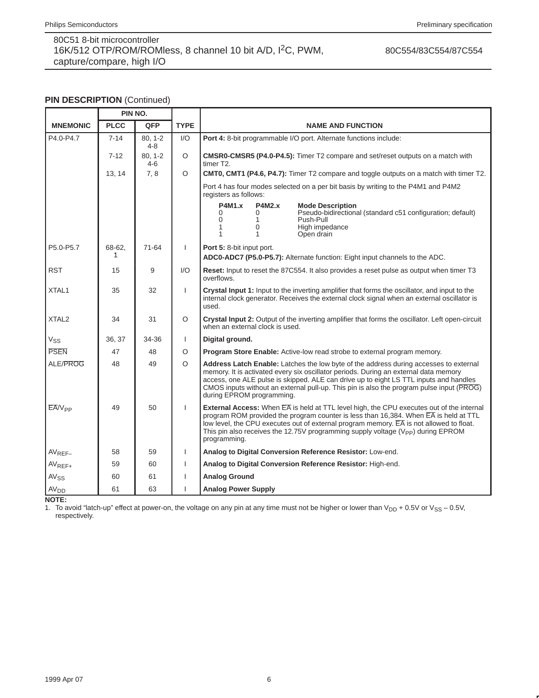80C554/83C554/87C554

### **PIN DESCRIPTION (Continued)**

|                    | PIN NO.     |                        |                |                                                                                                                                                                                                                                                                                                                                                                                                 |  |  |  |  |  |  |  |
|--------------------|-------------|------------------------|----------------|-------------------------------------------------------------------------------------------------------------------------------------------------------------------------------------------------------------------------------------------------------------------------------------------------------------------------------------------------------------------------------------------------|--|--|--|--|--|--|--|
| <b>MNEMONIC</b>    | <b>PLCC</b> | <b>QFP</b>             | <b>TYPE</b>    | <b>NAME AND FUNCTION</b>                                                                                                                                                                                                                                                                                                                                                                        |  |  |  |  |  |  |  |
| P4.0-P4.7          | $7 - 14$    | $80.1 - 2$<br>$4 - 8$  | 1/O            | Port 4: 8-bit programmable I/O port. Alternate functions include:                                                                                                                                                                                                                                                                                                                               |  |  |  |  |  |  |  |
|                    | $7 - 12$    | $80, 1 - 2$<br>$4 - 6$ | $\circ$        | CMSR0-CMSR5 (P4.0-P4.5): Timer T2 compare and set/reset outputs on a match with<br>timer T2.                                                                                                                                                                                                                                                                                                    |  |  |  |  |  |  |  |
|                    | 13, 14      | 7,8                    | $\circ$        | <b>CMT0, CMT1 (P4.6, P4.7):</b> Timer T2 compare and toggle outputs on a match with timer T2.                                                                                                                                                                                                                                                                                                   |  |  |  |  |  |  |  |
|                    |             |                        |                | Port 4 has four modes selected on a per bit basis by writing to the P4M1 and P4M2<br>registers as follows:                                                                                                                                                                                                                                                                                      |  |  |  |  |  |  |  |
|                    |             |                        |                | <b>P4M1.x</b><br><b>P4M2.x</b><br><b>Mode Description</b><br>Pseudo-bidirectional (standard c51 configuration; default)<br>$\Omega$<br>0<br>$\Omega$<br>Push-Pull<br>1<br>0<br>High impedance<br>1<br>Open drain<br>1<br>1                                                                                                                                                                      |  |  |  |  |  |  |  |
| P5.0-P5.7          | 68-62.<br>1 | 71-64                  | $\mathbf{I}$   | Port 5: 8-bit input port.<br>ADC0-ADC7 (P5.0-P5.7): Alternate function: Eight input channels to the ADC.                                                                                                                                                                                                                                                                                        |  |  |  |  |  |  |  |
| <b>RST</b>         | 15          | 9                      | 1/O            | Reset: Input to reset the 87C554. It also provides a reset pulse as output when timer T3<br>overflows.                                                                                                                                                                                                                                                                                          |  |  |  |  |  |  |  |
| XTAL <sub>1</sub>  | 35          | 32                     | $\mathbf{I}$   | <b>Crystal Input 1:</b> Input to the inverting amplifier that forms the oscillator, and input to the<br>internal clock generator. Receives the external clock signal when an external oscillator is<br>used.                                                                                                                                                                                    |  |  |  |  |  |  |  |
| XTAL <sub>2</sub>  | 34          | 31                     | $\circ$        | Crystal Input 2: Output of the inverting amplifier that forms the oscillator. Left open-circuit<br>when an external clock is used.                                                                                                                                                                                                                                                              |  |  |  |  |  |  |  |
| V <sub>SS</sub>    | 36, 37      | 34-36                  | $\mathbf{I}$   | Digital ground.                                                                                                                                                                                                                                                                                                                                                                                 |  |  |  |  |  |  |  |
| <b>PSEN</b>        | 47          | 48                     | O              | <b>Program Store Enable:</b> Active-low read strobe to external program memory.                                                                                                                                                                                                                                                                                                                 |  |  |  |  |  |  |  |
| ALE/PROG           | 48          | 49                     | $\circ$        | Address Latch Enable: Latches the low byte of the address during accesses to external<br>memory. It is activated every six oscillator periods. During an external data memory<br>access, one ALE pulse is skipped. ALE can drive up to eight LS TTL inputs and handles<br>CMOS inputs without an external pull-up. This pin is also the program pulse input (PROG)<br>during EPROM programming. |  |  |  |  |  |  |  |
| EA/V <sub>PP</sub> | 49          | 50                     | $\overline{1}$ | External Access: When EA is held at TTL level high, the CPU executes out of the internal<br>program ROM provided the program counter is less than 16,384. When EA is held at TTL<br>low level, the CPU executes out of external program memory. EA is not allowed to float.<br>This pin also receives the 12.75V programming supply voltage ( $V_{PP}$ ) during EPROM<br>programming.           |  |  |  |  |  |  |  |
| $AV_{REF-}$        | 58          | 59                     | $\mathsf{I}$   | Analog to Digital Conversion Reference Resistor: Low-end.                                                                                                                                                                                                                                                                                                                                       |  |  |  |  |  |  |  |
| AV <sub>REF+</sub> | 59          | 60                     | 1              | Analog to Digital Conversion Reference Resistor: High-end.                                                                                                                                                                                                                                                                                                                                      |  |  |  |  |  |  |  |
| AV <sub>SS</sub>   | 60          | 61                     | ı              | <b>Analog Ground</b>                                                                                                                                                                                                                                                                                                                                                                            |  |  |  |  |  |  |  |
| AV <sub>DD</sub>   | 61          | 63                     |                | <b>Analog Power Supply</b>                                                                                                                                                                                                                                                                                                                                                                      |  |  |  |  |  |  |  |

**NOTE:**

1. To avoid "latch-up" effect at power-on, the voltage on any pin at any time must not be higher or lower than  $V_{DD}$  + 0.5V or  $V_{SS}$  – 0.5V, respectively.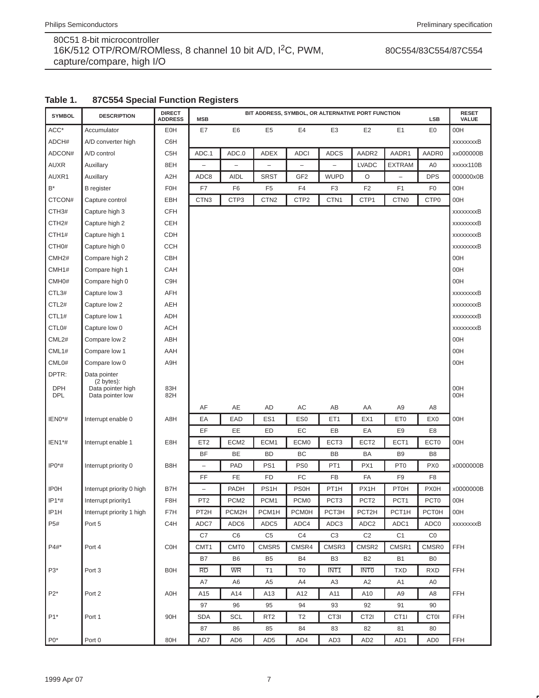### 80C554/83C554/87C554

# **Table 1. 87C554 Special Function Registers**

| <b>SYMBOL</b>      | <b>DESCRIPTION</b>              | <b>DIRECT</b><br><b>ADDRESS</b> | <b>MSB</b>               |                  |                  |                          | BIT ADDRESS, SYMBOL, OR ALTERNATIVE PORT FUNCTION |                    |                          | <b>LSB</b>            | <b>RESET</b><br>VALUE |
|--------------------|---------------------------------|---------------------------------|--------------------------|------------------|------------------|--------------------------|---------------------------------------------------|--------------------|--------------------------|-----------------------|-----------------------|
| ACC*               | Accumulator                     | EOH                             | E7                       | E <sub>6</sub>   | E <sub>5</sub>   | E4                       | E <sub>3</sub>                                    | E <sub>2</sub>     | E <sub>1</sub>           | E0                    | 00H                   |
| ADCH#              | A/D converter high              | C6H                             |                          |                  |                  |                          |                                                   |                    |                          |                       | xxxxxxxB              |
| ADCON#             | A/D control                     | C5H                             | ADC.1                    | ADC.0            | <b>ADEX</b>      | <b>ADCI</b>              | <b>ADCS</b>                                       | AADR2              | AADR1                    | AADR0                 | xx000000B             |
| <b>AUXR</b>        | Auxillary                       | 8EH                             |                          | -                |                  | $\overline{\phantom{0}}$ |                                                   | <b>LVADC</b>       | <b>EXTRAM</b>            | A <sub>0</sub>        | xxxxx110B             |
| AUXR1              | Auxillary                       | A <sub>2</sub> H                | ADC8                     | <b>AIDL</b>      | <b>SRST</b>      | GF <sub>2</sub>          | <b>WUPD</b>                                       | O                  | $\overline{\phantom{0}}$ | <b>DPS</b>            | 000000x0B             |
| B*                 | <b>B</b> register               | F <sub>0</sub> H                | F7                       | F <sub>6</sub>   | F <sub>5</sub>   | F4                       | F <sub>3</sub>                                    | F <sub>2</sub>     | F <sub>1</sub>           | F <sub>0</sub>        | 00H                   |
| CTCON#             | Capture control                 | EBH                             | CTN <sub>3</sub>         | CTP3             | CTN <sub>2</sub> | CTP2                     | CTN <sub>1</sub>                                  | CTP1               | CTN <sub>0</sub>         | CTP <sub>0</sub>      | 00H                   |
| CTH <sub>3</sub> # | Capture high 3                  | <b>CFH</b>                      |                          |                  |                  |                          |                                                   |                    |                          |                       | xxxxxxxxB             |
| CTH <sub>2#</sub>  | Capture high 2                  | CEH                             |                          |                  |                  |                          |                                                   |                    |                          |                       | xxxxxxxB              |
| CTH1#              | Capture high 1                  | <b>CDH</b>                      |                          |                  |                  |                          |                                                   |                    |                          |                       | xxxxxxxxB             |
| CTH <sub>0#</sub>  | Capture high 0                  | <b>CCH</b>                      |                          |                  |                  |                          |                                                   |                    |                          |                       | xxxxxxxxB             |
| CMH <sub>2</sub> # | Compare high 2                  | CBH                             |                          |                  |                  |                          |                                                   |                    |                          |                       | 00H                   |
| CMH1#              | Compare high 1                  | CAH                             |                          |                  |                  |                          |                                                   |                    |                          |                       | 00H                   |
| CMH <sub>0#</sub>  | Compare high 0                  | C9H                             |                          |                  |                  |                          |                                                   |                    |                          |                       | 00H                   |
| CTL3#              | Capture low 3                   | AFH                             |                          |                  |                  |                          |                                                   |                    |                          |                       | xxxxxxxxB             |
| CTL2#              | Capture low 2                   | AEH                             |                          |                  |                  |                          |                                                   |                    |                          |                       | xxxxxxxxB             |
| CTL1#              | Capture low 1                   | ADH                             |                          |                  |                  |                          |                                                   |                    |                          |                       | xxxxxxxB              |
| CTL <sub>0#</sub>  | Capture low 0                   | ACH                             |                          |                  |                  |                          |                                                   |                    |                          |                       | xxxxxxxxB             |
| CML2#              | Compare low 2                   | ABH                             |                          |                  |                  |                          |                                                   |                    |                          |                       | 00H                   |
| CML1#              | Compare low 1                   | AAH                             |                          |                  |                  |                          |                                                   |                    |                          |                       | 00H                   |
| CML0#              | Compare low 0                   | A9H                             |                          |                  |                  |                          |                                                   |                    |                          |                       | 00H                   |
| DPTR:              | Data pointer                    |                                 |                          |                  |                  |                          |                                                   |                    |                          |                       |                       |
| <b>DPH</b>         | (2 bytes):<br>Data pointer high | 83H                             |                          |                  |                  |                          |                                                   |                    |                          |                       | 00H                   |
| <b>DPL</b>         | Data pointer low                | 82H                             |                          |                  |                  |                          |                                                   |                    |                          |                       | 00H                   |
|                    |                                 |                                 | AF                       | AE               | AD               | AC                       | AB                                                | AA                 | A <sub>9</sub>           | A8                    |                       |
| IEN0*#             | Interrupt enable 0              | A8H                             | EA                       | EAD              | ES <sub>1</sub>  | ES <sub>0</sub>          | ET <sub>1</sub>                                   | EX1                | ET <sub>0</sub>          | EX <sub>0</sub>       | 00H                   |
|                    |                                 |                                 | EF                       | EE               | ED               | EC                       | EB                                                | EA                 | E <sub>9</sub>           | E <sub>8</sub>        |                       |
| IEN1*#             | Interrupt enable 1              | E8H                             | ET <sub>2</sub>          | ECM <sub>2</sub> | ECM <sub>1</sub> | ECM <sub>0</sub>         | ECT <sub>3</sub>                                  | ECT <sub>2</sub>   | ECT1                     | ECT <sub>0</sub>      | 00H                   |
|                    |                                 |                                 | <b>BF</b>                | BE               | <b>BD</b>        | BC                       | BB                                                | BA                 | B <sub>9</sub>           | B <sub>8</sub>        |                       |
| $IP0*$ #           | Interrupt priority 0            | B8H                             | -                        | <b>PAD</b>       | PS <sub>1</sub>  | PS <sub>0</sub>          | PT <sub>1</sub>                                   | PX1                | PT <sub>0</sub>          | PX <sub>0</sub>       | x0000000B             |
|                    |                                 |                                 | FF                       | FE               | <b>FD</b>        | FC                       | FB                                                | FA                 | F <sub>9</sub>           | F <sub>8</sub>        |                       |
| <b>IP0H</b>        | Interrupt priority 0 high       | B7H                             | $\overline{\phantom{0}}$ | PADH             | PS1H             | <b>PS0H</b>              | PT <sub>1</sub> H                                 | PX1H               | <b>PT0H</b>              | <b>PX0H</b>           | x0000000B             |
| $IP1*$ #           | Interrupt priority1             | F8H                             | PT <sub>2</sub>          | PCM <sub>2</sub> | PCM1             | PCM <sub>0</sub>         | PCT3                                              | PCT <sub>2</sub>   | PCT1                     | PCT <sub>0</sub>      | 00H                   |
| IP1H               | Interrupt priority 1 high       | F7H                             | PT2H                     | PCM2H            | PCM1H            | PCM0H                    | PCT3H                                             | PCT <sub>2</sub> H | PCT1H                    | <b>PCT0H</b>          | 00H                   |
| P5#                | Port 5                          | C4H                             | ADC7                     | ADC6             | ADC5             | ADC4                     | ADC3                                              | ADC <sub>2</sub>   | ADC1                     | ADC <sub>0</sub>      | <b>xxxxxxxxB</b>      |
|                    |                                 |                                 | C7                       | C6               | C <sub>5</sub>   | C4                       | C <sub>3</sub>                                    | C <sub>2</sub>     | C <sub>1</sub>           | CO                    |                       |
| P4#*               | Port 4                          | <b>C0H</b>                      | CMT1                     | <b>CMT0</b>      | CMSR5            | CMSR4                    | CMSR3                                             | CMSR2              | CMSR1                    | CMSR0                 | <b>FFH</b>            |
|                    |                                 |                                 | B7                       | B <sub>6</sub>   | B <sub>5</sub>   | B <sub>4</sub>           | B <sub>3</sub>                                    | B <sub>2</sub>     | <b>B1</b>                | B <sub>0</sub>        |                       |
| $P3*$              | Port 3                          | <b>B0H</b>                      | <b>RD</b>                | <b>WR</b>        | T1               | T <sub>0</sub>           | INT <sub>1</sub>                                  | <b>INTO</b>        | <b>TXD</b>               | <b>RXD</b>            | <b>FFH</b>            |
|                    |                                 |                                 | A7                       | A6               | A5               | A4                       | A <sub>3</sub>                                    | A <sub>2</sub>     | A1                       | A0                    |                       |
| $P2*$              | Port 2                          | A0H                             | A15                      | A14              | A13              | A12                      | A11                                               | A10                | A <sub>9</sub>           | A8                    | FFH                   |
|                    |                                 |                                 | 97                       | 96               | 95               | 94                       | 93                                                | 92                 | 91                       | 90                    |                       |
| $P1*$              | Port 1                          | 90H                             | <b>SDA</b>               | <b>SCL</b>       | RT <sub>2</sub>  | T2                       | CT3I                                              | CT <sub>2</sub>    | CT1I                     | <b>CT0I</b>           | <b>FFH</b>            |
|                    |                                 |                                 | 87<br>AD7                | 86               | 85               | 84                       | 83                                                | 82                 | 81                       | 80<br>AD <sub>0</sub> |                       |
| $P0*$              | Port 0                          | 80H                             |                          | AD6              | AD <sub>5</sub>  | AD4                      | AD <sub>3</sub>                                   | AD <sub>2</sub>    | AD1                      |                       | FFH                   |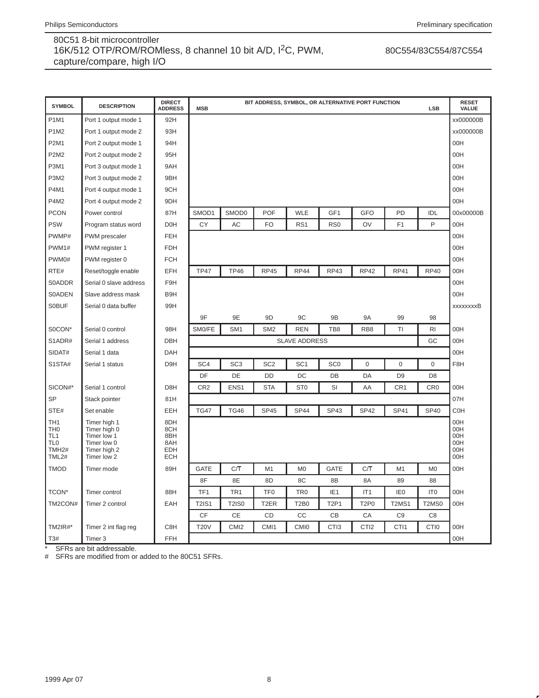# 80C554/83C554/87C554

| <b>SYMBOL</b>                                                                  | <b>DESCRIPTION</b>                                                                        | <b>DIRECT</b><br><b>ADDRESS</b>                      | <b>MSB</b>      | BIT ADDRESS, SYMBOL, OR ALTERNATIVE PORT FUNCTION<br><b>LSB</b> |                   |                      |                  |                               |                 |                  |                                        |  |  |  |
|--------------------------------------------------------------------------------|-------------------------------------------------------------------------------------------|------------------------------------------------------|-----------------|-----------------------------------------------------------------|-------------------|----------------------|------------------|-------------------------------|-----------------|------------------|----------------------------------------|--|--|--|
| <b>P1M1</b>                                                                    | Port 1 output mode 1                                                                      | 92H                                                  |                 |                                                                 |                   |                      |                  |                               |                 |                  | xx000000B                              |  |  |  |
| <b>P1M2</b>                                                                    | Port 1 output mode 2                                                                      | 93H                                                  |                 |                                                                 |                   |                      |                  |                               |                 |                  | xx000000B                              |  |  |  |
| P2M1                                                                           | Port 2 output mode 1                                                                      | 94H                                                  |                 |                                                                 |                   |                      |                  |                               |                 |                  | 00H                                    |  |  |  |
| <b>P2M2</b>                                                                    | Port 2 output mode 2                                                                      | 95H                                                  |                 |                                                                 |                   |                      |                  |                               |                 |                  | 00H                                    |  |  |  |
| <b>P3M1</b>                                                                    | Port 3 output mode 1                                                                      | 9AH                                                  |                 |                                                                 |                   |                      |                  |                               |                 |                  | 00H                                    |  |  |  |
| P3M2                                                                           | Port 3 output mode 2                                                                      | 9BH                                                  |                 |                                                                 |                   |                      |                  |                               |                 |                  | 00H                                    |  |  |  |
| P4M1                                                                           | Port 4 output mode 1                                                                      | 9CH                                                  |                 |                                                                 |                   |                      |                  |                               |                 |                  | 00H                                    |  |  |  |
| P4M2                                                                           | Port 4 output mode 2                                                                      | 9DH                                                  |                 |                                                                 |                   |                      |                  |                               |                 |                  | 00H                                    |  |  |  |
| <b>PCON</b>                                                                    | Power control                                                                             | 87H                                                  | SMOD1           | SMOD0                                                           | POF               | <b>WLE</b>           | GF1              | GFO                           | PD              | IDL              | 00x00000B                              |  |  |  |
| <b>PSW</b>                                                                     | Program status word                                                                       | D <sub>OH</sub>                                      | <b>CY</b>       | AC                                                              | <b>FO</b>         | RS1                  | RS <sub>0</sub>  | OV                            | F <sub>1</sub>  | P                | 00H                                    |  |  |  |
| PWMP#                                                                          | PWM prescaler                                                                             | <b>FEH</b>                                           |                 |                                                                 |                   |                      |                  |                               |                 |                  | 00H                                    |  |  |  |
| PWM1#                                                                          | PWM register 1                                                                            | <b>FDH</b>                                           |                 |                                                                 |                   |                      |                  |                               |                 |                  | 00H                                    |  |  |  |
| PWM0#                                                                          | PWM register 0                                                                            | <b>FCH</b>                                           |                 |                                                                 |                   |                      |                  |                               |                 |                  | 00H                                    |  |  |  |
| RTE#                                                                           | Reset/toggle enable                                                                       | EFH                                                  | <b>TP47</b>     | <b>TP46</b>                                                     | <b>RP45</b>       | <b>RP44</b>          | <b>RP43</b>      | <b>RP42</b>                   | <b>RP41</b>     | <b>RP40</b>      | 00H                                    |  |  |  |
| <b>S0ADDR</b>                                                                  | Serial 0 slave address                                                                    | F9H                                                  |                 |                                                                 |                   |                      |                  |                               |                 |                  | 00H                                    |  |  |  |
| <b>S0ADEN</b>                                                                  | Slave address mask                                                                        | B9H                                                  |                 |                                                                 |                   |                      |                  |                               |                 |                  | 00H                                    |  |  |  |
| <b>SOBUF</b>                                                                   | Serial 0 data buffer                                                                      | 99H                                                  |                 |                                                                 |                   |                      |                  |                               |                 |                  | xxxxxxxxB                              |  |  |  |
|                                                                                |                                                                                           |                                                      | 9F              | 9E                                                              | 9D                | 9C                   | 9B               | <b>9A</b>                     | 99              | 98               |                                        |  |  |  |
| S0CON*                                                                         | Serial 0 control                                                                          | 98H                                                  | SM0/FE          | SM <sub>1</sub>                                                 | SM <sub>2</sub>   | <b>REN</b>           | TB8              | RB <sub>8</sub>               | TI              | R <sub>1</sub>   | 00H                                    |  |  |  |
| S1ADR#                                                                         | Serial 1 address                                                                          | <b>DBH</b>                                           |                 |                                                                 |                   | <b>SLAVE ADDRESS</b> |                  |                               |                 | GC               | 00H                                    |  |  |  |
| SIDAT#                                                                         | Serial 1 data                                                                             | <b>DAH</b>                                           |                 |                                                                 |                   |                      |                  |                               |                 |                  | 00H                                    |  |  |  |
| S1STA#                                                                         | Serial 1 status                                                                           | D <sub>9</sub> H                                     | SC <sub>4</sub> | SC <sub>3</sub>                                                 | SC <sub>2</sub>   | SC <sub>1</sub>      | SC <sub>0</sub>  | $\mathsf 0$                   | $\overline{0}$  | $\mathbf 0$      | F8H                                    |  |  |  |
|                                                                                |                                                                                           |                                                      | DF              | DE                                                              | DD                | DC                   | DB               | DA                            | D <sub>9</sub>  | D <sub>8</sub>   |                                        |  |  |  |
| SICON#*                                                                        | Serial 1 control                                                                          | D8H                                                  | CR <sub>2</sub> | ENS1                                                            | <b>STA</b>        | ST <sub>0</sub>      | SI               | AA                            | CR <sub>1</sub> | CR <sub>0</sub>  | 00H                                    |  |  |  |
| <b>SP</b>                                                                      | Stack pointer                                                                             | 81H                                                  |                 |                                                                 |                   |                      |                  |                               |                 |                  | 07H                                    |  |  |  |
| STE#                                                                           | Set enable                                                                                | EEH                                                  | <b>TG47</b>     | <b>TG46</b>                                                     | <b>SP45</b>       | SP <sub>44</sub>     | <b>SP43</b>      | <b>SP42</b>                   | SP41            | <b>SP40</b>      | C <sub>O</sub> H                       |  |  |  |
| TH1<br>TH <sub>0</sub><br>TL1<br>TL <sub>0</sub><br>TMH <sub>2#</sub><br>TML2# | Timer high 1<br>Timer high 0<br>Timer low 1<br>Timer low 0<br>Timer high 2<br>Timer low 2 | 8DH<br>8CH<br>8BH<br>8AH<br><b>EDH</b><br><b>ECH</b> |                 |                                                                 |                   |                      |                  |                               |                 |                  | 00H<br>00H<br>00H<br>00H<br>00H<br>00H |  |  |  |
| <b>TMOD</b>                                                                    | Timer mode                                                                                | 89H                                                  | <b>GATE</b>     | C/T                                                             | M <sub>1</sub>    | M <sub>0</sub>       | <b>GATE</b>      | C/T                           | M <sub>1</sub>  | M0               | 00H                                    |  |  |  |
|                                                                                |                                                                                           |                                                      | 8F              | 8E                                                              | 8D                | 8C                   | 8B               | 8A                            | 89              | 88               |                                        |  |  |  |
| TCON*                                                                          | Timer control                                                                             | 88H                                                  | TF <sub>1</sub> | TR <sub>1</sub>                                                 | TF <sub>0</sub>   | TR <sub>0</sub>      | IE <sub>1</sub>  | IT <sub>1</sub>               | IE <sub>0</sub> | IT <sub>0</sub>  | 00H                                    |  |  |  |
| TM2CON#                                                                        | Timer 2 control                                                                           | EAH                                                  | <b>T2IS1</b>    | <b>T2IS0</b>                                                    | T <sub>2</sub> ER | <b>T2B0</b>          | <b>T2P1</b>      | T <sub>2</sub> P <sub>0</sub> | <b>T2MS1</b>    | T2MS0            | 00H                                    |  |  |  |
|                                                                                |                                                                                           |                                                      | CF              | CE                                                              | CD                | CC                   | CВ               | CA                            | C <sub>9</sub>  | C <sub>8</sub>   |                                        |  |  |  |
| TM2IR#*                                                                        | Timer 2 int flag reg                                                                      | C8H                                                  | <b>T20V</b>     | CMI <sub>2</sub>                                                | CMI1              | <b>CMI0</b>          | CTI <sub>3</sub> | CTI <sub>2</sub>              | CTI1            | CTI <sub>0</sub> | 00H                                    |  |  |  |
| T3#                                                                            | Timer 3                                                                                   | FFH                                                  |                 |                                                                 |                   |                      |                  |                               |                 |                  | 00H                                    |  |  |  |

\* SFRs are bit addressable.<br># SFRs are modified from or

SFRs are modified from or added to the 80C51 SFRs.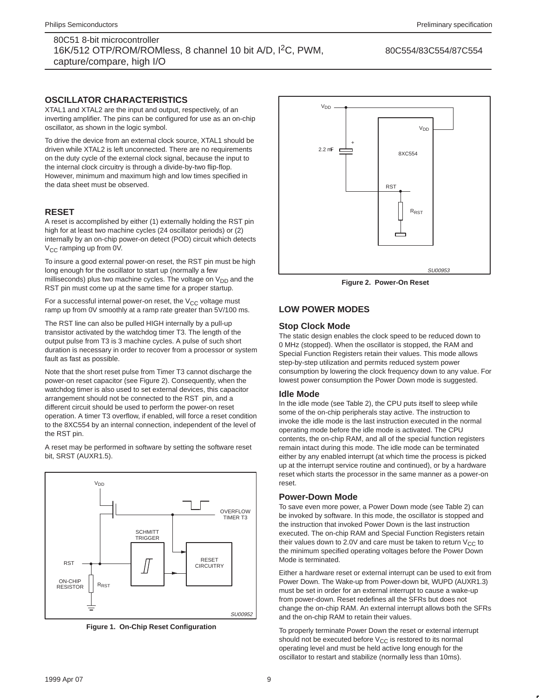80C554/83C554/87C554

### **OSCILLATOR CHARACTERISTICS**

XTAL1 and XTAL2 are the input and output, respectively, of an inverting amplifier. The pins can be configured for use as an on-chip oscillator, as shown in the logic symbol.

To drive the device from an external clock source, XTAL1 should be driven while XTAL2 is left unconnected. There are no requirements on the duty cycle of the external clock signal, because the input to the internal clock circuitry is through a divide-by-two flip-flop. However, minimum and maximum high and low times specified in the data sheet must be observed.

### **RESET**

A reset is accomplished by either (1) externally holding the RST pin high for at least two machine cycles (24 oscillator periods) or (2) internally by an on-chip power-on detect (POD) circuit which detects V<sub>CC</sub> ramping up from 0V.

To insure a good external power-on reset, the RST pin must be high long enough for the oscillator to start up (normally a few milliseconds) plus two machine cycles. The voltage on  $V_{DD}$  and the RST pin must come up at the same time for a proper startup.

For a successful internal power-on reset, the  $V_{CC}$  voltage must ramp up from 0V smoothly at a ramp rate greater than 5V/100 ms.

The RST line can also be pulled HIGH internally by a pull-up transistor activated by the watchdog timer T3. The length of the output pulse from T3 is 3 machine cycles. A pulse of such short duration is necessary in order to recover from a processor or system fault as fast as possible.

Note that the short reset pulse from Timer T3 cannot discharge the power-on reset capacitor (see Figure 2). Consequently, when the watchdog timer is also used to set external devices, this capacitor arrangement should not be connected to the RST pin, and a different circuit should be used to perform the power-on reset operation. A timer T3 overflow, if enabled, will force a reset condition to the 8XC554 by an internal connection, independent of the level of the RST pin.

A reset may be performed in software by setting the software reset bit, SRST (AUXR1.5).



**Figure 1. On-Chip Reset Configuration**



**Figure 2. Power-On Reset**

### **LOW POWER MODES**

### **Stop Clock Mode**

The static design enables the clock speed to be reduced down to 0 MHz (stopped). When the oscillator is stopped, the RAM and Special Function Registers retain their values. This mode allows step-by-step utilization and permits reduced system power consumption by lowering the clock frequency down to any value. For lowest power consumption the Power Down mode is suggested.

#### **Idle Mode**

In the idle mode (see Table 2), the CPU puts itself to sleep while some of the on-chip peripherals stay active. The instruction to invoke the idle mode is the last instruction executed in the normal operating mode before the idle mode is activated. The CPU contents, the on-chip RAM, and all of the special function registers remain intact during this mode. The idle mode can be terminated either by any enabled interrupt (at which time the process is picked up at the interrupt service routine and continued), or by a hardware reset which starts the processor in the same manner as a power-on reset.

#### **Power-Down Mode**

To save even more power, a Power Down mode (see Table 2) can be invoked by software. In this mode, the oscillator is stopped and the instruction that invoked Power Down is the last instruction executed. The on-chip RAM and Special Function Registers retain their values down to 2.0V and care must be taken to return  $V_{CC}$  to the minimum specified operating voltages before the Power Down Mode is terminated.

Either a hardware reset or external interrupt can be used to exit from Power Down. The Wake-up from Power-down bit, WUPD (AUXR1.3) must be set in order for an external interrupt to cause a wake-up from power-down. Reset redefines all the SFRs but does not change the on-chip RAM. An external interrupt allows both the SFRs and the on-chip RAM to retain their values.

To properly terminate Power Down the reset or external interrupt should not be executed before  $V_{CC}$  is restored to its normal operating level and must be held active long enough for the oscillator to restart and stabilize (normally less than 10ms).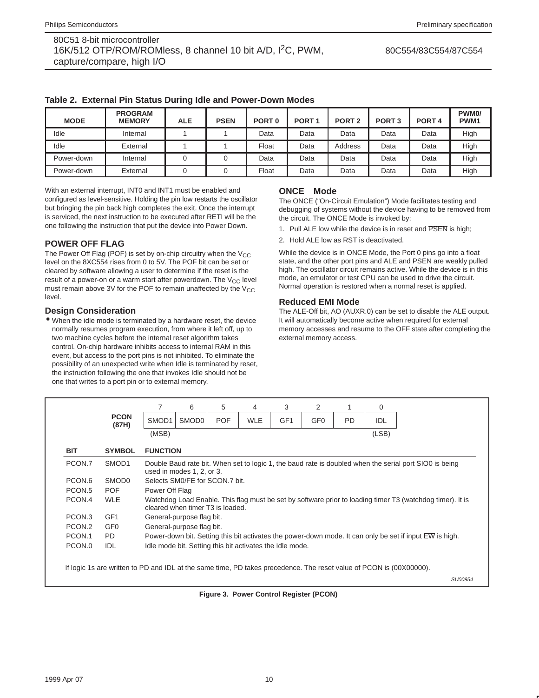| <b>MODE</b> | <b>PROGRAM</b><br><b>MEMORY</b> | <b>ALE</b> | <b>PSEN</b> | PORT <sub>0</sub> | PORT <sub>1</sub> | PORT <sub>2</sub> | PORT <sub>3</sub> | PORT <sub>4</sub> | PWM <sub>0</sub> /<br>PWM <sub>1</sub> |
|-------------|---------------------------------|------------|-------------|-------------------|-------------------|-------------------|-------------------|-------------------|----------------------------------------|
| Idle        | Internal                        |            |             | Data              | Data              | Data              | Data              | Data              | High                                   |
| Idle        | External                        |            |             | Float             | Data              | Address           | Data              | Data              | High                                   |
| Power-down  | Internal                        |            |             | Data              | Data              | Data              | Data              | Data              | High                                   |
| Power-down  | External                        |            |             | Float             | Data              | Data              | Data              | Data              | High                                   |

**Table 2. External Pin Status During Idle and Power-Down Modes**

With an external interrupt, INT0 and INT1 must be enabled and configured as level-sensitive. Holding the pin low restarts the oscillator but bringing the pin back high completes the exit. Once the interrupt is serviced, the next instruction to be executed after RETI will be the one following the instruction that put the device into Power Down.

### **POWER OFF FLAG**

The Power Off Flag (POF) is set by on-chip circuitry when the  $V_{CC}$ level on the 8XC554 rises from 0 to 5V. The POF bit can be set or cleared by software allowing a user to determine if the reset is the result of a power-on or a warm start after powerdown. The  $V_{CC}$  level must remain above 3V for the POF to remain unaffected by the  $V_{CC}$ level.

### **Design Consideration**

• When the idle mode is terminated by a hardware reset, the device normally resumes program execution, from where it left off, up to two machine cycles before the internal reset algorithm takes control. On-chip hardware inhibits access to internal RAM in this event, but access to the port pins is not inhibited. To eliminate the possibility of an unexpected write when Idle is terminated by reset, the instruction following the one that invokes Idle should not be one that writes to a port pin or to external memory.

### **ONCE<sup>™</sup> Mode**

The ONCE ("On-Circuit Emulation") Mode facilitates testing and debugging of systems without the device having to be removed from the circuit. The ONCE Mode is invoked by:

- 1. Pull ALE low while the device is in reset and PSEN is high;
- 2. Hold ALE low as RST is deactivated.

While the device is in ONCE Mode, the Port 0 pins go into a float state, and the other port pins and ALE and PSEN are weakly pulled high. The oscillator circuit remains active. While the device is in this mode, an emulator or test CPU can be used to drive the circuit. Normal operation is restored when a normal reset is applied.

### **Reduced EMI Mode**

The ALE-Off bit, AO (AUXR.0) can be set to disable the ALE output. It will automatically become active when required for external memory accesses and resume to the OFF state after completing the external memory access.

|                    |                      | 7                                                        | 6                                                                                                       | 5 | 4 | 3 | 2 |  | 0     |                                                                                                           |  |  |  |  |
|--------------------|----------------------|----------------------------------------------------------|---------------------------------------------------------------------------------------------------------|---|---|---|---|--|-------|-----------------------------------------------------------------------------------------------------------|--|--|--|--|
|                    | <b>PCON</b><br>(87H) | SMOD <sub>1</sub>                                        | GF <sub>1</sub><br>GF <sub>0</sub><br>SMOD <sub>0</sub><br><b>POF</b><br><b>WLE</b><br><b>PD</b><br>IDL |   |   |   |   |  |       |                                                                                                           |  |  |  |  |
|                    |                      | (MSB)                                                    |                                                                                                         |   |   |   |   |  | (LSB) |                                                                                                           |  |  |  |  |
| <b>BIT</b>         | <b>SYMBOL</b>        | <b>FUNCTION</b>                                          |                                                                                                         |   |   |   |   |  |       |                                                                                                           |  |  |  |  |
| PCON.7             | SMOD <sub>1</sub>    |                                                          | used in modes 1, 2, or 3.                                                                               |   |   |   |   |  |       | Double Baud rate bit. When set to logic 1, the baud rate is doubled when the serial port SIO0 is being    |  |  |  |  |
| PCON.6             | SMOD <sub>0</sub>    |                                                          | Selects SM0/FE for SCON.7 bit.                                                                          |   |   |   |   |  |       |                                                                                                           |  |  |  |  |
| PCON <sub>.5</sub> | <b>POF</b>           |                                                          | Power Off Flag                                                                                          |   |   |   |   |  |       |                                                                                                           |  |  |  |  |
| PCON.4             | <b>WLE</b>           |                                                          | cleared when timer T3 is loaded.                                                                        |   |   |   |   |  |       | Watchdog Load Enable. This flag must be set by software prior to loading timer T3 (watchdog timer). It is |  |  |  |  |
| PCON <sub>3</sub>  | GF <sub>1</sub>      |                                                          | General-purpose flag bit.                                                                               |   |   |   |   |  |       |                                                                                                           |  |  |  |  |
| PCON.2             | GF <sub>0</sub>      |                                                          | General-purpose flag bit.                                                                               |   |   |   |   |  |       |                                                                                                           |  |  |  |  |
| PCON.1             | PD.                  |                                                          |                                                                                                         |   |   |   |   |  |       | Power-down bit. Setting this bit activates the power-down mode. It can only be set if input EW is high.   |  |  |  |  |
| PCON.0             | IDL                  | Idle mode bit. Setting this bit activates the Idle mode. |                                                                                                         |   |   |   |   |  |       |                                                                                                           |  |  |  |  |

**Figure 3. Power Control Register (PCON)**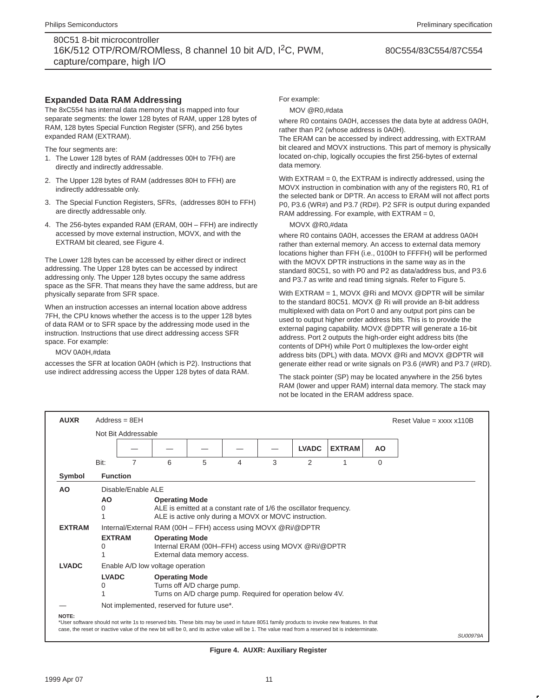#### 80C554/83C554/87C554

### **Expanded Data RAM Addressing**

The 8xC554 has internal data memory that is mapped into four separate segments: the lower 128 bytes of RAM, upper 128 bytes of RAM, 128 bytes Special Function Register (SFR), and 256 bytes expanded RAM (EXTRAM).

The four segments are:

- 1. The Lower 128 bytes of RAM (addresses 00H to 7FH) are directly and indirectly addressable.
- 2. The Upper 128 bytes of RAM (addresses 80H to FFH) are indirectly addressable only.
- 3. The Special Function Registers, SFRs, (addresses 80H to FFH) are directly addressable only.
- 4. The 256-bytes expanded RAM (ERAM, 00H FFH) are indirectly accessed by move external instruction, MOVX, and with the EXTRAM bit cleared, see Figure 4.

The Lower 128 bytes can be accessed by either direct or indirect addressing. The Upper 128 bytes can be accessed by indirect addressing only. The Upper 128 bytes occupy the same address space as the SFR. That means they have the same address, but are physically separate from SFR space.

When an instruction accesses an internal location above address 7FH, the CPU knows whether the access is to the upper 128 bytes of data RAM or to SFR space by the addressing mode used in the instruction. Instructions that use direct addressing access SFR space. For example:

MOV 0A0H,#data

accesses the SFR at location 0A0H (which is P2). Instructions that use indirect addressing access the Upper 128 bytes of data RAM.

For example:

MOV @R0,#data

where R0 contains 0A0H, accesses the data byte at address 0A0H, rather than P2 (whose address is 0A0H).

The ERAM can be accessed by indirect addressing, with EXTRAM bit cleared and MOVX instructions. This part of memory is physically located on-chip, logically occupies the first 256-bytes of external data memory.

With EXTRAM = 0, the EXTRAM is indirectly addressed, using the MOVX instruction in combination with any of the registers R0, R1 of the selected bank or DPTR. An access to ERAM will not affect ports P0, P3.6 (WR#) and P3.7 (RD#). P2 SFR is output during expanded RAM addressing. For example, with  $EXTRAN = 0$ ,

#### MOVX @R0,#data

where R0 contains 0A0H, accesses the ERAM at address 0A0H rather than external memory. An access to external data memory locations higher than FFH (i.e., 0100H to FFFFH) will be performed with the MOVX DPTR instructions in the same way as in the standard 80C51, so with P0 and P2 as data/address bus, and P3.6 and P3.7 as write and read timing signals. Refer to Figure 5.

With EXTRAM = 1, MOVX @Ri and MOVX @DPTR will be similar to the standard 80C51. MOVX @ Ri will provide an 8-bit address multiplexed with data on Port 0 and any output port pins can be used to output higher order address bits. This is to provide the external paging capability. MOVX @DPTR will generate a 16-bit address. Port 2 outputs the high-order eight address bits (the contents of DPH) while Port 0 multiplexes the low-order eight address bits (DPL) with data. MOVX @Ri and MOVX @DPTR will generate either read or write signals on P3.6 (#WR) and P3.7 (#RD).

The stack pointer (SP) may be located anywhere in the 256 bytes RAM (lower and upper RAM) internal data memory. The stack may not be located in the ERAM address space.

| <b>AUXR</b>   |                    | $Address = 8FH$     |                                                               |                              |                                                                                                                             |   |   |                                                                                                                                                                                                                                                                                                |          | Reset Value = $xxxx \times 110B$ |
|---------------|--------------------|---------------------|---------------------------------------------------------------|------------------------------|-----------------------------------------------------------------------------------------------------------------------------|---|---|------------------------------------------------------------------------------------------------------------------------------------------------------------------------------------------------------------------------------------------------------------------------------------------------|----------|----------------------------------|
|               |                    | Not Bit Addressable |                                                               |                              |                                                                                                                             |   |   |                                                                                                                                                                                                                                                                                                |          |                                  |
|               |                    |                     |                                                               |                              |                                                                                                                             |   |   |                                                                                                                                                                                                                                                                                                |          |                                  |
|               | Bit:               | 7                   | 6                                                             | 5                            | 4                                                                                                                           | 3 | 2 | 1                                                                                                                                                                                                                                                                                              | $\Omega$ |                                  |
| Symbol        | <b>Function</b>    |                     |                                                               |                              |                                                                                                                             |   |   |                                                                                                                                                                                                                                                                                                |          |                                  |
| AO            |                    | Disable/Enable ALE  |                                                               |                              |                                                                                                                             |   |   |                                                                                                                                                                                                                                                                                                |          |                                  |
|               | AO<br>0            |                     | <b>Operating Mode</b>                                         |                              | ALE is emitted at a constant rate of 1/6 the oscillator frequency.<br>ALE is active only during a MOVX or MOVC instruction. |   |   |                                                                                                                                                                                                                                                                                                |          |                                  |
| <b>EXTRAM</b> |                    |                     | Internal/External RAM (00H – FFH) access using MOVX @Ri/@DPTR |                              |                                                                                                                             |   |   |                                                                                                                                                                                                                                                                                                |          |                                  |
|               | <b>EXTRAM</b><br>0 |                     | <b>Operating Mode</b>                                         | External data memory access. | Internal ERAM (00H-FFH) access using MOVX @Ri/@DPTR                                                                         |   |   |                                                                                                                                                                                                                                                                                                |          |                                  |
| <b>LVADC</b>  |                    |                     | Enable A/D low voltage operation                              |                              |                                                                                                                             |   |   |                                                                                                                                                                                                                                                                                                |          |                                  |
|               | <b>LVADC</b><br>0  |                     | <b>Operating Mode</b>                                         | Turns off A/D charge pump.   | Turns on A/D charge pump. Required for operation below 4V.                                                                  |   |   |                                                                                                                                                                                                                                                                                                |          |                                  |
|               |                    |                     | Not implemented, reserved for future use*.                    |                              |                                                                                                                             |   |   |                                                                                                                                                                                                                                                                                                |          |                                  |
| NOTE:         |                    |                     |                                                               |                              |                                                                                                                             |   |   | *User software should not write 1s to reserved bits. These bits may be used in future 8051 family products to invoke new features. In that<br>case, the reset or inactive value of the new bit will be 0, and its active value will be 1. The value read from a reserved bit is indeterminate. |          | <b>SU00979A</b>                  |

**Figure 4. AUXR: Auxiliary Register**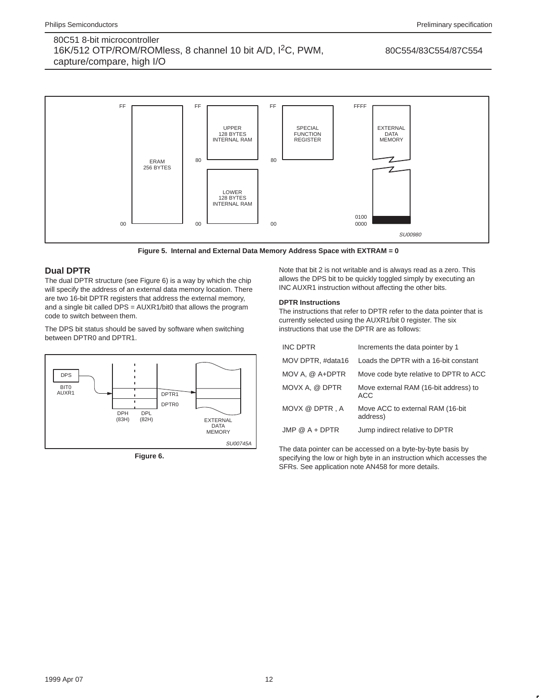#### 80C554/83C554/87C554



**Figure 5. Internal and External Data Memory Address Space with EXTRAM = 0**

# **Dual DPTR**

The dual DPTR structure (see Figure 6) is a way by which the chip will specify the address of an external data memory location. There are two 16-bit DPTR registers that address the external memory, and a single bit called DPS = AUXR1/bit0 that allows the program code to switch between them.

The DPS bit status should be saved by software when switching between DPTR0 and DPTR1.



**Figure 6.** 

Note that bit 2 is not writable and is always read as a zero. This allows the DPS bit to be quickly toggled simply by executing an INC AUXR1 instruction without affecting the other bits.

### **DPTR Instructions**

The instructions that refer to DPTR refer to the data pointer that is currently selected using the AUXR1/bit 0 register. The six instructions that use the DPTR are as follows:

| <b>INC DPTR</b>   | Increments the data pointer by 1              |
|-------------------|-----------------------------------------------|
| MOV DPTR, #data16 | Loads the DPTR with a 16-bit constant         |
| MOV A. @ A+DPTR   | Move code byte relative to DPTR to ACC        |
| MOVX A, @ DPTR    | Move external RAM (16-bit address) to<br>ACC. |
| MOVX @ DPTR, A    | Move ACC to external RAM (16-bit)<br>address) |
| $JMP @ A + DPTR$  | Jump indirect relative to DPTR                |

The data pointer can be accessed on a byte-by-byte basis by specifying the low or high byte in an instruction which accesses the SFRs. See application note AN458 for more details.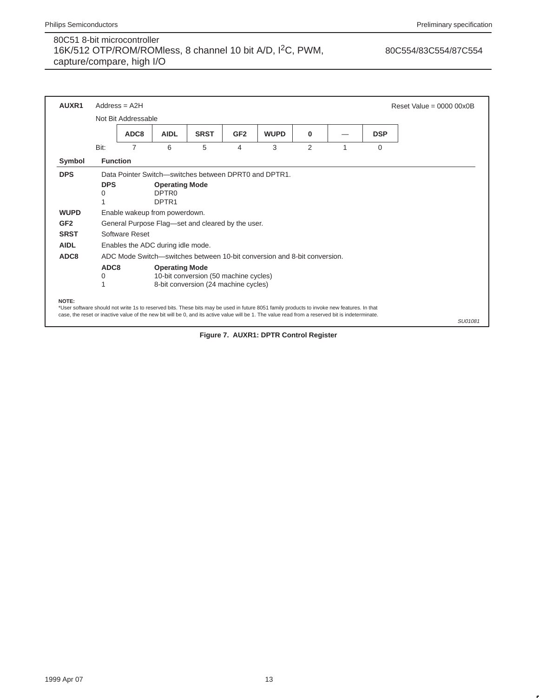# 80C554/83C554/87C554

| AUXR1           |                 | $Address = A2H$     |                                                                 |                                                                               |                 |                                                                                                                                                                                                                                                                                                |          |   |            | Reset Value = $00000000$ |
|-----------------|-----------------|---------------------|-----------------------------------------------------------------|-------------------------------------------------------------------------------|-----------------|------------------------------------------------------------------------------------------------------------------------------------------------------------------------------------------------------------------------------------------------------------------------------------------------|----------|---|------------|--------------------------|
|                 |                 | Not Bit Addressable |                                                                 |                                                                               |                 |                                                                                                                                                                                                                                                                                                |          |   |            |                          |
|                 |                 | ADC8                | <b>AIDL</b>                                                     | <b>SRST</b>                                                                   | GF <sub>2</sub> | <b>WUPD</b>                                                                                                                                                                                                                                                                                    | $\bf{0}$ |   | <b>DSP</b> |                          |
|                 | Bit:            | 7                   | 6                                                               | 5                                                                             | 4               | 3                                                                                                                                                                                                                                                                                              | 2        | 1 | $\Omega$   |                          |
| Symbol          | <b>Function</b> |                     |                                                                 |                                                                               |                 |                                                                                                                                                                                                                                                                                                |          |   |            |                          |
| <b>DPS</b>      |                 |                     | Data Pointer Switch-switches between DPRT0 and DPTR1.           |                                                                               |                 |                                                                                                                                                                                                                                                                                                |          |   |            |                          |
|                 | <b>DPS</b><br>0 |                     | <b>Operating Mode</b><br>DPTR <sub>0</sub><br>DPTR <sub>1</sub> |                                                                               |                 |                                                                                                                                                                                                                                                                                                |          |   |            |                          |
| <b>WUPD</b>     |                 |                     | Enable wakeup from powerdown.                                   |                                                                               |                 |                                                                                                                                                                                                                                                                                                |          |   |            |                          |
| GF <sub>2</sub> |                 |                     | General Purpose Flag—set and cleared by the user.               |                                                                               |                 |                                                                                                                                                                                                                                                                                                |          |   |            |                          |
| <b>SRST</b>     |                 | Software Reset      |                                                                 |                                                                               |                 |                                                                                                                                                                                                                                                                                                |          |   |            |                          |
| <b>AIDL</b>     |                 |                     | Enables the ADC during idle mode.                               |                                                                               |                 |                                                                                                                                                                                                                                                                                                |          |   |            |                          |
| ADC8            |                 |                     |                                                                 |                                                                               |                 | ADC Mode Switch—switches between 10-bit conversion and 8-bit conversion.                                                                                                                                                                                                                       |          |   |            |                          |
|                 | ADC8<br>0       |                     | <b>Operating Mode</b>                                           | 10-bit conversion (50 machine cycles)<br>8-bit conversion (24 machine cycles) |                 |                                                                                                                                                                                                                                                                                                |          |   |            |                          |
| NOTE:           |                 |                     |                                                                 |                                                                               |                 | *User software should not write 1s to reserved bits. These bits may be used in future 8051 family products to invoke new features. In that<br>case, the reset or inactive value of the new bit will be 0, and its active value will be 1. The value read from a reserved bit is indeterminate. |          |   |            | SU01081                  |

**Figure 7. AUXR1: DPTR Control Register**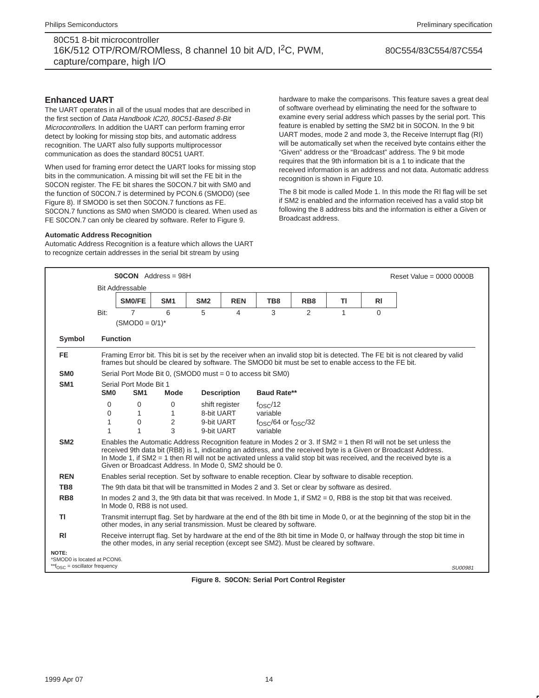#### 80C554/83C554/87C554

### **Enhanced UART**

The UART operates in all of the usual modes that are described in the first section of Data Handbook IC20, 80C51-Based 8-Bit Microcontrollers. In addition the UART can perform framing error detect by looking for missing stop bits, and automatic address recognition. The UART also fully supports multiprocessor communication as does the standard 80C51 UART.

When used for framing error detect the UART looks for missing stop bits in the communication. A missing bit will set the FE bit in the S0CON register. The FE bit shares the S0CON.7 bit with SM0 and the function of S0CON.7 is determined by PCON.6 (SMOD0) (see Figure 8). If SMOD0 is set then S0CON.7 functions as FE. S0CON.7 functions as SM0 when SMOD0 is cleared. When used as FE S0CON.7 can only be cleared by software. Refer to Figure 9.

#### **Automatic Address Recognition**

Automatic Address Recognition is a feature which allows the UART to recognize certain addresses in the serial bit stream by using

hardware to make the comparisons. This feature saves a great deal of software overhead by eliminating the need for the software to examine every serial address which passes by the serial port. This feature is enabled by setting the SM2 bit in S0CON. In the 9 bit UART modes, mode 2 and mode 3, the Receive Interrupt flag (RI) will be automatically set when the received byte contains either the "Given" address or the "Broadcast" address. The 9 bit mode requires that the 9th information bit is a 1 to indicate that the received information is an address and not data. Automatic address recognition is shown in Figure 10.

The 8 bit mode is called Mode 1. In this mode the RI flag will be set if SM2 is enabled and the information received has a valid stop bit following the 8 address bits and the information is either a Given or Broadcast address.

|                                                                             |                                                                                                                                                                                                        | $SOCON$ Address = 98H                                                                                  |                                                    |                          |                    |                                    |                 |    |           | Reset Value = $0000 0000B$                                                                                                                                                                                                                                                                                                                                  |
|-----------------------------------------------------------------------------|--------------------------------------------------------------------------------------------------------------------------------------------------------------------------------------------------------|--------------------------------------------------------------------------------------------------------|----------------------------------------------------|--------------------------|--------------------|------------------------------------|-----------------|----|-----------|-------------------------------------------------------------------------------------------------------------------------------------------------------------------------------------------------------------------------------------------------------------------------------------------------------------------------------------------------------------|
|                                                                             |                                                                                                                                                                                                        | <b>Bit Addressable</b>                                                                                 |                                                    |                          |                    |                                    |                 |    |           |                                                                                                                                                                                                                                                                                                                                                             |
|                                                                             |                                                                                                                                                                                                        | SM0/FE                                                                                                 | SM <sub>1</sub>                                    | SM <sub>2</sub>          | <b>REN</b>         | TB8                                | RB <sub>8</sub> | ΤI | <b>RI</b> |                                                                                                                                                                                                                                                                                                                                                             |
|                                                                             | Bit:                                                                                                                                                                                                   | $\overline{7}$<br>$(SMOD0 = 0/1)^*$                                                                    | 6                                                  | 5                        | 4                  | 3                                  | 2               | 1  | $\Omega$  |                                                                                                                                                                                                                                                                                                                                                             |
| Symbol                                                                      |                                                                                                                                                                                                        | <b>Function</b>                                                                                        |                                                    |                          |                    |                                    |                 |    |           |                                                                                                                                                                                                                                                                                                                                                             |
| <b>FE</b>                                                                   |                                                                                                                                                                                                        | frames but should be cleared by software. The SMOD0 bit must be set to enable access to the FE bit.    |                                                    |                          |                    |                                    |                 |    |           | Framing Error bit. This bit is set by the receiver when an invalid stop bit is detected. The FE bit is not cleared by valid                                                                                                                                                                                                                                 |
| SM <sub>0</sub>                                                             |                                                                                                                                                                                                        | Serial Port Mode Bit 0, (SMOD0 must = $0$ to access bit SM0)                                           |                                                    |                          |                    |                                    |                 |    |           |                                                                                                                                                                                                                                                                                                                                                             |
| SM <sub>1</sub>                                                             |                                                                                                                                                                                                        | Serial Port Mode Bit 1                                                                                 |                                                    |                          |                    |                                    |                 |    |           |                                                                                                                                                                                                                                                                                                                                                             |
|                                                                             | SM <sub>0</sub>                                                                                                                                                                                        | SM <sub>1</sub>                                                                                        | <b>Mode</b>                                        |                          | <b>Description</b> | <b>Baud Rate**</b>                 |                 |    |           |                                                                                                                                                                                                                                                                                                                                                             |
|                                                                             | $\Omega$                                                                                                                                                                                               | 0                                                                                                      | $\Omega$<br>shift register<br>f <sub>OSC</sub> /12 |                          |                    |                                    |                 |    |           |                                                                                                                                                                                                                                                                                                                                                             |
|                                                                             | $\Omega$<br>1                                                                                                                                                                                          | 1<br>$\Omega$                                                                                          | $\mathbf{1}$<br>$\overline{2}$                     | 8-bit UART<br>9-bit UART |                    | variable                           |                 |    |           |                                                                                                                                                                                                                                                                                                                                                             |
|                                                                             | 1                                                                                                                                                                                                      | 1                                                                                                      | 3                                                  | 9-bit UART               |                    | $fOSC/64$ or $fOSC/32$<br>variable |                 |    |           |                                                                                                                                                                                                                                                                                                                                                             |
| SM <sub>2</sub>                                                             |                                                                                                                                                                                                        | Given or Broadcast Address. In Mode 0, SM2 should be 0.                                                |                                                    |                          |                    |                                    |                 |    |           | Enables the Automatic Address Recognition feature in Modes 2 or 3. If SM2 = 1 then RI will not be set unless the<br>received 9th data bit (RB8) is 1, indicating an address, and the received byte is a Given or Broadcast Address.<br>In Mode 1, if SM2 = 1 then RI will not be activated unless a valid stop bit was received, and the received byte is a |
| <b>REN</b>                                                                  |                                                                                                                                                                                                        | Enables serial reception. Set by software to enable reception. Clear by software to disable reception. |                                                    |                          |                    |                                    |                 |    |           |                                                                                                                                                                                                                                                                                                                                                             |
| TB8                                                                         |                                                                                                                                                                                                        | The 9th data bit that will be transmitted in Modes 2 and 3. Set or clear by software as desired.       |                                                    |                          |                    |                                    |                 |    |           |                                                                                                                                                                                                                                                                                                                                                             |
| RB <sub>8</sub>                                                             |                                                                                                                                                                                                        | In Mode 0, RB8 is not used.                                                                            |                                                    |                          |                    |                                    |                 |    |           | In modes 2 and 3, the 9th data bit that was received. In Mode 1, if $SM2 = 0$ , RB8 is the stop bit that was received.                                                                                                                                                                                                                                      |
| ΤI                                                                          | Transmit interrupt flag. Set by hardware at the end of the 8th bit time in Mode 0, or at the beginning of the stop bit in the<br>other modes, in any serial transmission. Must be cleared by software. |                                                                                                        |                                                    |                          |                    |                                    |                 |    |           |                                                                                                                                                                                                                                                                                                                                                             |
| R <sub>l</sub>                                                              |                                                                                                                                                                                                        | the other modes, in any serial reception (except see SM2). Must be cleared by software.                |                                                    |                          |                    |                                    |                 |    |           | Receive interrupt flag. Set by hardware at the end of the 8th bit time in Mode 0, or halfway through the stop bit time in                                                                                                                                                                                                                                   |
| NOTE:<br>*SMOD0 is located at PCON6.<br>** $f_{OSC}$ = oscillator frequency |                                                                                                                                                                                                        |                                                                                                        |                                                    |                          |                    |                                    |                 |    |           | SU00981                                                                                                                                                                                                                                                                                                                                                     |

**Figure 8. S0CON: Serial Port Control Register**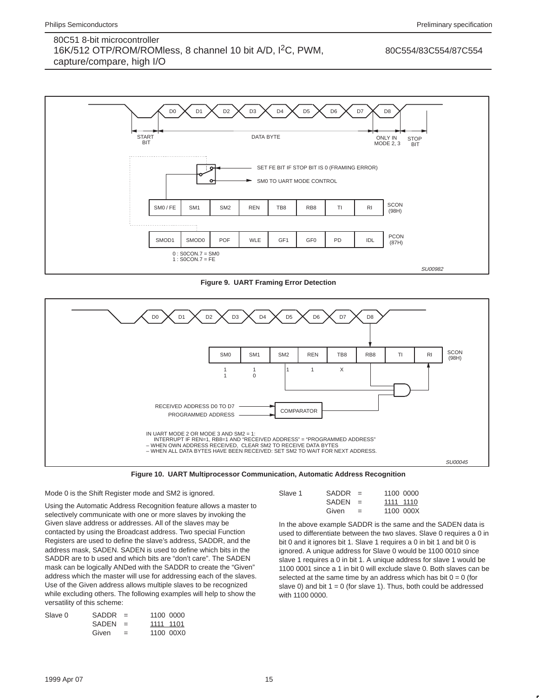80C554/83C554/87C554



**Figure 9. UART Framing Error Detection**





#### Mode 0 is the Shift Register mode and SM2 is ignored.

Using the Automatic Address Recognition feature allows a master to selectively communicate with one or more slaves by invoking the Given slave address or addresses. All of the slaves may be contacted by using the Broadcast address. Two special Function Registers are used to define the slave's address, SADDR, and the address mask, SADEN. SADEN is used to define which bits in the SADDR are to b used and which bits are "don't care". The SADEN mask can be logically ANDed with the SADDR to create the "Given" address which the master will use for addressing each of the slaves. Use of the Given address allows multiple slaves to be recognized while excluding others. The following examples will help to show the versatility of this scheme:

| Slave 0 | <b>SADDR</b> | $=$ | 1100 0000 |  |
|---------|--------------|-----|-----------|--|
|         | <b>SADEN</b> | $=$ | 1111 1101 |  |
|         | Given        | $=$ | 1100 00X0 |  |

| Slave 1 | SADDR        | $=$ |           | 1100 0000 |
|---------|--------------|-----|-----------|-----------|
|         | <b>SADEN</b> | $=$ | 1111 1110 |           |
|         | Given        | $=$ |           | 1100 000X |

In the above example SADDR is the same and the SADEN data is used to differentiate between the two slaves. Slave 0 requires a 0 in bit 0 and it ignores bit 1. Slave 1 requires a 0 in bit 1 and bit 0 is ignored. A unique address for Slave 0 would be 1100 0010 since slave 1 requires a 0 in bit 1. A unique address for slave 1 would be 1100 0001 since a 1 in bit 0 will exclude slave 0. Both slaves can be selected at the same time by an address which has bit  $0 = 0$  (for slave 0) and bit  $1 = 0$  (for slave 1). Thus, both could be addressed with 1100 0000.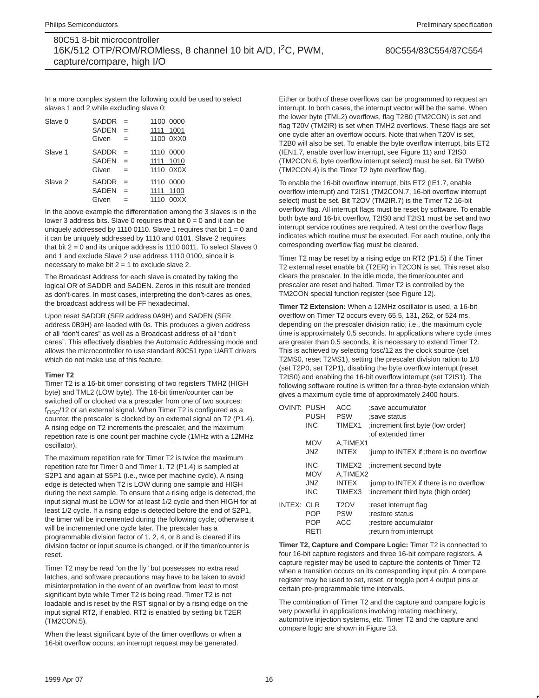80C554/83C554/87C554

In a more complex system the following could be used to select slaves 1 and 2 while excluding slave 0:

| Slave 0 | SADDR<br><b>SADEN</b>                 | $=$<br>$=$        | 1100 0000<br>1111         | 1001                   |
|---------|---------------------------------------|-------------------|---------------------------|------------------------|
|         | Given                                 | $=$               |                           | 1100 0XX0              |
| Slave 1 | <b>SADDR</b><br><b>SADEN</b><br>Given | $=$<br>$=$<br>$=$ | 1110 0000                 | 1111 1010<br>1110 0X0X |
| Slave 2 | SADDR<br><b>SADEN</b><br>Given        | $=$<br>$=$<br>$=$ | 1110 0000<br>1111<br>1110 | 1100<br>00XX           |

In the above example the differentiation among the 3 slaves is in the lower 3 address bits. Slave 0 requires that bit  $0 = 0$  and it can be uniquely addressed by 1110 0110. Slave 1 requires that bit  $1 = 0$  and it can be uniquely addressed by 1110 and 0101. Slave 2 requires that bit  $2 = 0$  and its unique address is 1110 0011. To select Slaves 0 and 1 and exclude Slave 2 use address 1110 0100, since it is necessary to make bit  $2 = 1$  to exclude slave 2.

The Broadcast Address for each slave is created by taking the logical OR of SADDR and SADEN. Zeros in this result are trended as don't-cares. In most cases, interpreting the don't-cares as ones, the broadcast address will be FF hexadecimal.

Upon reset SADDR (SFR address 0A9H) and SADEN (SFR address 0B9H) are leaded with 0s. This produces a given address of all "don't cares" as well as a Broadcast address of all "don't cares". This effectively disables the Automatic Addressing mode and allows the microcontroller to use standard 80C51 type UART drivers which do not make use of this feature.

#### **Timer T2**

Timer T2 is a 16-bit timer consisting of two registers TMH2 (HIGH byte) and TML2 (LOW byte). The 16-bit timer/counter can be switched off or clocked via a prescaler from one of two sources:  $f<sub>OSC</sub>/12$  or an external signal. When Timer T2 is configured as a counter, the prescaler is clocked by an external signal on T2 (P1.4). A rising edge on T2 increments the prescaler, and the maximum repetition rate is one count per machine cycle (1MHz with a 12MHz oscillator).

The maximum repetition rate for Timer T2 is twice the maximum repetition rate for Timer 0 and Timer 1. T2 (P1.4) is sampled at S2P1 and again at S5P1 (i.e., twice per machine cycle). A rising edge is detected when T2 is LOW during one sample and HIGH during the next sample. To ensure that a rising edge is detected, the input signal must be LOW for at least 1/2 cycle and then HIGH for at least 1/2 cycle. If a rising edge is detected before the end of S2P1, the timer will be incremented during the following cycle; otherwise it will be incremented one cycle later. The prescaler has a programmable division factor of 1, 2, 4, or 8 and is cleared if its division factor or input source is changed, or if the timer/counter is reset.

Timer T2 may be read "on the fly" but possesses no extra read latches, and software precautions may have to be taken to avoid misinterpretation in the event of an overflow from least to most significant byte while Timer T2 is being read. Timer T2 is not loadable and is reset by the RST signal or by a rising edge on the input signal RT2, if enabled. RT2 is enabled by setting bit T2ER (TM2CON.5).

When the least significant byte of the timer overflows or when a 16-bit overflow occurs, an interrupt request may be generated.

Either or both of these overflows can be programmed to request an interrupt. In both cases, the interrupt vector will be the same. When the lower byte (TML2) overflows, flag T2B0 (TM2CON) is set and flag T20V (TM2IR) is set when TMH2 overflows. These flags are set one cycle after an overflow occurs. Note that when T20V is set, T2B0 will also be set. To enable the byte overflow interrupt, bits ET2 (IEN1.7, enable overflow interrupt, see Figure 11) and T2IS0 (TM2CON.6, byte overflow interrupt select) must be set. Bit TWB0 (TM2CON.4) is the Timer T2 byte overflow flag.

To enable the 16-bit overflow interrupt, bits ET2 (IE1.7, enable overflow interrupt) and T2IS1 (TM2CON.7, 16-bit overflow interrupt select) must be set. Bit T2OV (TM2IR.7) is the Timer T2 16-bit overflow flag. All interrupt flags must be reset by software. To enable both byte and 16-bit overflow, T2IS0 and T2IS1 must be set and two interrupt service routines are required. A test on the overflow flags indicates which routine must be executed. For each routine, only the corresponding overflow flag must be cleared.

Timer T2 may be reset by a rising edge on RT2 (P1.5) if the Timer T2 external reset enable bit (T2ER) in T2CON is set. This reset also clears the prescaler. In the idle mode, the timer/counter and prescaler are reset and halted. Timer T2 is controlled by the TM2CON special function register (see Figure 12).

**Timer T2 Extension:** When a 12MHz oscillator is used, a 16-bit overflow on Timer T2 occurs every 65.5, 131, 262, or 524 ms, depending on the prescaler division ratio; i.e., the maximum cycle time is approximately 0.5 seconds. In applications where cycle times are greater than 0.5 seconds, it is necessary to extend Timer T2. This is achieved by selecting fosc/12 as the clock source (set T2MS0, reset T2MS1), setting the prescaler division ration to 1/8 (set T2P0, set T2P1), disabling the byte overflow interrupt (reset T2IS0) and enabling the 16-bit overflow interrupt (set T2IS1). The following software routine is written for a three-byte extension which gives a maximum cycle time of approximately 2400 hours.

| <b>OVINT: PUSH</b> |                                  | ACC                                           | save accumulator:                                                                         |
|--------------------|----------------------------------|-----------------------------------------------|-------------------------------------------------------------------------------------------|
|                    | <b>PUSH</b>                      | <b>PSW</b>                                    | save status:                                                                              |
|                    | <b>INC</b>                       | TIMEX1                                        | (low order) increment first byte (low order)<br>: of extended timer                       |
|                    | <b>MOV</b>                       | A,TIMEX1                                      |                                                                                           |
|                    | JNZ.                             | <b>INTEX</b>                                  | jump to INTEX if ; there is no overflow                                                   |
|                    | <b>INC</b><br><b>MOV</b>         | TIMEX2<br>A.TIMEX2                            | increment second byte                                                                     |
|                    | <b>JNZ</b><br><b>INC</b>         | <b>INTEX</b><br>TIMEX <sub>3</sub>            | jump to INTEX if there is no overflow<br>(increment third byte (high order)               |
| INTEX: CLR         | <b>POP</b><br><b>POP</b><br>RETI | T <sub>2</sub> OV<br><b>PSW</b><br><b>ACC</b> | reset interrupt flag<br>restore status:<br>restore accumulator:<br>return from interrupt: |

**Timer T2, Capture and Compare Logic:** Timer T2 is connected to four 16-bit capture registers and three 16-bit compare registers. A capture register may be used to capture the contents of Timer T2 when a transition occurs on its corresponding input pin. A compare register may be used to set, reset, or toggle port 4 output pins at certain pre-programmable time intervals.

The combination of Timer T2 and the capture and compare logic is very powerful in applications involving rotating machinery, automotive injection systems, etc. Timer T2 and the capture and compare logic are shown in Figure 13.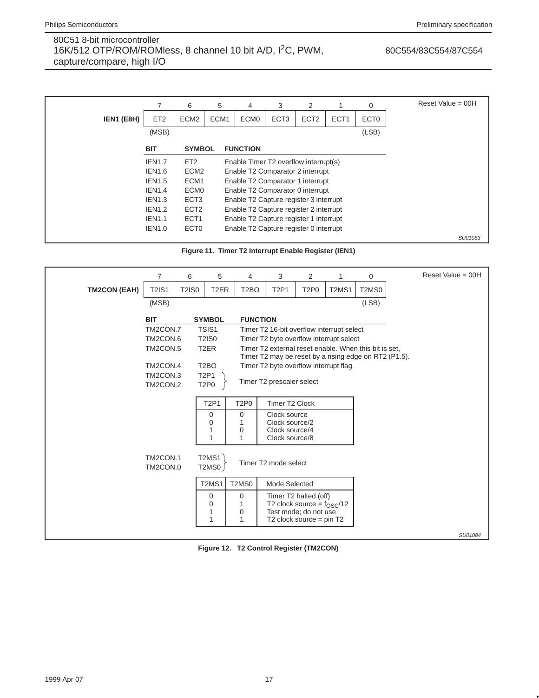# 80C554/83C554/87C554

|            |                 | 6                | 5                | 4                                      | 3                | 2                |                  | 0                | Reset Value = $00H$ |
|------------|-----------------|------------------|------------------|----------------------------------------|------------------|------------------|------------------|------------------|---------------------|
| IEN1 (E8H) | ET <sub>2</sub> | ECM <sub>2</sub> | ECM <sub>1</sub> | ECM <sub>0</sub>                       | ECT <sub>3</sub> | ECT <sub>2</sub> | ECT <sub>1</sub> | ECT <sub>0</sub> |                     |
|            | (MSB)           |                  |                  |                                        |                  |                  |                  | (LSB)            |                     |
|            | <b>BIT</b>      | <b>SYMBOL</b>    |                  | <b>FUNCTION</b>                        |                  |                  |                  |                  |                     |
|            | <b>IEN1.7</b>   | ET <sub>2</sub>  |                  | Enable Timer T2 overflow interrupt(s)  |                  |                  |                  |                  |                     |
|            | <b>IEN1.6</b>   | ECM <sub>2</sub> |                  | Enable T2 Comparator 2 interrupt       |                  |                  |                  |                  |                     |
|            | <b>IEN1.5</b>   | ECM <sub>1</sub> |                  | Enable T2 Comparator 1 interrupt       |                  |                  |                  |                  |                     |
|            | <b>IEN1.4</b>   | ECM <sub>0</sub> |                  | Enable T2 Comparator 0 interrupt       |                  |                  |                  |                  |                     |
|            | <b>IEN1.3</b>   | ECT <sub>3</sub> |                  | Enable T2 Capture register 3 interrupt |                  |                  |                  |                  |                     |
|            | <b>IEN1.2</b>   | ECT <sub>2</sub> |                  | Enable T2 Capture register 2 interrupt |                  |                  |                  |                  |                     |
|            | <b>IEN1.1</b>   | ECT <sub>1</sub> |                  | Enable T2 Capture register 1 interrupt |                  |                  |                  |                  |                     |
|            | <b>IEN1.0</b>   | ECT <sub>0</sub> |                  | Enable T2 Capture register 0 interrupt |                  |                  |                  |                  |                     |
|            |                 |                  |                  |                                        |                  |                  |                  |                  | SU01083             |

**Figure 11. Timer T2 Interrupt Enable Register (IEN1)**

|                     | $\overline{7}$                | 6            | 5                              | 4                                                                                                              | 3                                       | 2                                                               | 1                              | 0            | Reset Value = $00H$ |
|---------------------|-------------------------------|--------------|--------------------------------|----------------------------------------------------------------------------------------------------------------|-----------------------------------------|-----------------------------------------------------------------|--------------------------------|--------------|---------------------|
| <b>TM2CON (EAH)</b> | <b>T2IS1</b>                  | <b>T2IS0</b> | T <sub>2</sub> ER              | T <sub>2</sub> BO                                                                                              | <b>T2P1</b>                             | T <sub>2</sub> P <sub>0</sub>                                   | T <sub>2</sub> M <sub>S1</sub> | <b>T2MS0</b> |                     |
|                     | (MSB)                         |              |                                |                                                                                                                |                                         |                                                                 |                                | (LSB)        |                     |
|                     | <b>BIT</b>                    |              | <b>SYMBOL</b>                  | <b>FUNCTION</b>                                                                                                |                                         |                                                                 |                                |              |                     |
|                     | TM2CON.7<br>TSIS1             |              |                                | Timer T2 16-bit overflow interrupt select                                                                      |                                         |                                                                 |                                |              |                     |
|                     | TM2CON.6<br><b>T2IS0</b>      |              |                                |                                                                                                                | Timer T2 byte overflow interrupt select |                                                                 |                                |              |                     |
|                     | T <sub>2</sub> ER<br>TM2CON.5 |              |                                | Timer T2 external reset enable. When this bit is set,<br>Timer T2 may be reset by a rising edge on RT2 (P1.5). |                                         |                                                                 |                                |              |                     |
|                     | TM2CON.4                      |              | T <sub>2</sub> BO              |                                                                                                                | Timer T2 byte overflow interrupt flag   |                                                                 |                                |              |                     |
|                     | TM2CON.3                      |              | <b>T2P1</b>                    |                                                                                                                |                                         |                                                                 |                                |              |                     |
|                     | TM2CON.2                      |              | T <sub>2</sub> P <sub>0</sub>  |                                                                                                                | Timer T2 prescaler select               |                                                                 |                                |              |                     |
|                     |                               |              |                                |                                                                                                                |                                         |                                                                 |                                |              |                     |
|                     |                               |              | <b>T2P1</b>                    | T <sub>2</sub> P <sub>0</sub>                                                                                  | <b>Timer T2 Clock</b>                   |                                                                 |                                |              |                     |
|                     |                               |              | 0<br>0                         | 0                                                                                                              | Clock source<br>Clock source/2          |                                                                 |                                |              |                     |
|                     |                               |              | 1                              | $\mathbf 0$                                                                                                    | Clock source/4                          |                                                                 |                                |              |                     |
|                     |                               |              | 1                              | 1                                                                                                              | Clock source/8                          |                                                                 |                                |              |                     |
|                     | TM2CON.1<br>TM2CON.0          |              | T2MS1<br>T2MS0                 |                                                                                                                | Timer T2 mode select                    |                                                                 |                                |              |                     |
|                     |                               |              | T <sub>2</sub> MS <sub>1</sub> | T <sub>2</sub> M <sub>S0</sub>                                                                                 | Mode Selected                           |                                                                 |                                |              |                     |
|                     |                               |              | 0                              | 0                                                                                                              |                                         | Timer T2 halted (off)                                           |                                |              |                     |
|                     |                               |              | 0                              |                                                                                                                |                                         | T2 clock source = $f_{\rm OSC}$ /12                             |                                |              |                     |
|                     |                               |              | 1<br>1                         | 0<br>1                                                                                                         |                                         | Test mode; do not use<br>T <sub>2</sub> clock source = $pin T2$ |                                |              |                     |
|                     |                               |              |                                |                                                                                                                |                                         |                                                                 |                                |              | SU01084             |

**Figure 12. T2 Control Register (TM2CON)**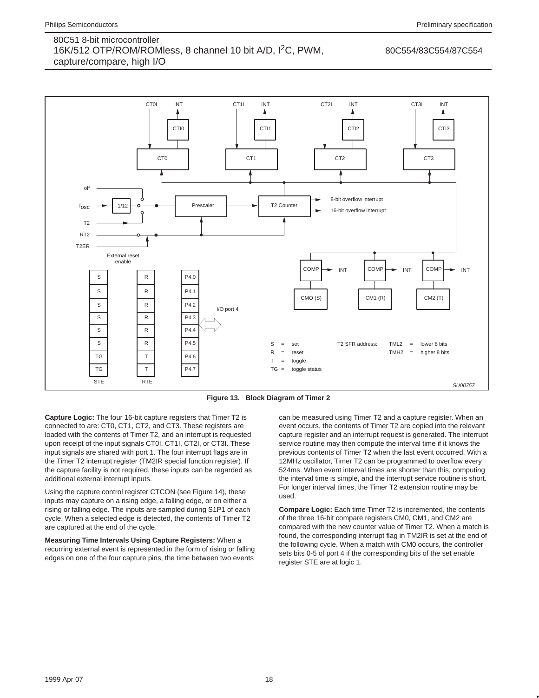#### 80C554/83C554/87C554



**Figure 13. Block Diagram of Timer 2**

**Capture Logic:** The four 16-bit capture registers that Timer T2 is connected to are: CT0, CT1, CT2, and CT3. These registers are loaded with the contents of Timer T2, and an interrupt is requested upon receipt of the input signals CT0I, CT1I, CT2I, or CT3I. These input signals are shared with port 1. The four interrupt flags are in the Timer T2 interrupt register (TM2IR special function register). If the capture facility is not required, these inputs can be regarded as additional external interrupt inputs.

Using the capture control register CTCON (see Figure 14), these inputs may capture on a rising edge, a falling edge, or on either a rising or falling edge. The inputs are sampled during S1P1 of each cycle. When a selected edge is detected, the contents of Timer T2 are captured at the end of the cycle.

**Measuring Time Intervals Using Capture Registers:** When a recurring external event is represented in the form of rising or falling edges on one of the four capture pins, the time between two events

can be measured using Timer T2 and a capture register. When an event occurs, the contents of Timer T2 are copied into the relevant capture register and an interrupt request is generated. The interrupt service routine may then compute the interval time if it knows the previous contents of Timer T2 when the last event occurred. With a 12MHz oscillator, Timer T2 can be programmed to overflow every 524ms. When event interval times are shorter than this, computing the interval time is simple, and the interrupt service routine is short. For longer interval times, the Timer T2 extension routine may be used.

**Compare Logic:** Each time Timer T2 is incremented, the contents of the three 16-bit compare registers CM0, CM1, and CM2 are compared with the new counter value of Timer T2. When a match is found, the corresponding interrupt flag in TM2IR is set at the end of the following cycle. When a match with CM0 occurs, the controller sets bits 0-5 of port 4 if the corresponding bits of the set enable register STE are at logic 1.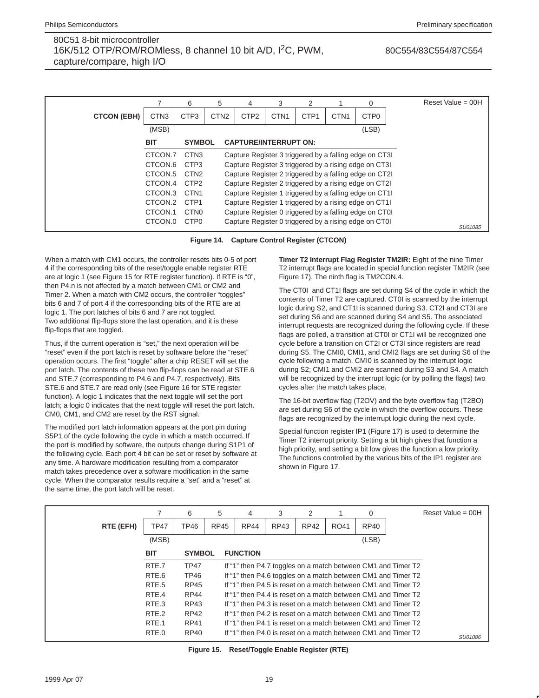|                    |                     | 6                | 5                | 4                                                      | 3                | 2                |                  | $\Omega$                                               | Reset Value = $00H$ |
|--------------------|---------------------|------------------|------------------|--------------------------------------------------------|------------------|------------------|------------------|--------------------------------------------------------|---------------------|
| <b>CTCON (EBH)</b> | CTN <sub>3</sub>    | CTP <sub>3</sub> | CTN <sub>2</sub> | CTP <sub>2</sub>                                       | CTN <sub>1</sub> | CTP <sub>1</sub> | CTN <sub>1</sub> | CTP <sub>0</sub>                                       |                     |
|                    | (MSB)               |                  |                  |                                                        |                  |                  |                  | (LSB)                                                  |                     |
|                    | <b>BIT</b>          | <b>SYMBOL</b>    |                  | <b>CAPTURE/INTERRUPT ON:</b>                           |                  |                  |                  |                                                        |                     |
|                    | CTCON.7             | CTN <sub>3</sub> |                  |                                                        |                  |                  |                  | Capture Register 3 triggered by a falling edge on CT3I |                     |
|                    | CTCON.6             | CTP <sub>3</sub> |                  | Capture Register 3 triggered by a rising edge on CT3I  |                  |                  |                  |                                                        |                     |
|                    | CTCON <sub>.5</sub> | CTN <sub>2</sub> |                  | Capture Register 2 triggered by a falling edge on CT2I |                  |                  |                  |                                                        |                     |
|                    | CTCON.4             | CTP <sub>2</sub> |                  |                                                        |                  |                  |                  | Capture Register 2 triggered by a rising edge on CT2I  |                     |
|                    | CTCON.3             | CTN <sub>1</sub> |                  | Capture Register 1 triggered by a falling edge on CT11 |                  |                  |                  |                                                        |                     |
|                    | CTCON.2             | CTP <sub>1</sub> |                  |                                                        |                  |                  |                  | Capture Register 1 triggered by a rising edge on CT11  |                     |
|                    | CTCON.1             | CTN <sub>0</sub> |                  |                                                        |                  |                  |                  | Capture Register 0 triggered by a falling edge on CT0I |                     |
|                    | CTCON.0             | CTP <sub>0</sub> |                  |                                                        |                  |                  |                  | Capture Register 0 triggered by a rising edge on CT0I  | SU01085             |

**Figure 14. Capture Control Register (CTCON)**

When a match with CM1 occurs, the controller resets bits 0-5 of port 4 if the corresponding bits of the reset/toggle enable register RTE are at logic 1 (see Figure 15 for RTE register function). If RTE is "0", then P4.n is not affected by a match between CM1 or CM2 and Timer 2. When a match with CM2 occurs, the controller "toggles" bits 6 and 7 of port 4 if the corresponding bits of the RTE are at logic 1. The port latches of bits 6 and 7 are not toggled. Two additional flip-flops store the last operation, and it is these flip-flops that are toggled.

Thus, if the current operation is "set," the next operation will be "reset" even if the port latch is reset by software before the "reset" operation occurs. The first "toggle" after a chip RESET will set the port latch. The contents of these two flip-flops can be read at STE.6 and STE.7 (corresponding to P4.6 and P4.7, respectively). Bits STE.6 and STE.7 are read only (see Figure 16 for STE register function). A logic 1 indicates that the next toggle will set the port latch; a logic 0 indicates that the next toggle will reset the port latch. CM0, CM1, and CM2 are reset by the RST signal.

The modified port latch information appears at the port pin during S5P1 of the cycle following the cycle in which a match occurred. If the port is modified by software, the outputs change during S1P1 of the following cycle. Each port 4 bit can be set or reset by software at any time. A hardware modification resulting from a comparator match takes precedence over a software modification in the same cycle. When the comparator results require a "set" and a "reset" at the same time, the port latch will be reset.

**Timer T2 Interrupt Flag Register TM2IR:** Eight of the nine Timer T2 interrupt flags are located in special function register TM2IR (see Figure 17). The ninth flag is TM2CON.4.

The CT0I and CT1I flags are set during S4 of the cycle in which the contents of Timer T2 are captured. CT0I is scanned by the interrupt logic during S2, and CT1I is scanned during S3. CT2I and CT3I are set during S6 and are scanned during S4 and S5. The associated interrupt requests are recognized during the following cycle. If these flags are polled, a transition at CT0I or CT1I will be recognized one cycle before a transition on CT2I or CT3I since registers are read during S5. The CMI0, CMI1, and CMI2 flags are set during S6 of the cycle following a match. CMI0 is scanned by the interrupt logic during S2; CMI1 and CMI2 are scanned during S3 and S4. A match will be recognized by the interrupt logic (or by polling the flags) two cycles after the match takes place.

The 16-bit overflow flag (T2OV) and the byte overflow flag (T2BO) are set during S6 of the cycle in which the overflow occurs. These flags are recognized by the interrupt logic during the next cycle.

Special function register IP1 (Figure 17) is used to determine the Timer T2 interrupt priority. Setting a bit high gives that function a high priority, and setting a bit low gives the function a low priority. The functions controlled by the various bits of the IP1 register are shown in Figure 17.

|             | 6           | 5           | 4             | 3               | 2           |      | 0     | Reset Value = $00H$                                                                                                                                                                                                                                                                                                                                                                                                                                                                                                                |
|-------------|-------------|-------------|---------------|-----------------|-------------|------|-------|------------------------------------------------------------------------------------------------------------------------------------------------------------------------------------------------------------------------------------------------------------------------------------------------------------------------------------------------------------------------------------------------------------------------------------------------------------------------------------------------------------------------------------|
| <b>TP47</b> | TP46        | <b>RP45</b> | <b>RP44</b>   | RP43            | <b>RP42</b> | RO41 | RP40  |                                                                                                                                                                                                                                                                                                                                                                                                                                                                                                                                    |
| (MSB)       |             |             |               |                 |             |      | (LSB) |                                                                                                                                                                                                                                                                                                                                                                                                                                                                                                                                    |
| <b>BIT</b>  |             |             |               |                 |             |      |       |                                                                                                                                                                                                                                                                                                                                                                                                                                                                                                                                    |
| RTE.7       | <b>TP47</b> |             |               |                 |             |      |       |                                                                                                                                                                                                                                                                                                                                                                                                                                                                                                                                    |
| RTE.6       | <b>TP46</b> |             |               |                 |             |      |       |                                                                                                                                                                                                                                                                                                                                                                                                                                                                                                                                    |
| RTE.5       | <b>RP45</b> |             |               |                 |             |      |       |                                                                                                                                                                                                                                                                                                                                                                                                                                                                                                                                    |
| RTE.4       | <b>RP44</b> |             |               |                 |             |      |       |                                                                                                                                                                                                                                                                                                                                                                                                                                                                                                                                    |
| RTE.3       | RP43        |             |               |                 |             |      |       |                                                                                                                                                                                                                                                                                                                                                                                                                                                                                                                                    |
| RTE.2       | <b>RP42</b> |             |               |                 |             |      |       |                                                                                                                                                                                                                                                                                                                                                                                                                                                                                                                                    |
| RTE.1       | <b>RP41</b> |             |               |                 |             |      |       |                                                                                                                                                                                                                                                                                                                                                                                                                                                                                                                                    |
| RTE.0       | RP40        |             |               |                 |             |      |       | SU01086                                                                                                                                                                                                                                                                                                                                                                                                                                                                                                                            |
|             |             |             | <b>SYMBOL</b> | <b>FUNCTION</b> |             |      |       | If "1" then P4.7 toggles on a match between CM1 and Timer T2<br>If "1" then P4.6 toggles on a match between CM1 and Timer T2<br>If "1" then P4.5 is reset on a match between CM1 and Timer T2<br>If "1" then P4.4 is reset on a match between CM1 and Timer T2<br>If "1" then P4.3 is reset on a match between CM1 and Timer T2<br>If "1" then P4.2 is reset on a match between CM1 and Timer T2<br>If "1" then P4.1 is reset on a match between CM1 and Timer T2<br>If "1" then P4.0 is reset on a match between CM1 and Timer T2 |

**Figure 15. Reset/Toggle Enable Register (RTE)**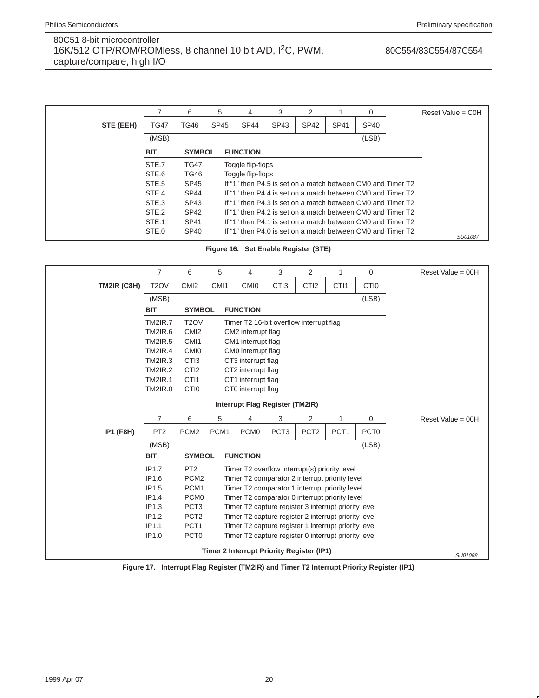# 80C554/83C554/87C554

|           |             | 6                | 5           | 4                 | 3                                                           | 2           |             | $\Omega$         | Reset Value = $COH$ |
|-----------|-------------|------------------|-------------|-------------------|-------------------------------------------------------------|-------------|-------------|------------------|---------------------|
| STE (EEH) | <b>TG47</b> | <b>TG46</b>      | <b>SP45</b> | <b>SP44</b>       | SP43                                                        | <b>SP42</b> | <b>SP41</b> | SP <sub>40</sub> |                     |
|           | (MSB)       |                  |             |                   |                                                             |             |             | (LSB)            |                     |
|           | <b>BIT</b>  | <b>SYMBOL</b>    |             | <b>FUNCTION</b>   |                                                             |             |             |                  |                     |
|           | STE.7       | <b>TG47</b>      |             | Toggle flip-flops |                                                             |             |             |                  |                     |
|           | STE.6       | <b>TG46</b>      |             | Toggle flip-flops |                                                             |             |             |                  |                     |
|           | STE.5       | <b>SP45</b>      |             |                   | If "1" then P4.5 is set on a match between CM0 and Timer T2 |             |             |                  |                     |
|           | STE.4       | SP <sub>44</sub> |             |                   | If "1" then P4.4 is set on a match between CM0 and Timer T2 |             |             |                  |                     |
|           | STE.3       | SP43             |             |                   | If "1" then P4.3 is set on a match between CM0 and Timer T2 |             |             |                  |                     |
|           | STE.2       | SP <sub>42</sub> |             |                   | If "1" then P4.2 is set on a match between CM0 and Timer T2 |             |             |                  |                     |
|           | STE.1       | SP41             |             |                   | If "1" then P4.1 is set on a match between CM0 and Timer T2 |             |             |                  |                     |
|           | STE.0       | <b>SP40</b>      |             |                   | If "1" then P4.0 is set on a match between CM0 and Timer T2 |             |             |                  | SU01087             |

**Figure 16. Set Enable Register (STE)**

|                  | $\overline{7}$                  | 6                 | 5                                                    | 4                  | 3                | 2                                                    | 1                | $\mathbf 0$      |  |  |
|------------------|---------------------------------|-------------------|------------------------------------------------------|--------------------|------------------|------------------------------------------------------|------------------|------------------|--|--|
| TM2IR (C8H)      | T <sub>2</sub> OV               | CM <sub>12</sub>  | CM <sub>11</sub>                                     | <b>CMIO</b>        | CTI <sub>3</sub> | CTI <sub>2</sub>                                     | CTI <sub>1</sub> | CTI <sub>0</sub> |  |  |
|                  | (MSB)                           |                   |                                                      |                    |                  |                                                      |                  | (LSB)            |  |  |
|                  | <b>BIT</b>                      | <b>SYMBOL</b>     |                                                      | <b>FUNCTION</b>    |                  |                                                      |                  |                  |  |  |
|                  | <b>TM2IR.7</b>                  | T <sub>2</sub> OV |                                                      |                    |                  | Timer T2 16-bit overflow interrupt flag              |                  |                  |  |  |
|                  | <b>TM2IR.6</b>                  | CM <sub>12</sub>  |                                                      | CM2 interrupt flag |                  |                                                      |                  |                  |  |  |
|                  | <b>TM2IR.5</b>                  | CMI <sub>1</sub>  | CM1 interrupt flag                                   |                    |                  |                                                      |                  |                  |  |  |
|                  | <b>TM2IR.4</b>                  | CM <sub>I0</sub>  | CM0 interrupt flag                                   |                    |                  |                                                      |                  |                  |  |  |
|                  | <b>TM2IR.3</b>                  | CTI3              | CT3 interrupt flag                                   |                    |                  |                                                      |                  |                  |  |  |
|                  | <b>TM2IR.2</b>                  | CTI <sub>2</sub>  |                                                      | CT2 interrupt flag |                  |                                                      |                  |                  |  |  |
|                  | <b>TM2IR.1</b>                  | CTI1              | CT1 interrupt flag                                   |                    |                  |                                                      |                  |                  |  |  |
|                  | <b>TM2IR.0</b>                  | CTI <sub>0</sub>  |                                                      | CT0 interrupt flag |                  |                                                      |                  |                  |  |  |
|                  | Interrupt Flag Register (TM2IR) |                   |                                                      |                    |                  |                                                      |                  |                  |  |  |
|                  | $\overline{7}$                  | 6                 | 5                                                    | 4                  | 3                | 2                                                    | 1                | $\mathbf 0$      |  |  |
| <b>IP1 (F8H)</b> | PT <sub>2</sub>                 | PCM <sub>2</sub>  | PCM1                                                 | PCM <sub>0</sub>   | PCT <sub>3</sub> | PCT <sub>2</sub>                                     | PCT <sub>1</sub> | PCT <sub>0</sub> |  |  |
|                  | (MSB)                           |                   |                                                      |                    |                  |                                                      |                  | (LSB)            |  |  |
|                  | <b>BIT</b>                      | <b>SYMBOL</b>     |                                                      | <b>FUNCTION</b>    |                  |                                                      |                  |                  |  |  |
|                  | IP1.7                           | PT <sub>2</sub>   |                                                      |                    |                  | Timer T2 overflow interrupt(s) priority level        |                  |                  |  |  |
|                  | IP1.6                           | PCM <sub>2</sub>  |                                                      |                    |                  | Timer T2 comparator 2 interrupt priority level       |                  |                  |  |  |
|                  | IP1.5                           | PCM <sub>1</sub>  | Timer T2 comparator 1 interrupt priority level       |                    |                  |                                                      |                  |                  |  |  |
|                  | IP1.4                           | PCM <sub>0</sub>  |                                                      |                    |                  | Timer T2 comparator 0 interrupt priority level       |                  |                  |  |  |
|                  | IP1.3                           | PCT <sub>3</sub>  |                                                      |                    |                  | Timer T2 capture register 3 interrupt priority level |                  |                  |  |  |
|                  | IP1.2                           | PCT <sub>2</sub>  |                                                      |                    |                  | Timer T2 capture register 2 interrupt priority level |                  |                  |  |  |
|                  | IP1.1                           | PCT <sub>1</sub>  | Timer T2 capture register 1 interrupt priority level |                    |                  |                                                      |                  |                  |  |  |
|                  | IP1.0                           | PCT <sub>0</sub>  |                                                      |                    |                  | Timer T2 capture register 0 interrupt priority level |                  |                  |  |  |
|                  |                                 |                   |                                                      |                    |                  | <b>Timer 2 Interrupt Priority Register (IP1)</b>     |                  |                  |  |  |

**Figure 17. Interrupt Flag Register (TM2IR) and Timer T2 Interrupt Priority Register (IP1)**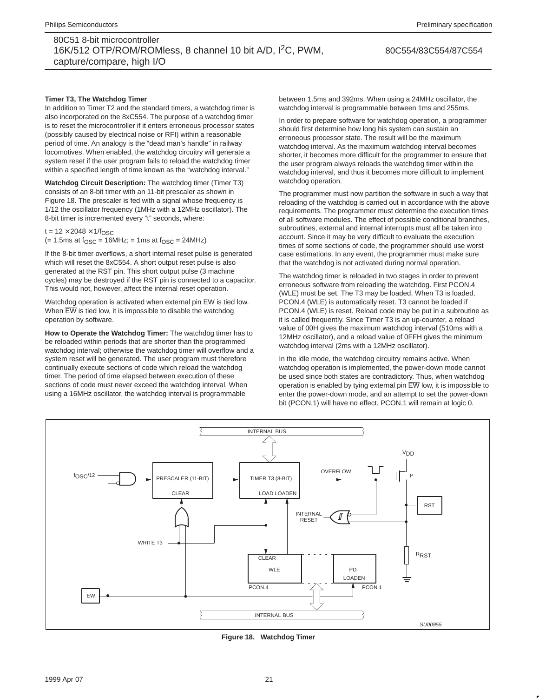#### 80C554/83C554/87C554

#### **Timer T3, The Watchdog Timer**

In addition to Timer T2 and the standard timers, a watchdog timer is also incorporated on the 8xC554. The purpose of a watchdog timer is to reset the microcontroller if it enters erroneous processor states (possibly caused by electrical noise or RFI) within a reasonable period of time. An analogy is the "dead man's handle" in railway locomotives. When enabled, the watchdog circuitry will generate a system reset if the user program fails to reload the watchdog timer within a specified length of time known as the "watchdog interval."

**Watchdog Circuit Description:** The watchdog timer (Timer T3) consists of an 8-bit timer with an 11-bit prescaler as shown in Figure 18. The prescaler is fed with a signal whose frequency is 1/12 the oscillator frequency (1MHz with a 12MHz oscillator). The 8-bit timer is incremented every "t" seconds, where:

 $t = 12 \times 2048 \times 1/f_{\text{OSC}}$  $(= 1.5 \text{ms at } f_{\text{OSC}} = 16 \text{MHz}; = 1 \text{ms at } f_{\text{OSC}} = 24 \text{MHz})$ 

If the 8-bit timer overflows, a short internal reset pulse is generated which will reset the 8xC554. A short output reset pulse is also generated at the RST pin. This short output pulse (3 machine cycles) may be destroyed if the RST pin is connected to a capacitor. This would not, however, affect the internal reset operation.

Watchdog operation is activated when external pin  $\overline{\mathrm{EW}}$  is tied low. When EW is tied low, it is impossible to disable the watchdog operation by software.

**How to Operate the Watchdog Timer:** The watchdog timer has to be reloaded within periods that are shorter than the programmed watchdog interval; otherwise the watchdog timer will overflow and a system reset will be generated. The user program must therefore continually execute sections of code which reload the watchdog timer. The period of time elapsed between execution of these sections of code must never exceed the watchdog interval. When using a 16MHz oscillator, the watchdog interval is programmable

between 1.5ms and 392ms. When using a 24MHz oscillator, the watchdog interval is programmable between 1ms and 255ms.

In order to prepare software for watchdog operation, a programmer should first determine how long his system can sustain an erroneous processor state. The result will be the maximum watchdog interval. As the maximum watchdog interval becomes shorter, it becomes more difficult for the programmer to ensure that the user program always reloads the watchdog timer within the watchdog interval, and thus it becomes more difficult to implement watchdog operation.

The programmer must now partition the software in such a way that reloading of the watchdog is carried out in accordance with the above requirements. The programmer must determine the execution times of all software modules. The effect of possible conditional branches, subroutines, external and internal interrupts must all be taken into account. Since it may be very difficult to evaluate the execution times of some sections of code, the programmer should use worst case estimations. In any event, the programmer must make sure that the watchdog is not activated during normal operation.

The watchdog timer is reloaded in two stages in order to prevent erroneous software from reloading the watchdog. First PCON.4 (WLE) must be set. The T3 may be loaded. When T3 is loaded, PCON.4 (WLE) is automatically reset. T3 cannot be loaded if PCON.4 (WLE) is reset. Reload code may be put in a subroutine as it is called frequently. Since Timer T3 is an up-counter, a reload value of 00H gives the maximum watchdog interval (510ms with a 12MHz oscillator), and a reload value of 0FFH gives the minimum watchdog interval (2ms with a 12MHz oscillator).

In the idle mode, the watchdog circuitry remains active. When watchdog operation is implemented, the power-down mode cannot be used since both states are contradictory. Thus, when watchdog operation is enabled by tying external pin  $\overline{EW}$  low, it is impossible to enter the power-down mode, and an attempt to set the power-down bit (PCON.1) will have no effect. PCON.1 will remain at logic 0.



**Figure 18. Watchdog Timer**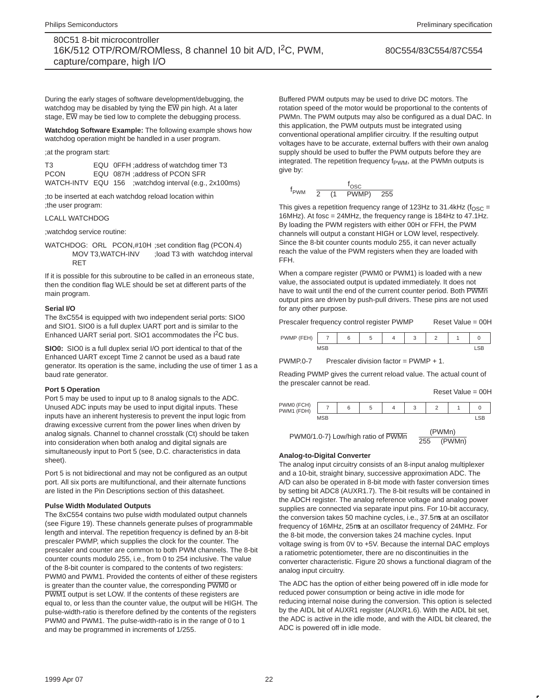#### 80C554/83C554/87C554

During the early stages of software development/debugging, the watchdog may be disabled by tying the  $\overline{\rm EW}$  pin high. At a later stage, EW may be tied low to complete the debugging process.

**Watchdog Software Example:** The following example shows how watchdog operation might be handled in a user program.

;at the program start:

| T3          | EQU OFFH ; address of watchdog timer T3                |
|-------------|--------------------------------------------------------|
| <b>PCON</b> | EQU 087H :address of PCON SFR                          |
|             | WATCH-INTV EQU 156 ; watchdog interval (e.g., 2x100ms) |

;to be inserted at each watchdog reload location within ;the user program:

#### LCALL WATCHDOG

;watchdog service routine:

WATCHDOG: ORL PCON,#10H ;set condition flag (PCON.4) MOV T3,WATCH-INV ;load T3 with watchdog interval RET

If it is possible for this subroutine to be called in an erroneous state, then the condition flag WLE should be set at different parts of the main program.

#### **Serial I/O**

The 8xC554 is equipped with two independent serial ports: SIO0 and SIO1. SIO0 is a full duplex UART port and is similar to the Enhanced UART serial port. SIO1 accommodates the  $1^2C$  bus.

**SIO0:** SIO0 is a full duplex serial I/O port identical to that of the Enhanced UART except Time 2 cannot be used as a baud rate generator. Its operation is the same, including the use of timer 1 as a baud rate generator.

#### **Port 5 Operation**

Port 5 may be used to input up to 8 analog signals to the ADC. Unused ADC inputs may be used to input digital inputs. These inputs have an inherent hysteresis to prevent the input logic from drawing excessive current from the power lines when driven by analog signals. Channel to channel crosstalk (Ct) should be taken into consideration when both analog and digital signals are simultaneously input to Port 5 (see, D.C. characteristics in data sheet).

Port 5 is not bidirectional and may not be configured as an output port. All six ports are multifunctional, and their alternate functions are listed in the Pin Descriptions section of this datasheet.

#### **Pulse Width Modulated Outputs**

The 8xC554 contains two pulse width modulated output channels (see Figure 19). These channels generate pulses of programmable length and interval. The repetition frequency is defined by an 8-bit prescaler PWMP, which supplies the clock for the counter. The prescaler and counter are common to both PWM channels. The 8-bit counter counts modulo 255, i.e., from 0 to 254 inclusive. The value of the 8-bit counter is compared to the contents of two registers: PWM0 and PWM1. Provided the contents of either of these registers is greater than the counter value, the corresponding PWM0 or PWM1 output is set LOW. If the contents of these registers are equal to, or less than the counter value, the output will be HIGH. The pulse-width-ratio is therefore defined by the contents of the registers PWM0 and PWM1. The pulse-width-ratio is in the range of 0 to 1 and may be programmed in increments of 1/255.

Buffered PWM outputs may be used to drive DC motors. The rotation speed of the motor would be proportional to the contents of PWMn. The PWM outputs may also be configured as a dual DAC. In this application, the PWM outputs must be integrated using conventional operational amplifier circuitry. If the resulting output voltages have to be accurate, external buffers with their own analog supply should be used to buffer the PWM outputs before they are integrated. The repetition frequency f<sub>PWM</sub>, at the PWMn outputs is give by:

$$
f_{\text{PWM}} = \frac{f_{\text{OSC}}}{2 \times (1 + \text{PWMP}) \times 255}
$$

This gives a repetition frequency range of 123Hz to 31.4kHz ( $f_{\text{OSC}} =$ 16MHz). At fosc = 24MHz, the frequency range is 184Hz to 47.1Hz. By loading the PWM registers with either 00H or FFH, the PWM channels will output a constant HIGH or LOW level, respectively. Since the 8-bit counter counts modulo 255, it can never actually reach the value of the PWM registers when they are loaded with FFH.

When a compare register (PWM0 or PWM1) is loaded with a new value, the associated output is updated immediately. It does not have to wait until the end of the current counter period. Both PWMn output pins are driven by push-pull drivers. These pins are not used for any other purpose.

Prescaler frequency control register PWMP Reset Value = 00H

PWMP (FEH) 76 5 432 10

PWMP.0-7 Prescaler division factor = PWMP + 1.

Reading PWMP gives the current reload value. The actual count of the prescaler cannot be read.

MSB LSB

Reset Value = 00H

| PWM0 (FCH)<br>(FDH)<br>PWM1 |            | J |  |  |  |
|-----------------------------|------------|---|--|--|--|
|                             | <b>MCD</b> |   |  |  |  |

PWM0/1.0-7} Low/high ratio of  $\overline{\text{PWMn}} = \frac{(\text{PWMn})}{255 - (\text{PWMn})}$ 

#### **Analog-to-Digital Converter**

The analog input circuitry consists of an 8-input analog multiplexer and a 10-bit, straight binary, successive approximation ADC. The A/D can also be operated in 8-bit mode with faster conversion times by setting bit ADC8 (AUXR1.7). The 8-bit results will be contained in the ADCH register. The analog reference voltage and analog power supplies are connected via separate input pins. For 10-bit accuracy, the conversion takes 50 machine cycles, i.e., 37.5µs at an oscillator frequency of 16MHz, 25µs at an oscillator frequency of 24MHz. For the 8-bit mode, the conversion takes 24 machine cycles. Input voltage swing is from 0V to +5V. Because the internal DAC employs a ratiometric potentiometer, there are no discontinuities in the converter characteristic. Figure 20 shows a functional diagram of the analog input circuitry.

The ADC has the option of either being powered off in idle mode for reduced power consumption or being active in idle mode for reducing internal noise during the conversion. This option is selected by the AIDL bit of AUXR1 register (AUXR1.6). With the AIDL bit set, the ADC is active in the idle mode, and with the AIDL bit cleared, the ADC is powered off in idle mode.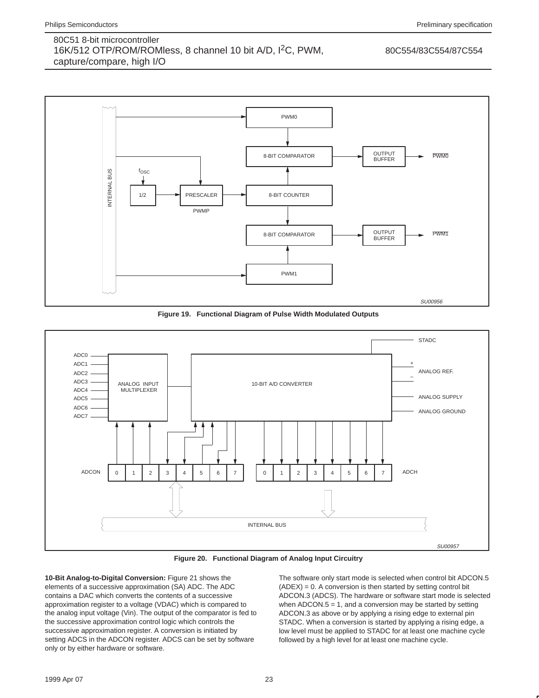#### 80C554/83C554/87C554



**Figure 19. Functional Diagram of Pulse Width Modulated Outputs**



**Figure 20. Functional Diagram of Analog Input Circuitry**

**10-Bit Analog-to-Digital Conversion:** Figure 21 shows the elements of a successive approximation (SA) ADC. The ADC contains a DAC which converts the contents of a successive approximation register to a voltage (VDAC) which is compared to the analog input voltage (Vin). The output of the comparator is fed to the successive approximation control logic which controls the successive approximation register. A conversion is initiated by setting ADCS in the ADCON register. ADCS can be set by software only or by either hardware or software.

The software only start mode is selected when control bit ADCON.5  $(ADEX) = 0$ . A conversion is then started by setting control bit ADCON.3 (ADCS). The hardware or software start mode is selected when  $ADCON.5 = 1$ , and a conversion may be started by setting ADCON.3 as above or by applying a rising edge to external pin STADC. When a conversion is started by applying a rising edge, a low level must be applied to STADC for at least one machine cycle followed by a high level for at least one machine cycle.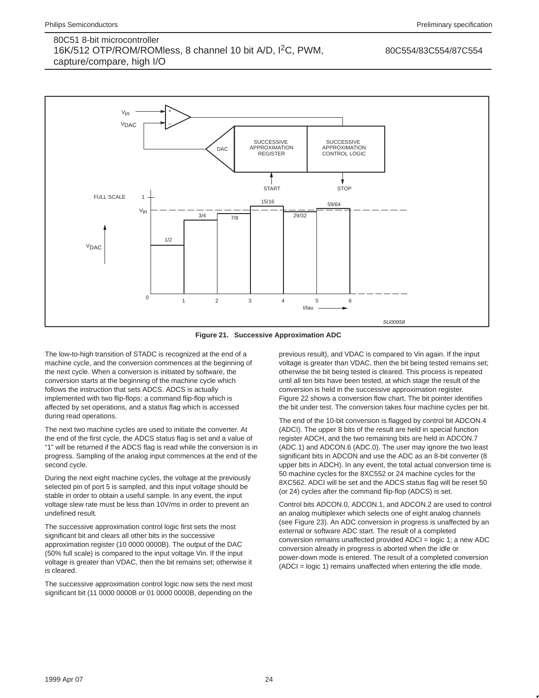#### 80C554/83C554/87C554



**Figure 21. Successive Approximation ADC**

The low-to-high transition of STADC is recognized at the end of a machine cycle, and the conversion commences at the beginning of the next cycle. When a conversion is initiated by software, the conversion starts at the beginning of the machine cycle which follows the instruction that sets ADCS. ADCS is actually implemented with two flip-flops: a command flip-flop which is affected by set operations, and a status flag which is accessed during read operations.

The next two machine cycles are used to initiate the converter. At the end of the first cycle, the ADCS status flag is set and a value of "1" will be returned if the ADCS flag is read while the conversion is in progress. Sampling of the analog input commences at the end of the second cycle.

During the next eight machine cycles, the voltage at the previously selected pin of port 5 is sampled, and this input voltage should be stable in order to obtain a useful sample. In any event, the input voltage slew rate must be less than 10V/ms in order to prevent an undefined result.

The successive approximation control logic first sets the most significant bit and clears all other bits in the successive approximation register (10 0000 0000B). The output of the DAC (50% full scale) is compared to the input voltage Vin. If the input voltage is greater than VDAC, then the bit remains set; otherwise it is cleared.

The successive approximation control logic now sets the next most significant bit (11 0000 0000B or 01 0000 0000B, depending on the

previous result), and VDAC is compared to Vin again. If the input voltage is greater than VDAC, then the bit being tested remains set; otherwise the bit being tested is cleared. This process is repeated until all ten bits have been tested, at which stage the result of the conversion is held in the successive approximation register. Figure 22 shows a conversion flow chart. The bit pointer identifies the bit under test. The conversion takes four machine cycles per bit.

The end of the 10-bit conversion is flagged by control bit ADCON.4 (ADCI). The upper 8 bits of the result are held in special function register ADCH, and the two remaining bits are held in ADCON.7 (ADC.1) and ADCON.6 (ADC.0). The user may ignore the two least significant bits in ADCON and use the ADC as an 8-bit converter (8 upper bits in ADCH). In any event, the total actual conversion time is 50 machine cycles for the 8XC552 or 24 machine cycles for the 8XC562. ADCI will be set and the ADCS status flag will be reset 50 (or 24) cycles after the command flip-flop (ADCS) is set.

Control bits ADCON.0, ADCON.1, and ADCON.2 are used to control an analog multiplexer which selects one of eight analog channels (see Figure 23). An ADC conversion in progress is unaffected by an external or software ADC start. The result of a completed conversion remains unaffected provided ADCI = logic 1; a new ADC conversion already in progress is aborted when the idle or power-down mode is entered. The result of a completed conversion (ADCI = logic 1) remains unaffected when entering the idle mode.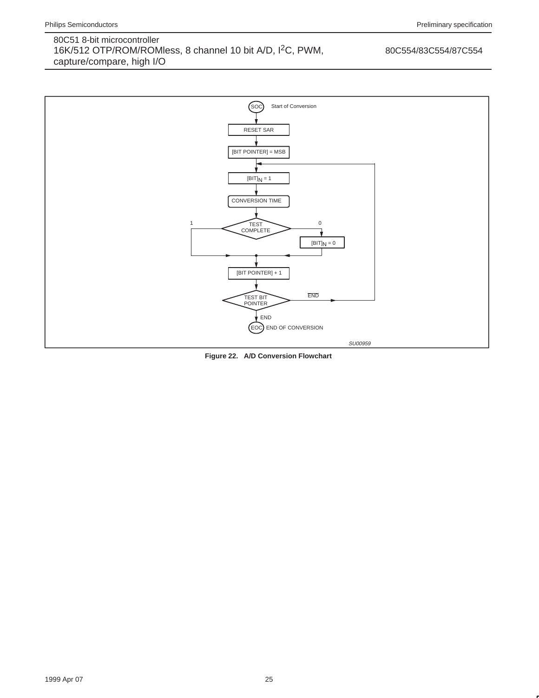### 80C554/83C554/87C554



**Figure 22. A/D Conversion Flowchart**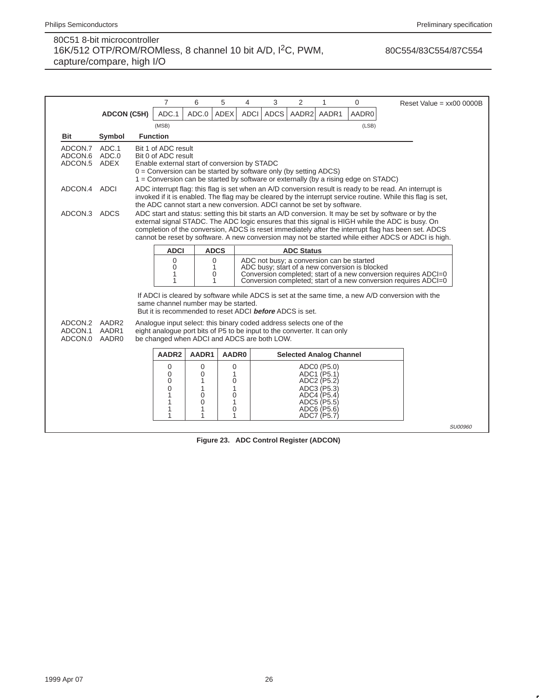80C554/83C554/87C554

|                                          |                                                                                                                                                                                                                                                                                                                                                                                                                                       |  | $\overline{7}$                                                                                                                                                                                                                                                                 | 6                                    | 5                                                 | 4           | 3           | 2     | 1                                                                                                                    | 0     |  | Reset Value = $xx000000B$                                                                        |                |  |
|------------------------------------------|---------------------------------------------------------------------------------------------------------------------------------------------------------------------------------------------------------------------------------------------------------------------------------------------------------------------------------------------------------------------------------------------------------------------------------------|--|--------------------------------------------------------------------------------------------------------------------------------------------------------------------------------------------------------------------------------------------------------------------------------|--------------------------------------|---------------------------------------------------|-------------|-------------|-------|----------------------------------------------------------------------------------------------------------------------|-------|--|--------------------------------------------------------------------------------------------------|----------------|--|
|                                          | <b>ADCON (C5H)</b>                                                                                                                                                                                                                                                                                                                                                                                                                    |  | ADC.1                                                                                                                                                                                                                                                                          | ADC.0                                | <b>ADEX</b>                                       | <b>ADCI</b> | <b>ADCS</b> | AADR2 | AADR1                                                                                                                | AADR0 |  |                                                                                                  |                |  |
|                                          |                                                                                                                                                                                                                                                                                                                                                                                                                                       |  | (MSB)                                                                                                                                                                                                                                                                          |                                      |                                                   |             |             |       |                                                                                                                      | (LSB) |  |                                                                                                  |                |  |
| <b>Bit</b>                               | Symbol                                                                                                                                                                                                                                                                                                                                                                                                                                |  | <b>Function</b>                                                                                                                                                                                                                                                                |                                      |                                                   |             |             |       |                                                                                                                      |       |  |                                                                                                  |                |  |
| ADCON.7<br>ADCON.6 ADC.0<br>ADCON.5 ADEX | ADC.1                                                                                                                                                                                                                                                                                                                                                                                                                                 |  | Bit 1 of ADC result<br>Bit 0 of ADC result<br>Enable external start of conversion by STADC<br>$0 =$ Conversion can be started by software only (by setting ADCS)<br>1 = Conversion can be started by software or externally (by a rising edge on STADC)                        |                                      |                                                   |             |             |       |                                                                                                                      |       |  |                                                                                                  |                |  |
|                                          | ADCON.4 ADCI<br>ADC interrupt flag: this flag is set when an A/D conversion result is ready to be read. An interrupt is<br>invoked if it is enabled. The flag may be cleared by the interrupt service routine. While this flag is set,<br>the ADC cannot start a new conversion. ADCI cannot be set by software.                                                                                                                      |  |                                                                                                                                                                                                                                                                                |                                      |                                                   |             |             |       |                                                                                                                      |       |  |                                                                                                  |                |  |
|                                          | ADC start and status: setting this bit starts an A/D conversion. It may be set by software or by the<br>ADCON.3 ADCS<br>external signal STADC. The ADC logic ensures that this signal is HIGH while the ADC is busy. On<br>completion of the conversion, ADCS is reset immediately after the interrupt flag has been set. ADCS<br>cannot be reset by software. A new conversion may not be started while either ADCS or ADCI is high. |  |                                                                                                                                                                                                                                                                                |                                      |                                                   |             |             |       |                                                                                                                      |       |  |                                                                                                  |                |  |
|                                          |                                                                                                                                                                                                                                                                                                                                                                                                                                       |  | <b>ADCI</b><br><b>ADCS</b><br><b>ADC Status</b>                                                                                                                                                                                                                                |                                      |                                                   |             |             |       |                                                                                                                      |       |  |                                                                                                  |                |  |
|                                          |                                                                                                                                                                                                                                                                                                                                                                                                                                       |  | ADC not busy; a conversion can be started<br>0<br>$\mathbf 0$<br>ADC busy; start of a new conversion is blocked<br>0<br>1<br>Conversion completed; start of a new conversion requires ADCI=0<br>1<br>0<br>Conversion completed; start of a new conversion requires ADCI=0<br>1 |                                      |                                                   |             |             |       |                                                                                                                      |       |  |                                                                                                  |                |  |
|                                          |                                                                                                                                                                                                                                                                                                                                                                                                                                       |  | same channel number may be started.<br>But it is recommended to reset ADCI <b>before</b> ADCS is set.                                                                                                                                                                          |                                      |                                                   |             |             |       |                                                                                                                      |       |  | If ADCI is cleared by software while ADCS is set at the same time, a new A/D conversion with the |                |  |
| ADCON.2<br>ADCON.1<br>ADCON.0            | AADR2<br>AADR1<br>AADR0                                                                                                                                                                                                                                                                                                                                                                                                               |  | Analogue input select: this binary coded address selects one of the<br>eight analogue port bits of P5 to be input to the converter. It can only<br>be changed when ADCI and ADCS are both LOW.                                                                                 |                                      |                                                   |             |             |       |                                                                                                                      |       |  |                                                                                                  |                |  |
|                                          |                                                                                                                                                                                                                                                                                                                                                                                                                                       |  | AADR2                                                                                                                                                                                                                                                                          | AADR1                                | AADR0                                             |             |             |       | <b>Selected Analog Channel</b>                                                                                       |       |  |                                                                                                  |                |  |
|                                          |                                                                                                                                                                                                                                                                                                                                                                                                                                       |  | $\mathbf 0$<br>$\mathbf 0$<br>$\Omega$<br>$\Omega$<br>1<br>1<br>1<br>1                                                                                                                                                                                                         | 0<br>0<br>1<br>1<br>0<br>0<br>1<br>1 | 0<br>1<br>0<br>1<br>$\overline{0}$<br>1<br>0<br>1 |             |             |       | ADC0 (P5.0)<br>ADC1 (P5.1)<br>ADC2 (P5.2)<br>ADC3 (P5.3)<br>ADC4 (P5.4)<br>ADC5 (P5.5)<br>ADC6 (P5.6)<br>ADC7 (P5.7) |       |  |                                                                                                  |                |  |
|                                          |                                                                                                                                                                                                                                                                                                                                                                                                                                       |  |                                                                                                                                                                                                                                                                                |                                      |                                                   |             |             |       |                                                                                                                      |       |  |                                                                                                  | <b>SU00960</b> |  |

**Figure 23. ADC Control Register (ADCON)**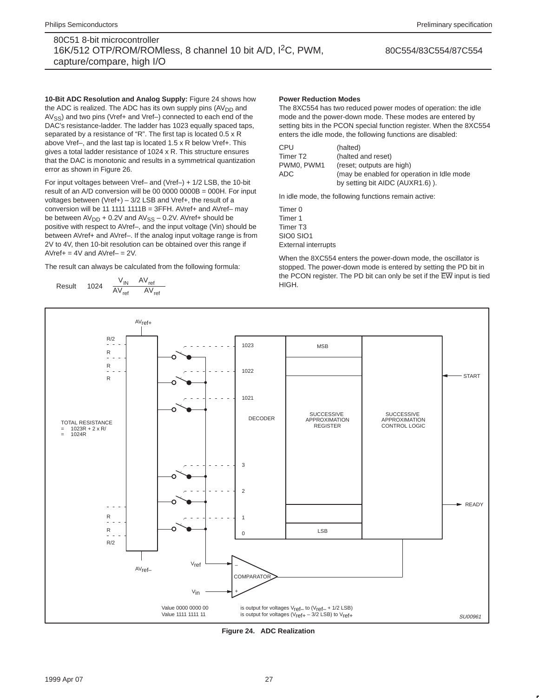#### 80C554/83C554/87C554

**10-Bit ADC Resolution and Analog Supply:** Figure 24 shows how the ADC is realized. The ADC has its own supply pins  $(AV_{DD}$  and AV<sub>SS</sub>) and two pins (Vref+ and Vref-) connected to each end of the DAC's resistance-ladder. The ladder has 1023 equally spaced taps, separated by a resistance of "R". The first tap is located 0.5 x R above Vref–, and the last tap is located 1.5 x R below Vref+. This gives a total ladder resistance of 1024 x R. This structure ensures that the DAC is monotonic and results in a symmetrical quantization error as shown in Figure 26.

For input voltages between Vref– and (Vref–) + 1/2 LSB, the 10-bit result of an  $A/D$  conversion will be 00 0000 0000B = 000H. For input voltages between (Vref+) – 3/2 LSB and Vref+, the result of a conversion will be 11 1111 1111B = 3FFH. AVref+ and AVref– may be between  $AV_{DD} + 0.2V$  and  $AV_{SS} - 0.2V$ . AVref+ should be positive with respect to AVref–, and the input voltage (Vin) should be between AVref+ and AVref-. If the analog input voltage range is from 2V to 4V, then 10-bit resolution can be obtained over this range if  $AVref += 4V$  and  $AVref – = 2V$ .

The result can always be calculated from the following formula:

$$
\text{Result} = 1024 \times \frac{V_{IN} - AV_{ref-}}{AV_{ref+} - AV_{ref-}}
$$

#### **Power Reduction Modes**

The 8XC554 has two reduced power modes of operation: the idle mode and the power-down mode. These modes are entered by setting bits in the PCON special function register. When the 8XC554 enters the idle mode, the following functions are disabled:

| CPU        | (halted)                                    |
|------------|---------------------------------------------|
| Timer T2   | (halted and reset)                          |
| PWM0. PWM1 | (reset; outputs are high)                   |
| ADC        | (may be enabled for operation in Idle mode) |
|            | by setting bit AIDC (AUXR1.6)).             |

In idle mode, the following functions remain active:

Timer 0 Timer 1 Timer T3 SIO0 SIO1 External interrupts

When the 8XC554 enters the power-down mode, the oscillator is stopped. The power-down mode is entered by setting the PD bit in the PCON register. The PD bit can only be set if the EW input is tied HIGH.



**Figure 24. ADC Realization**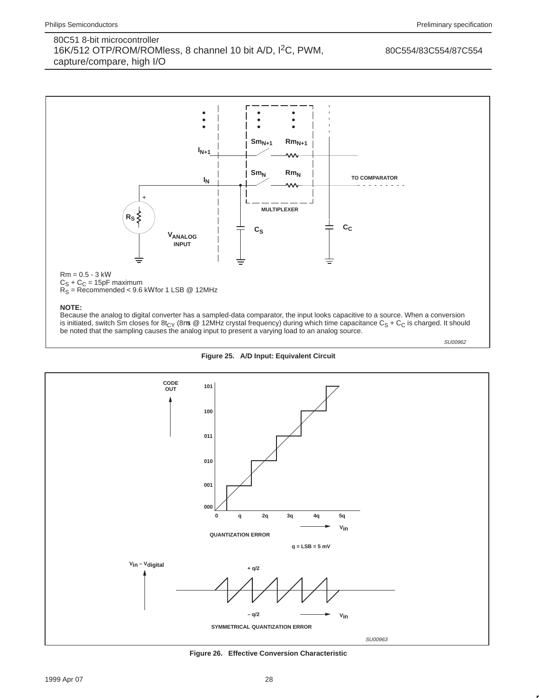#### 80C554/83C554/87C554







**Figure 26. Effective Conversion Characteristic**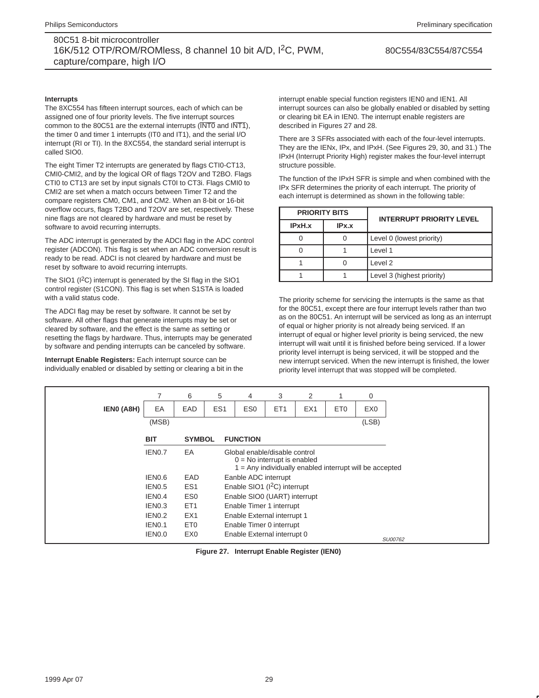80C554/83C554/87C554

#### **Interrupts**

The 8XC554 has fifteen interrupt sources, each of which can be assigned one of four priority levels. The five interrupt sources common to the 80C51 are the external interrupts  $(\overline{\text{INT0}}$  and  $\overline{\text{INT1}})$ , the timer 0 and timer 1 interrupts (IT0 and IT1), and the serial I/O interrupt (RI or TI). In the 8XC554, the standard serial interrupt is called SIO0.

The eight Timer T2 interrupts are generated by flags CTI0-CT13, CMI0-CMI2, and by the logical OR of flags T2OV and T2BO. Flags CTI0 to CT13 are set by input signals CT0I to CT3i. Flags CMI0 to CMI2 are set when a match occurs between Timer T2 and the compare registers CM0, CM1, and CM2. When an 8-bit or 16-bit overflow occurs, flags T2BO and T2OV are set, respectively. These nine flags are not cleared by hardware and must be reset by software to avoid recurring interrupts.

The ADC interrupt is generated by the ADCI flag in the ADC control register (ADCON). This flag is set when an ADC conversion result is ready to be read. ADCI is not cleared by hardware and must be reset by software to avoid recurring interrupts.

The SIO1 (I<sup>2</sup>C) interrupt is generated by the SI flag in the SIO1 control register (S1CON). This flag is set when S1STA is loaded with a valid status code.

The ADCI flag may be reset by software. It cannot be set by software. All other flags that generate interrupts may be set or cleared by software, and the effect is the same as setting or resetting the flags by hardware. Thus, interrupts may be generated by software and pending interrupts can be canceled by software.

**Interrupt Enable Registers:** Each interrupt source can be individually enabled or disabled by setting or clearing a bit in the interrupt enable special function registers IEN0 and IEN1. All interrupt sources can also be globally enabled or disabled by setting or clearing bit EA in IEN0. The interrupt enable registers are described in Figures 27 and 28.

There are 3 SFRs associated with each of the four-level interrupts. They are the IENx, IPx, and IPxH. (See Figures 29, 30, and 31.) The IPxH (Interrupt Priority High) register makes the four-level interrupt structure possible.

The function of the IPxH SFR is simple and when combined with the IPx SFR determines the priority of each interrupt. The priority of each interrupt is determined as shown in the following table:

|        | <b>PRIORITY BITS</b> | <b>INTERRUPT PRIORITY LEVEL</b> |  |  |  |  |  |
|--------|----------------------|---------------------------------|--|--|--|--|--|
| IPxH.x | IPx.x                |                                 |  |  |  |  |  |
|        |                      | Level 0 (lowest priority)       |  |  |  |  |  |
|        |                      | Level 1                         |  |  |  |  |  |
|        |                      | Level <sub>2</sub>              |  |  |  |  |  |
|        |                      | Level 3 (highest priority)      |  |  |  |  |  |

The priority scheme for servicing the interrupts is the same as that for the 80C51, except there are four interrupt levels rather than two as on the 80C51. An interrupt will be serviced as long as an interrupt of equal or higher priority is not already being serviced. If an interrupt of equal or higher level priority is being serviced, the new interrupt will wait until it is finished before being serviced. If a lower priority level interrupt is being serviced, it will be stopped and the new interrupt serviced. When the new interrupt is finished, the lower priority level interrupt that was stopped will be completed.

|            |                    | 6               | 5               | 4                                                              | 3                                                         | 2               |                 | 0               |
|------------|--------------------|-----------------|-----------------|----------------------------------------------------------------|-----------------------------------------------------------|-----------------|-----------------|-----------------|
| IENO (A8H) | EA                 | EAD             | ES <sub>1</sub> | ES <sub>0</sub>                                                | ET <sub>1</sub>                                           | EX <sub>1</sub> | ET <sub>0</sub> | EX <sub>0</sub> |
|            | (MSB)              |                 |                 |                                                                |                                                           |                 |                 | (LSB)           |
|            | <b>BIT</b>         | <b>SYMBOL</b>   |                 | <b>FUNCTION</b>                                                |                                                           |                 |                 |                 |
|            | IEN0.7             | EA              |                 | Global enable/disable control<br>$0 = No$ interrupt is enabled | $1 =$ Any individually enabled interrupt will be accepted |                 |                 |                 |
|            | IEN0.6             | EAD             |                 | Eanble ADC interrupt                                           |                                                           |                 |                 |                 |
|            | IEN0.5             | ES <sub>1</sub> |                 | Enable SIO1 (I <sup>2</sup> C) interrupt                       |                                                           |                 |                 |                 |
|            | IEN0.4             | ES <sub>0</sub> |                 | Enable SIO0 (UART) interrupt                                   |                                                           |                 |                 |                 |
|            | IEN0.3             | ET <sub>1</sub> |                 | Enable Timer 1 interrupt                                       |                                                           |                 |                 |                 |
|            | IEN0.2             | EX <sub>1</sub> |                 | Enable External interrupt 1                                    |                                                           |                 |                 |                 |
|            | IEN <sub>0.1</sub> | ET <sub>0</sub> |                 | Enable Timer 0 interrupt                                       |                                                           |                 |                 |                 |
|            | IEN0.0             | EX <sub>0</sub> |                 | Enable External interrupt 0                                    |                                                           |                 |                 | SU00762         |

**Figure 27. Interrupt Enable Register (IEN0)**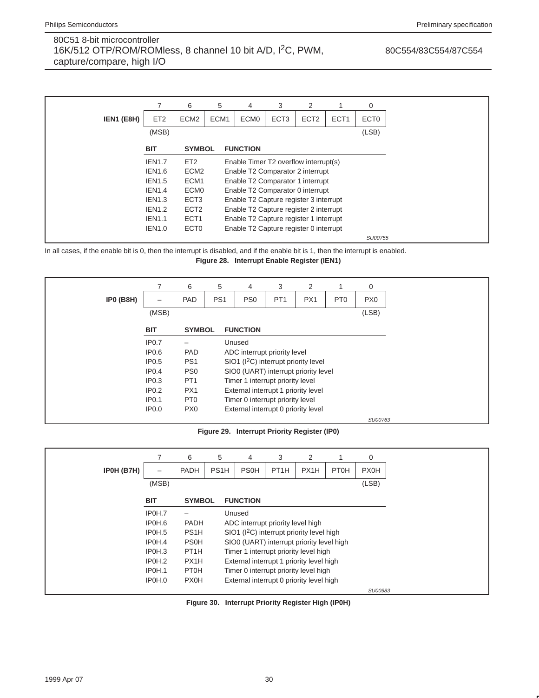80C554/83C554/87C554

|            |                 | 6                | 5                | 4                                      | 3                | 2                |                  | 0                |  |  |
|------------|-----------------|------------------|------------------|----------------------------------------|------------------|------------------|------------------|------------------|--|--|
| IEN1 (E8H) | ET <sub>2</sub> | ECM <sub>2</sub> | ECM <sub>1</sub> | ECM <sub>0</sub>                       | ECT <sub>3</sub> | ECT <sub>2</sub> | ECT <sub>1</sub> | ECT <sub>0</sub> |  |  |
|            | (MSB)           |                  |                  |                                        |                  |                  |                  | (LSB)            |  |  |
|            | <b>BIT</b>      | <b>SYMBOL</b>    |                  | <b>FUNCTION</b>                        |                  |                  |                  |                  |  |  |
|            | <b>IEN1.7</b>   | ET <sub>2</sub>  |                  | Enable Timer T2 overflow interrupt(s)  |                  |                  |                  |                  |  |  |
|            | <b>IEN1.6</b>   | ECM <sub>2</sub> |                  | Enable T2 Comparator 2 interrupt       |                  |                  |                  |                  |  |  |
|            | <b>IEN1.5</b>   | ECM <sub>1</sub> |                  | Enable T2 Comparator 1 interrupt       |                  |                  |                  |                  |  |  |
|            | <b>IEN1.4</b>   | ECM <sub>0</sub> |                  | Enable T2 Comparator 0 interrupt       |                  |                  |                  |                  |  |  |
|            | <b>IEN1.3</b>   | ECT <sub>3</sub> |                  | Enable T2 Capture register 3 interrupt |                  |                  |                  |                  |  |  |
|            | <b>IEN1.2</b>   | ECT <sub>2</sub> |                  | Enable T2 Capture register 2 interrupt |                  |                  |                  |                  |  |  |
|            | <b>IEN1.1</b>   | ECT <sub>1</sub> |                  | Enable T2 Capture register 1 interrupt |                  |                  |                  |                  |  |  |
|            | <b>IEN1.0</b>   | ECT <sub>0</sub> |                  | Enable T2 Capture register 0 interrupt |                  |                  |                  |                  |  |  |
|            |                 |                  |                  |                                        |                  |                  |                  | SU00755          |  |  |

In all cases, if the enable bit is 0, then the interrupt is disabled, and if the enable bit is 1, then the interrupt is enabled. **Figure 28. Interrupt Enable Register (IEN1)**

|                  |                   | 6               | 5               | 4                                                | 3               | 2   |                 | 0               |
|------------------|-------------------|-----------------|-----------------|--------------------------------------------------|-----------------|-----|-----------------|-----------------|
| <b>IPO (B8H)</b> | -                 | PAD             | PS <sub>1</sub> | PS <sub>0</sub>                                  | PT <sub>1</sub> | PX1 | PT <sub>0</sub> | PX <sub>0</sub> |
|                  | (MSB)             |                 |                 |                                                  |                 |     |                 | (LSB)           |
|                  | <b>BIT</b>        | <b>SYMBOL</b>   |                 | <b>FUNCTION</b>                                  |                 |     |                 |                 |
|                  | IP0.7             |                 |                 | Unused                                           |                 |     |                 |                 |
|                  | IP <sub>0.6</sub> | PAD             |                 | ADC interrupt priority level                     |                 |     |                 |                 |
|                  | IP0.5             | PS <sub>1</sub> |                 | SIO1 (I <sup>2</sup> C) interrupt priority level |                 |     |                 |                 |
|                  | IP <sub>0.4</sub> | PS <sub>0</sub> |                 | SIO0 (UART) interrupt priority level             |                 |     |                 |                 |
|                  | IP <sub>0.3</sub> | PT <sub>1</sub> |                 | Timer 1 interrupt priority level                 |                 |     |                 |                 |
|                  | IP <sub>0.2</sub> | PX <sub>1</sub> |                 | External interrupt 1 priority level              |                 |     |                 |                 |
|                  | IP0.1             | PT <sub>0</sub> |                 | Timer 0 interrupt priority level                 |                 |     |                 |                 |
|                  | <b>IP0.0</b>      | PX <sub>0</sub> |                 | External interrupt 0 priority level              |                 |     |                 |                 |
|                  |                   |                 |                 |                                                  |                 |     |                 | SU00763         |

**Figure 29. Interrupt Priority Register (IP0)**

|            |            | 6                 | 5                 | 4                                             | 3                 | 2    |             | 0           |  |  |
|------------|------------|-------------------|-------------------|-----------------------------------------------|-------------------|------|-------------|-------------|--|--|
| IP0H (B7H) |            | <b>PADH</b>       | PS <sub>1</sub> H | <b>PS0H</b>                                   | PT <sub>1</sub> H | PX1H | <b>PT0H</b> | <b>PX0H</b> |  |  |
|            | (MSB)      |                   |                   |                                               |                   |      |             | (LSB)       |  |  |
|            | <b>BIT</b> | <b>SYMBOL</b>     |                   | <b>FUNCTION</b>                               |                   |      |             |             |  |  |
|            | IP0H.7     |                   |                   | Unused                                        |                   |      |             |             |  |  |
|            | IP0H.6     | <b>PADH</b>       |                   | ADC interrupt priority level high             |                   |      |             |             |  |  |
|            | IP0H.5     | PS <sub>1</sub> H |                   | $SO1$ ( $I2C$ ) interrupt priority level high |                   |      |             |             |  |  |
|            | IP0H.4     | <b>PS0H</b>       |                   | SIO0 (UART) interrupt priority level high     |                   |      |             |             |  |  |
|            | IP0H.3     | PT <sub>1</sub> H |                   | Timer 1 interrupt priority level high         |                   |      |             |             |  |  |
|            | IP0H.2     | PX <sub>1</sub> H |                   | External interrupt 1 priority level high      |                   |      |             |             |  |  |
|            | IP0H.1     | PT <sub>0</sub> H |                   | Timer 0 interrupt priority level high         |                   |      |             |             |  |  |
|            | IP0H.0     | <b>PX0H</b>       |                   | External interrupt 0 priority level high      |                   |      |             |             |  |  |
|            |            |                   |                   |                                               |                   |      |             | SU00983     |  |  |

**Figure 30. Interrupt Priority Register High (IP0H)**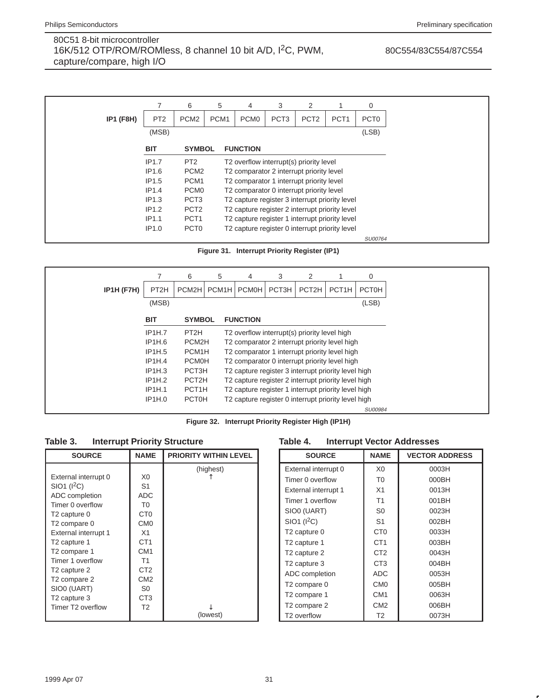80C554/83C554/87C554

|                  |                   | 6                | 5                | 4                                              | 3                | 2                |                  | 0                |
|------------------|-------------------|------------------|------------------|------------------------------------------------|------------------|------------------|------------------|------------------|
| <b>IP1 (F8H)</b> | PT <sub>2</sub>   | PCM <sub>2</sub> | PCM <sub>1</sub> | PCM <sub>0</sub>                               | PCT <sub>3</sub> | PCT <sub>2</sub> | PCT <sub>1</sub> | PCT <sub>0</sub> |
|                  | (MSB)             |                  |                  |                                                |                  |                  |                  | (LSB)            |
|                  | <b>BIT</b>        | <b>SYMBOL</b>    |                  | <b>FUNCTION</b>                                |                  |                  |                  |                  |
|                  | IP1.7             | PT <sub>2</sub>  |                  | T2 overflow interrupt(s) priority level        |                  |                  |                  |                  |
|                  | IP1.6             | PCM <sub>2</sub> |                  | T2 comparator 2 interrupt priority level       |                  |                  |                  |                  |
|                  | IP1.5             | PCM <sub>1</sub> |                  | T2 comparator 1 interrupt priority level       |                  |                  |                  |                  |
|                  | IP1.4             | PCM <sub>0</sub> |                  | T2 comparator 0 interrupt priority level       |                  |                  |                  |                  |
|                  | IP1.3             | PCT <sub>3</sub> |                  | T2 capture register 3 interrupt priority level |                  |                  |                  |                  |
|                  | IP1.2             | PCT <sub>2</sub> |                  | T2 capture register 2 interrupt priority level |                  |                  |                  |                  |
|                  | IP1.1             | PCT <sub>1</sub> |                  | T2 capture register 1 interrupt priority level |                  |                  |                  |                  |
|                  | IP <sub>1.0</sub> | PCT <sub>0</sub> |                  | T2 capture register 0 interrupt priority level |                  |                  |                  |                  |
|                  |                   |                  |                  |                                                |                  |                  |                  | SU00764          |

**Figure 31. Interrupt Priority Register (IP1)**



**Figure 32. Interrupt Priority Register High (IP1H)**

### **Table 3. Interrupt Priority Structure**

| <b>SOURCE</b>                 | <b>NAME</b>     | <b>PRIORITY WITHIN LEVEL</b> |
|-------------------------------|-----------------|------------------------------|
|                               |                 | (highest)                    |
| External interrupt 0          | X <sub>0</sub>  |                              |
| $SIO1$ ( $I2C$ )              | S <sub>1</sub>  |                              |
| ADC completion                | ADC.            |                              |
| Timer 0 overflow              | T0              |                              |
| T <sub>2</sub> capture 0      | C <sub>T0</sub> |                              |
| T <sub>2</sub> compare 0      | CM <sub>0</sub> |                              |
| External interrupt 1          | X <sub>1</sub>  |                              |
| T <sub>2</sub> capture 1      | CT <sub>1</sub> |                              |
| T2 compare 1                  | CM <sub>1</sub> |                              |
| Timer 1 overflow              | T <sub>1</sub>  |                              |
| T <sub>2</sub> capture 2      | CT <sub>2</sub> |                              |
| T <sub>2</sub> compare 2      | CM <sub>2</sub> |                              |
| SIO0 (UART)                   | S0              |                              |
| T <sub>2</sub> capture 3      | CT <sub>3</sub> |                              |
| Timer T <sub>2</sub> overflow | T <sub>2</sub>  |                              |
|                               |                 | (lowest)                     |

### **Table 4. Interrupt Vector Addresses**

| <b>SOURCE</b>            | <b>NAME</b>     | <b>VECTOR ADDRESS</b> |
|--------------------------|-----------------|-----------------------|
| External interrupt 0     | X0              | 0003H                 |
| Timer 0 overflow         | T <sub>0</sub>  | 000BH                 |
| External interrupt 1     | X1              | 0013H                 |
| Timer 1 overflow         | T1              | 001BH                 |
| SIO0 (UART)              | S <sub>0</sub>  | 0023H                 |
| $SIO1$ ( $I2C$ )         | S <sub>1</sub>  | 002BH                 |
| T <sub>2</sub> capture 0 | C <sub>T0</sub> | 0033H                 |
| T <sub>2</sub> capture 1 | CT <sub>1</sub> | 003BH                 |
| T <sub>2</sub> capture 2 | CT <sub>2</sub> | 0043H                 |
| T <sub>2</sub> capture 3 | CT <sub>3</sub> | 004BH                 |
| ADC completion           | <b>ADC</b>      | 0053H                 |
| T <sub>2</sub> compare 0 | CM <sub>0</sub> | 005BH                 |
| T <sub>2</sub> compare 1 | CM <sub>1</sub> | 0063H                 |
| T <sub>2</sub> compare 2 | CM <sub>2</sub> | 006BH                 |
| T <sub>2</sub> overflow  | T <sub>2</sub>  | 0073H                 |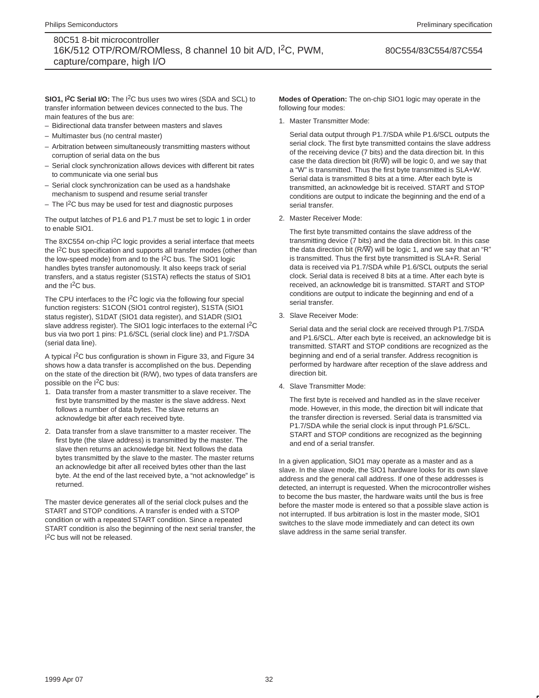80C554/83C554/87C554

**SIO1, I<sup>2</sup>C Serial I/O:** The I<sup>2</sup>C bus uses two wires (SDA and SCL) to transfer information between devices connected to the bus. The main features of the bus are:

- Bidirectional data transfer between masters and slaves
- Multimaster bus (no central master)
- Arbitration between simultaneously transmitting masters without corruption of serial data on the bus
- Serial clock synchronization allows devices with different bit rates to communicate via one serial bus
- Serial clock synchronization can be used as a handshake mechanism to suspend and resume serial transfer
- The I<sup>2</sup>C bus may be used for test and diagnostic purposes

The output latches of P1.6 and P1.7 must be set to logic 1 in order to enable SIO1.

The 8XC554 on-chip  $1^2C$  logic provides a serial interface that meets the I2C bus specification and supports all transfer modes (other than the low-speed mode) from and to the I2C bus. The SIO1 logic handles bytes transfer autonomously. It also keeps track of serial transfers, and a status register (S1STA) reflects the status of SIO1 and the I<sup>2</sup>C bus.

The CPU interfaces to the I<sup>2</sup>C logic via the following four special function registers: S1CON (SIO1 control register), S1STA (SIO1 status register), S1DAT (SIO1 data register), and S1ADR (SIO1 slave address register). The SIO1 logic interfaces to the external I<sup>2</sup>C bus via two port 1 pins: P1.6/SCL (serial clock line) and P1.7/SDA (serial data line).

A typical I2C bus configuration is shown in Figure 33, and Figure 34 shows how a data transfer is accomplished on the bus. Depending on the state of the direction bit (R/W), two types of data transfers are possible on the I2C bus:

- 1. Data transfer from a master transmitter to a slave receiver. The first byte transmitted by the master is the slave address. Next follows a number of data bytes. The slave returns an acknowledge bit after each received byte.
- 2. Data transfer from a slave transmitter to a master receiver. The first byte (the slave address) is transmitted by the master. The slave then returns an acknowledge bit. Next follows the data bytes transmitted by the slave to the master. The master returns an acknowledge bit after all received bytes other than the last byte. At the end of the last received byte, a "not acknowledge" is returned.

The master device generates all of the serial clock pulses and the START and STOP conditions. A transfer is ended with a STOP condition or with a repeated START condition. Since a repeated START condition is also the beginning of the next serial transfer, the I 2C bus will not be released.

**Modes of Operation:** The on-chip SIO1 logic may operate in the following four modes:

1. Master Transmitter Mode:

Serial data output through P1.7/SDA while P1.6/SCL outputs the serial clock. The first byte transmitted contains the slave address of the receiving device (7 bits) and the data direction bit. In this case the data direction bit ( $R/\overline{W}$ ) will be logic 0, and we say that a "W" is transmitted. Thus the first byte transmitted is SLA+W. Serial data is transmitted 8 bits at a time. After each byte is transmitted, an acknowledge bit is received. START and STOP conditions are output to indicate the beginning and the end of a serial transfer.

2. Master Receiver Mode:

The first byte transmitted contains the slave address of the transmitting device (7 bits) and the data direction bit. In this case the data direction bit ( $R/\overline{W}$ ) will be logic 1, and we say that an "R" is transmitted. Thus the first byte transmitted is SLA+R. Serial data is received via P1.7/SDA while P1.6/SCL outputs the serial clock. Serial data is received 8 bits at a time. After each byte is received, an acknowledge bit is transmitted. START and STOP conditions are output to indicate the beginning and end of a serial transfer.

3. Slave Receiver Mode:

Serial data and the serial clock are received through P1.7/SDA and P1.6/SCL. After each byte is received, an acknowledge bit is transmitted. START and STOP conditions are recognized as the beginning and end of a serial transfer. Address recognition is performed by hardware after reception of the slave address and direction bit.

4. Slave Transmitter Mode:

The first byte is received and handled as in the slave receiver mode. However, in this mode, the direction bit will indicate that the transfer direction is reversed. Serial data is transmitted via P1.7/SDA while the serial clock is input through P1.6/SCL. START and STOP conditions are recognized as the beginning and end of a serial transfer.

In a given application, SIO1 may operate as a master and as a slave. In the slave mode, the SIO1 hardware looks for its own slave address and the general call address. If one of these addresses is detected, an interrupt is requested. When the microcontroller wishes to become the bus master, the hardware waits until the bus is free before the master mode is entered so that a possible slave action is not interrupted. If bus arbitration is lost in the master mode, SIO1 switches to the slave mode immediately and can detect its own slave address in the same serial transfer.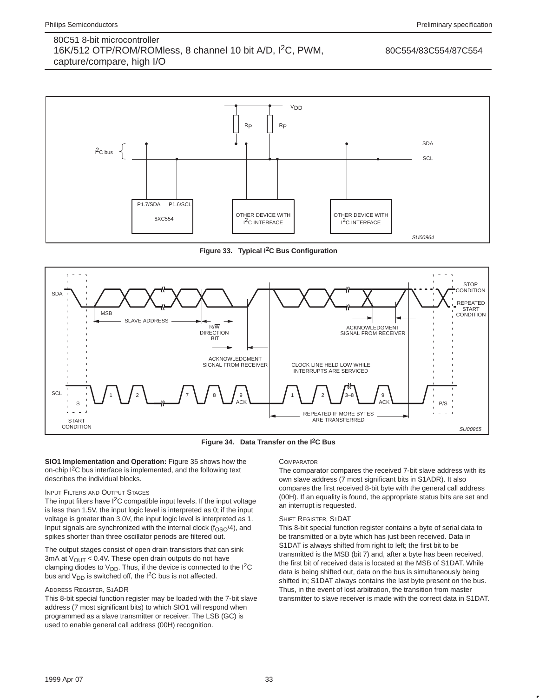#### 80C554/83C554/87C554



**Figure 33. Typical I2C Bus Configuration**



**Figure 34. Data Transfer on the I2C Bus**

**SIO1 Implementation and Operation:** Figure 35 shows how the on-chip I2C bus interface is implemented, and the following text describes the individual blocks.

#### INPUT FILTERS AND OUTPUT STAGES

The input filters have I<sup>2</sup>C compatible input levels. If the input voltage is less than 1.5V, the input logic level is interpreted as 0; if the input voltage is greater than 3.0V, the input logic level is interpreted as 1. Input signals are synchronized with the internal clock ( $f<sub>OSC</sub>/4$ ), and spikes shorter than three oscillator periods are filtered out.

The output stages consist of open drain transistors that can sink 3mA at  $V_{\text{OUT}}$  < 0.4V. These open drain outputs do not have clamping diodes to  $V_{DD}$ . Thus, if the device is connected to the I<sup>2</sup>C bus and  $V_{DD}$  is switched off, the I<sup>2</sup>C bus is not affected.

#### ADDRESS REGISTER, S1ADR

This 8-bit special function register may be loaded with the 7-bit slave address (7 most significant bits) to which SIO1 will respond when programmed as a slave transmitter or receiver. The LSB (GC) is used to enable general call address (00H) recognition.

#### **COMPARATOR**

The comparator compares the received 7-bit slave address with its own slave address (7 most significant bits in S1ADR). It also compares the first received 8-bit byte with the general call address (00H). If an equality is found, the appropriate status bits are set and an interrupt is requested.

#### SHIFT REGISTER, S1DAT

This 8-bit special function register contains a byte of serial data to be transmitted or a byte which has just been received. Data in S1DAT is always shifted from right to left; the first bit to be transmitted is the MSB (bit 7) and, after a byte has been received, the first bit of received data is located at the MSB of S1DAT. While data is being shifted out, data on the bus is simultaneously being shifted in; S1DAT always contains the last byte present on the bus. Thus, in the event of lost arbitration, the transition from master transmitter to slave receiver is made with the correct data in S1DAT.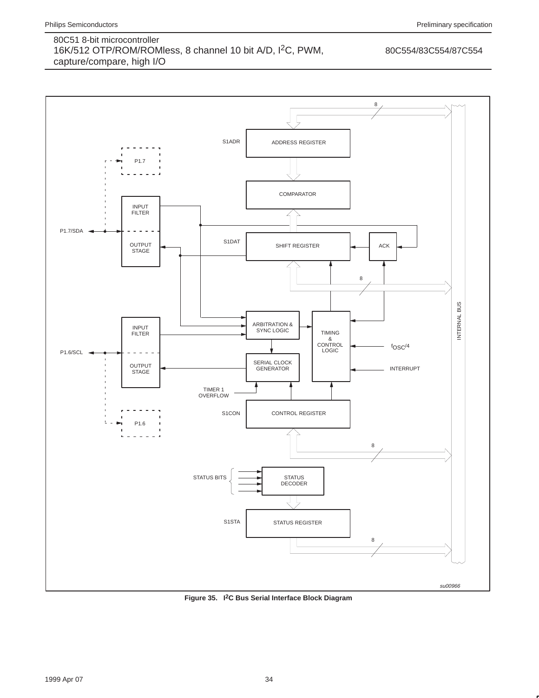### 80C554/83C554/87C554



**Figure 35. I2C Bus Serial Interface Block Diagram**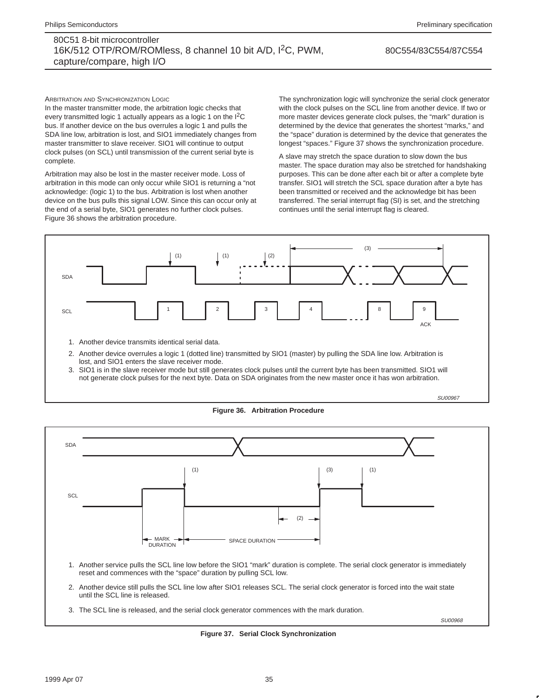#### 80C554/83C554/87C554

ARBITRATION AND SYNCHRONIZATION LOGIC

In the master transmitter mode, the arbitration logic checks that every transmitted logic 1 actually appears as a logic 1 on the I2C bus. If another device on the bus overrules a logic 1 and pulls the SDA line low, arbitration is lost, and SIO1 immediately changes from master transmitter to slave receiver. SIO1 will continue to output clock pulses (on SCL) until transmission of the current serial byte is complete.

Arbitration may also be lost in the master receiver mode. Loss of arbitration in this mode can only occur while SIO1 is returning a "not acknowledge: (logic 1) to the bus. Arbitration is lost when another device on the bus pulls this signal LOW. Since this can occur only at the end of a serial byte, SIO1 generates no further clock pulses. Figure 36 shows the arbitration procedure.

The synchronization logic will synchronize the serial clock generator with the clock pulses on the SCL line from another device. If two or more master devices generate clock pulses, the "mark" duration is determined by the device that generates the shortest "marks," and the "space" duration is determined by the device that generates the longest "spaces." Figure 37 shows the synchronization procedure.

A slave may stretch the space duration to slow down the bus master. The space duration may also be stretched for handshaking purposes. This can be done after each bit or after a complete byte transfer. SIO1 will stretch the SCL space duration after a byte has been transmitted or received and the acknowledge bit has been transferred. The serial interrupt flag (SI) is set, and the stretching continues until the serial interrupt flag is cleared.







**Figure 37. Serial Clock Synchronization**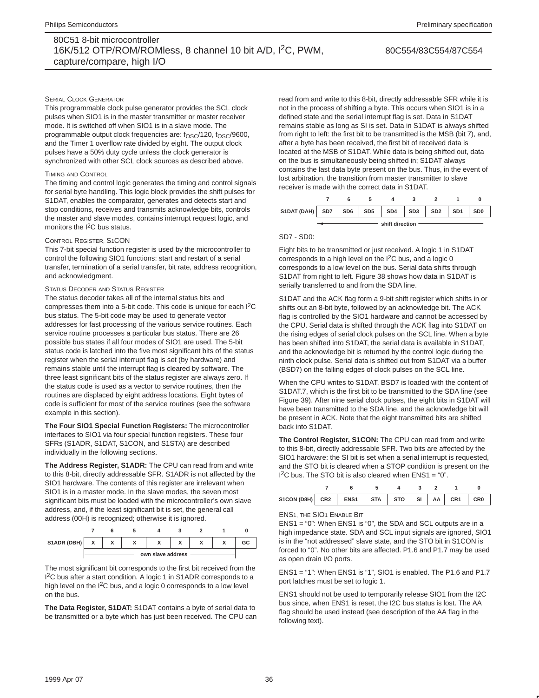#### SERIAL CLOCK GENERATOR

This programmable clock pulse generator provides the SCL clock pulses when SIO1 is in the master transmitter or master receiver mode. It is switched off when SIO1 is in a slave mode. The programmable output clock frequencies are: f<sub>OSC</sub>/120, f<sub>OSC</sub>/9600, and the Timer 1 overflow rate divided by eight. The output clock pulses have a 50% duty cycle unless the clock generator is synchronized with other SCL clock sources as described above.

#### TIMING AND CONTROL

The timing and control logic generates the timing and control signals for serial byte handling. This logic block provides the shift pulses for S1DAT, enables the comparator, generates and detects start and stop conditions, receives and transmits acknowledge bits, controls the master and slave modes, contains interrupt request logic, and monitors the I<sup>2</sup>C bus status.

#### CONTROL REGISTER, S1CON

This 7-bit special function register is used by the microcontroller to control the following SIO1 functions: start and restart of a serial transfer, termination of a serial transfer, bit rate, address recognition, and acknowledgment.

#### STATUS DECODER AND STATUS REGISTER

The status decoder takes all of the internal status bits and compresses them into a 5-bit code. This code is unique for each I<sup>2</sup>C bus status. The 5-bit code may be used to generate vector addresses for fast processing of the various service routines. Each service routine processes a particular bus status. There are 26 possible bus states if all four modes of SIO1 are used. The 5-bit status code is latched into the five most significant bits of the status register when the serial interrupt flag is set (by hardware) and remains stable until the interrupt flag is cleared by software. The three least significant bits of the status register are always zero. If the status code is used as a vector to service routines, then the routines are displaced by eight address locations. Eight bytes of code is sufficient for most of the service routines (see the software example in this section).

**The Four SIO1 Special Function Registers:** The microcontroller interfaces to SIO1 via four special function registers. These four SFRs (S1ADR, S1DAT, S1CON, and S1STA) are described individually in the following sections.

**The Address Register, S1ADR:** The CPU can read from and write to this 8-bit, directly addressable SFR. S1ADR is not affected by the SIO1 hardware. The contents of this register are irrelevant when SIO1 is in a master mode. In the slave modes, the seven most significant bits must be loaded with the microcontroller's own slave address, and, if the least significant bit is set, the general call address (00H) is recognized; otherwise it is ignored.

| S1ADR (DBH) | $\mathbf{v}$      | $\lambda$ | ^ | $\overline{\phantom{a}}$ | $\mathbf{r}$ | $\mathbf{v}$ | $\mathbf{v}$ | GC |  |  |
|-------------|-------------------|-----------|---|--------------------------|--------------|--------------|--------------|----|--|--|
|             | own slave address |           |   |                          |              |              |              |    |  |  |

The most significant bit corresponds to the first bit received from the 1<sup>2</sup>C bus after a start condition. A logic 1 in S1ADR corresponds to a high level on the I<sup>2</sup>C bus, and a logic 0 corresponds to a low level on the bus.

**The Data Register, S1DAT:** S1DAT contains a byte of serial data to be transmitted or a byte which has just been received. The CPU can read from and write to this 8-bit, directly addressable SFR while it is not in the process of shifting a byte. This occurs when SIO1 is in a defined state and the serial interrupt flag is set. Data in S1DAT remains stable as long as SI is set. Data in S1DAT is always shifted from right to left: the first bit to be transmitted is the MSB (bit 7), and, after a byte has been received, the first bit of received data is located at the MSB of S1DAT. While data is being shifted out, data on the bus is simultaneously being shifted in; S1DAT always contains the last data byte present on the bus. Thus, in the event of lost arbitration, the transition from master transmitter to slave receiver is made with the correct data in S1DAT.



#### SD7 - SD0:

Eight bits to be transmitted or just received. A logic 1 in S1DAT corresponds to a high level on the  $I^2C$  bus, and a logic 0 corresponds to a low level on the bus. Serial data shifts through S1DAT from right to left. Figure 38 shows how data in S1DAT is serially transferred to and from the SDA line.

S1DAT and the ACK flag form a 9-bit shift register which shifts in or shifts out an 8-bit byte, followed by an acknowledge bit. The ACK flag is controlled by the SIO1 hardware and cannot be accessed by the CPU. Serial data is shifted through the ACK flag into S1DAT on the rising edges of serial clock pulses on the SCL line. When a byte has been shifted into S1DAT, the serial data is available in S1DAT, and the acknowledge bit is returned by the control logic during the ninth clock pulse. Serial data is shifted out from S1DAT via a buffer (BSD7) on the falling edges of clock pulses on the SCL line.

When the CPU writes to S1DAT, BSD7 is loaded with the content of S1DAT.7, which is the first bit to be transmitted to the SDA line (see Figure 39). After nine serial clock pulses, the eight bits in S1DAT will have been transmitted to the SDA line, and the acknowledge bit will be present in ACK. Note that the eight transmitted bits are shifted back into S1DAT.

**The Control Register, S1CON:** The CPU can read from and write to this 8-bit, directly addressable SFR. Two bits are affected by the SIO1 hardware: the SI bit is set when a serial interrupt is requested, and the STO bit is cleared when a STOP condition is present on the  $1^2C$  bus. The STO bit is also cleared when ENS1 = "0".

| S1CON (D8H) CR2 ENS1 STA STO SI AA CR1 CR0 |  |  |  |  |
|--------------------------------------------|--|--|--|--|

#### ENS1, THE SIO1 ENABLE BIT

ENS1 = "0": When ENS1 is "0", the SDA and SCL outputs are in a high impedance state. SDA and SCL input signals are ignored, SIO1 is in the "not addressed" slave state, and the STO bit in S1CON is forced to "0". No other bits are affected. P1.6 and P1.7 may be used as open drain I/O ports.

ENS1 = "1": When ENS1 is "1", SIO1 is enabled. The P1.6 and P1.7 port latches must be set to logic 1.

ENS1 should not be used to temporarily release SIO1 from the I2C bus since, when ENS1 is reset, the I2C bus status is lost. The AA flag should be used instead (see description of the AA flag in the following text).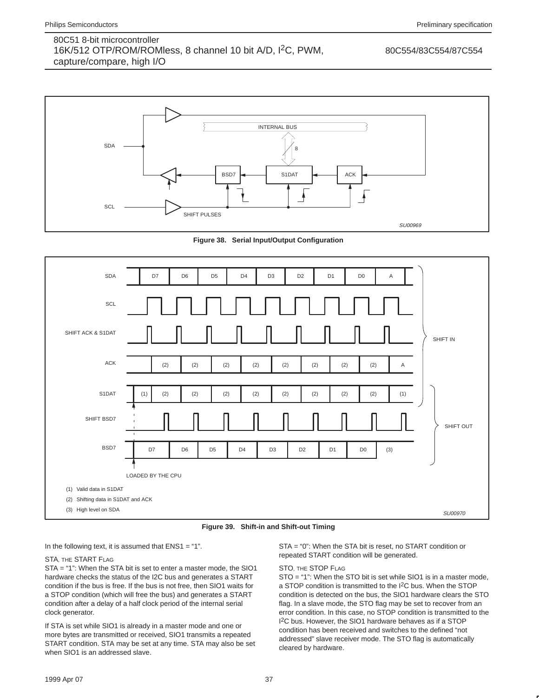80C554/83C554/87C554



**Figure 38. Serial Input/Output Configuration**



**Figure 39. Shift-in and Shift-out Timing**

In the following text, it is assumed that  $ENS1 = "1"$ .

#### STA, THE START FLAG

STA = "1": When the STA bit is set to enter a master mode, the SIO1 hardware checks the status of the I2C bus and generates a START condition if the bus is free. If the bus is not free, then SIO1 waits for a STOP condition (which will free the bus) and generates a START condition after a delay of a half clock period of the internal serial clock generator.

If STA is set while SIO1 is already in a master mode and one or more bytes are transmitted or received, SIO1 transmits a repeated START condition. STA may be set at any time. STA may also be set when SIO1 is an addressed slave.

STA = "0": When the STA bit is reset, no START condition or repeated START condition will be generated.

#### STO, THE STOP FLAG

STO = "1": When the STO bit is set while SIO1 is in a master mode, a STOP condition is transmitted to the I2C bus. When the STOP condition is detected on the bus, the SIO1 hardware clears the STO flag. In a slave mode, the STO flag may be set to recover from an error condition. In this case, no STOP condition is transmitted to the 1<sup>2</sup>C bus. However, the SIO1 hardware behaves as if a STOP condition has been received and switches to the defined "not addressed" slave receiver mode. The STO flag is automatically cleared by hardware.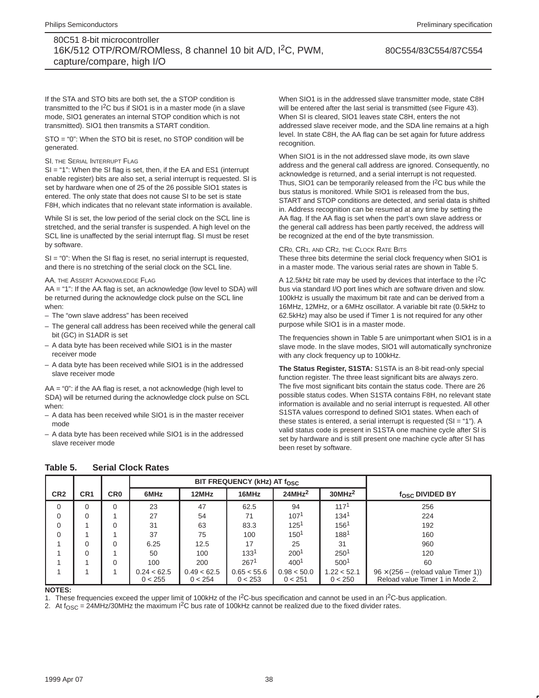80C554/83C554/87C554

If the STA and STO bits are both set, the a STOP condition is transmitted to the I2C bus if SIO1 is in a master mode (in a slave mode, SIO1 generates an internal STOP condition which is not transmitted). SIO1 then transmits a START condition.

STO = "0": When the STO bit is reset, no STOP condition will be generated.

#### SI, THE SERIAL INTERRUPT FLAG

SI = "1": When the SI flag is set, then, if the EA and ES1 (interrupt enable register) bits are also set, a serial interrupt is requested. SI is set by hardware when one of 25 of the 26 possible SIO1 states is entered. The only state that does not cause SI to be set is state F8H, which indicates that no relevant state information is available.

While SI is set, the low period of the serial clock on the SCL line is stretched, and the serial transfer is suspended. A high level on the SCL line is unaffected by the serial interrupt flag. SI must be reset by software.

SI = "0": When the SI flag is reset, no serial interrupt is requested, and there is no stretching of the serial clock on the SCL line.

#### AA, THE ASSERT ACKNOWLEDGE FLAG

AA = "1": If the AA flag is set, an acknowledge (low level to SDA) will be returned during the acknowledge clock pulse on the SCL line when:

- The "own slave address" has been received
- The general call address has been received while the general call bit (GC) in S1ADR is set
- A data byte has been received while SIO1 is in the master receiver mode
- A data byte has been received while SIO1 is in the addressed slave receiver mode

AA = "0": if the AA flag is reset, a not acknowledge (high level to SDA) will be returned during the acknowledge clock pulse on SCL when:

- A data has been received while SIO1 is in the master receiver mode
- A data byte has been received while SIO1 is in the addressed slave receiver mode

When SIO1 is in the addressed slave transmitter mode, state C8H will be entered after the last serial is transmitted (see Figure 43). When SI is cleared, SIO1 leaves state C8H, enters the not addressed slave receiver mode, and the SDA line remains at a high level. In state C8H, the AA flag can be set again for future address recognition.

When SIO1 is in the not addressed slave mode, its own slave address and the general call address are ignored. Consequently, no acknowledge is returned, and a serial interrupt is not requested. Thus, SIO1 can be temporarily released from the I<sup>2</sup>C bus while the bus status is monitored. While SIO1 is released from the bus, START and STOP conditions are detected, and serial data is shifted in. Address recognition can be resumed at any time by setting the AA flag. If the AA flag is set when the part's own slave address or the general call address has been partly received, the address will be recognized at the end of the byte transmission.

#### CR0, CR1, AND CR2, THE CLOCK RATE BITS

These three bits determine the serial clock frequency when SIO1 is in a master mode. The various serial rates are shown in Table 5.

A 12.5kHz bit rate may be used by devices that interface to the I2C bus via standard I/O port lines which are software driven and slow. 100kHz is usually the maximum bit rate and can be derived from a 16MHz, 12MHz, or a 6MHz oscillator. A variable bit rate (0.5kHz to 62.5kHz) may also be used if Timer 1 is not required for any other purpose while SIO1 is in a master mode.

The frequencies shown in Table 5 are unimportant when SIO1 is in a slave mode. In the slave modes, SIO1 will automatically synchronize with any clock frequency up to 100kHz.

**The Status Register, S1STA:** S1STA is an 8-bit read-only special function register. The three least significant bits are always zero. The five most significant bits contain the status code. There are 26 possible status codes. When S1STA contains F8H, no relevant state information is available and no serial interrupt is requested. All other S1STA values correspond to defined SIO1 states. When each of these states is entered, a serial interrupt is requested (SI = "1"). A valid status code is present in S1STA one machine cycle after SI is set by hardware and is still present one machine cycle after SI has been reset by software.

|                 |                 |                 |                        | BIT FREQUENCY (kHz) AT f <sub>OSC</sub> |                        |                        |                        |                                                                               |
|-----------------|-----------------|-----------------|------------------------|-----------------------------------------|------------------------|------------------------|------------------------|-------------------------------------------------------------------------------|
| CR <sub>2</sub> | CR <sub>1</sub> | CR <sub>0</sub> | 6MHz                   | 12MHz                                   | 16MHz                  | 24MHz <sup>2</sup>     | 30MHz <sup>2</sup>     | fosc DIVIDED BY                                                               |
| 0               | 0               | $\Omega$        | 23                     | 47                                      | 62.5                   | 94                     | 117 <sup>1</sup>       | 256                                                                           |
| $\mathbf 0$     | 0               |                 | 27                     | 54                                      | 71                     | 107 <sup>1</sup>       | 134 <sup>1</sup>       | 224                                                                           |
| $\Omega$        |                 | $\Omega$        | 31                     | 63                                      | 83.3                   | 125 <sup>1</sup>       | 1561                   | 192                                                                           |
| $\Omega$        |                 |                 | 37                     | 75                                      | 100                    | 1501                   | 1881                   | 160                                                                           |
|                 | 0               | 0               | 6.25                   | 12.5                                    | 17                     | 25                     | 31                     | 960                                                                           |
|                 | 0               |                 | 50                     | 100                                     | 133 <sup>1</sup>       | 2001                   | 2501                   | 120                                                                           |
|                 |                 | 0               | 100                    | 200                                     | 267 <sup>1</sup>       | 400 <sup>1</sup>       | 500 <sup>1</sup>       | 60                                                                            |
|                 |                 |                 | 0.24 < 62.5<br>0 < 255 | 0.49 < 62.5<br>0 < 254                  | 0.65 < 55.6<br>0 < 253 | 0.98 < 50.0<br>0 < 251 | 1.22 < 52.1<br>0 < 250 | $96 \times (256 -$ (reload value Timer 1))<br>Reload value Timer 1 in Mode 2. |
|                 |                 |                 |                        |                                         |                        |                        |                        |                                                                               |

#### **Table 5. Serial Clock Rates**

### **NOTES:**

1. These frequencies exceed the upper limit of 100kHz of the  $1<sup>2</sup>C-bus$  specification and cannot be used in an  $1<sup>2</sup>C-bus$  application.

2. At  $f_{\text{OSC}} = 24$ MHz/30MHz the maximum I<sup>2</sup>C bus rate of 100kHz cannot be realized due to the fixed divider rates.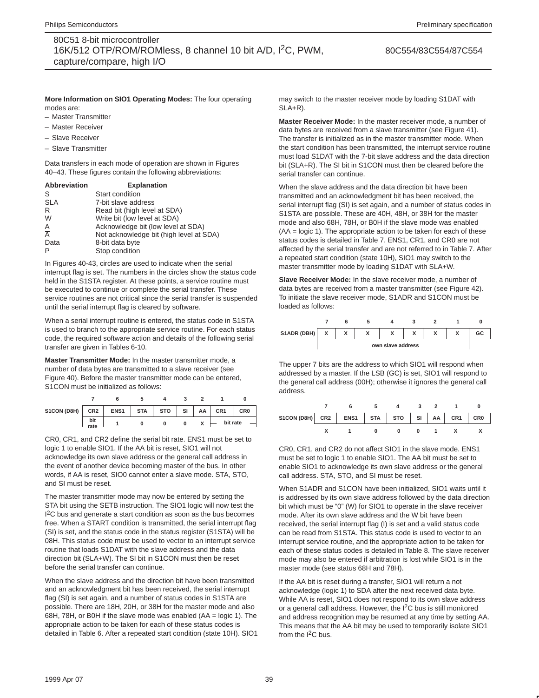80C554/83C554/87C554

#### **More Information on SIO1 Operating Modes:** The four operating modes are:

- Master Transmitter
- Master Receiver
- Slave Receiver
- Slave Transmitter

Data transfers in each mode of operation are shown in Figures 40–43. These figures contain the following abbreviations:

| <b>Explanation</b>                      |
|-----------------------------------------|
| Start condition                         |
| 7-bit slave address                     |
| Read bit (high level at SDA)            |
| Write bit (low level at SDA)            |
| Acknowledge bit (low level at SDA)      |
| Not acknowledge bit (high level at SDA) |
| 8-bit data byte                         |
| Stop condition                          |
|                                         |

In Figures 40-43, circles are used to indicate when the serial interrupt flag is set. The numbers in the circles show the status code held in the S1STA register. At these points, a service routine must be executed to continue or complete the serial transfer. These service routines are not critical since the serial transfer is suspended until the serial interrupt flag is cleared by software.

When a serial interrupt routine is entered, the status code in S1STA is used to branch to the appropriate service routine. For each status code, the required software action and details of the following serial transfer are given in Tables 6-10.

**Master Transmitter Mode:** In the master transmitter mode, a number of data bytes are transmitted to a slave receiver (see Figure 40). Before the master transmitter mode can be entered, S1CON must be initialized as follows:

| $S1CON (DBH)$ $CR2$ |             | ENS1 STA | <b>STO</b> | SI | AA | CR <sub>1</sub> | CR <sub>0</sub> |
|---------------------|-------------|----------|------------|----|----|-----------------|-----------------|
|                     | bit<br>rate |          |            | 0  |    | bit rate        |                 |

CR0, CR1, and CR2 define the serial bit rate. ENS1 must be set to logic 1 to enable SIO1. If the AA bit is reset, SIO1 will not acknowledge its own slave address or the general call address in the event of another device becoming master of the bus. In other words, if AA is reset, SIO0 cannot enter a slave mode. STA, STO, and SI must be reset.

The master transmitter mode may now be entered by setting the STA bit using the SETB instruction. The SIO1 logic will now test the <sup>2</sup>C bus and generate a start condition as soon as the bus becomes free. When a START condition is transmitted, the serial interrupt flag (SI) is set, and the status code in the status register (S1STA) will be 08H. This status code must be used to vector to an interrupt service routine that loads S1DAT with the slave address and the data direction bit (SLA+W). The SI bit in S1CON must then be reset before the serial transfer can continue.

When the slave address and the direction bit have been transmitted and an acknowledgment bit has been received, the serial interrupt flag (SI) is set again, and a number of status codes in S1STA are possible. There are 18H, 20H, or 38H for the master mode and also 68H, 78H, or B0H if the slave mode was enabled (AA = logic 1). The appropriate action to be taken for each of these status codes is detailed in Table 6. After a repeated start condition (state 10H). SIO1 may switch to the master receiver mode by loading S1DAT with SLA+R).

**Master Receiver Mode:** In the master receiver mode, a number of data bytes are received from a slave transmitter (see Figure 41). The transfer is initialized as in the master transmitter mode. When the start condition has been transmitted, the interrupt service routine must load S1DAT with the 7-bit slave address and the data direction bit (SLA+R). The SI bit in S1CON must then be cleared before the serial transfer can continue.

When the slave address and the data direction bit have been transmitted and an acknowledgment bit has been received, the serial interrupt flag (SI) is set again, and a number of status codes in S1STA are possible. These are 40H, 48H, or 38H for the master mode and also 68H, 78H, or B0H if the slave mode was enabled (AA = logic 1). The appropriate action to be taken for each of these status codes is detailed in Table 7. ENS1, CR1, and CR0 are not affected by the serial transfer and are not referred to in Table 7. After a repeated start condition (state 10H), SIO1 may switch to the master transmitter mode by loading S1DAT with SLA+W.

**Slave Receiver Mode:** In the slave receiver mode, a number of data bytes are received from a master transmitter (see Figure 42). To initiate the slave receiver mode, S1ADR and S1CON must be loaded as follows:



The upper 7 bits are the address to which SIO1 will respond when addressed by a master. If the LSB (GC) is set, SIO1 will respond to the general call address (00H); otherwise it ignores the general call address.

| S1CON (D8H) CR2 ENS1 STA STO SI AA CR1 CR0 |  |  |  |  |  |
|--------------------------------------------|--|--|--|--|--|
|                                            |  |  |  |  |  |

CR0, CR1, and CR2 do not affect SIO1 in the slave mode. ENS1 must be set to logic 1 to enable SIO1. The AA bit must be set to enable SIO1 to acknowledge its own slave address or the general call address. STA, STO, and SI must be reset.

When S1ADR and S1CON have been initialized, SIO1 waits until it is addressed by its own slave address followed by the data direction bit which must be "0" (W) for SIO1 to operate in the slave receiver mode. After its own slave address and the W bit have been received, the serial interrupt flag (I) is set and a valid status code can be read from S1STA. This status code is used to vector to an interrupt service routine, and the appropriate action to be taken for each of these status codes is detailed in Table 8. The slave receiver mode may also be entered if arbitration is lost while SIO1 is in the master mode (see status 68H and 78H).

If the AA bit is reset during a transfer, SIO1 will return a not acknowledge (logic 1) to SDA after the next received data byte. While AA is reset, SIO1 does not respond to its own slave address or a general call address. However, the I2C bus is still monitored and address recognition may be resumed at any time by setting AA. This means that the AA bit may be used to temporarily isolate SIO1 from the  $I^2C$  bus.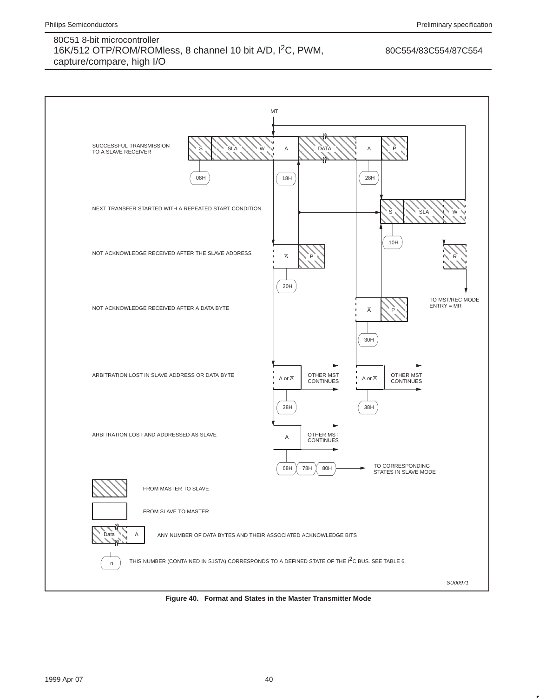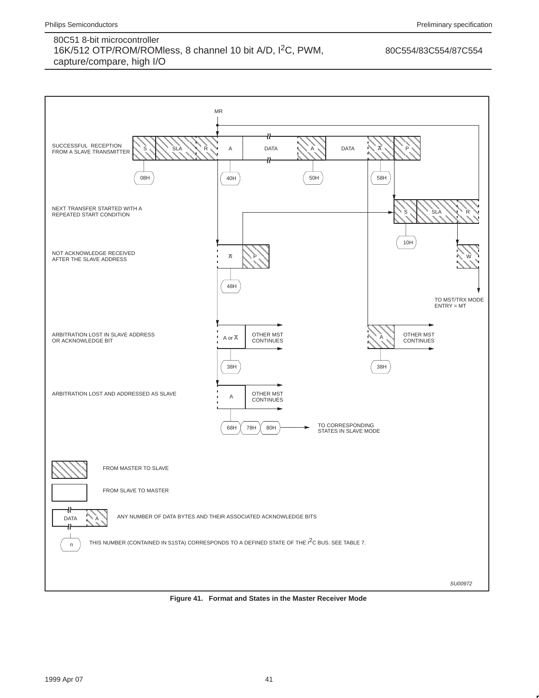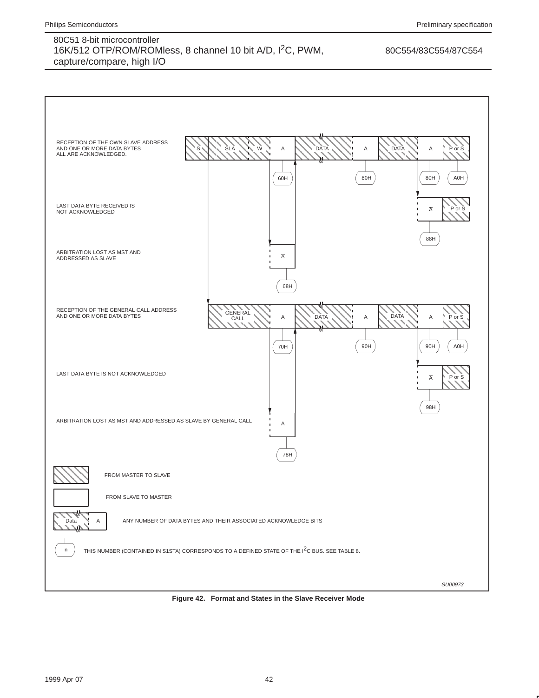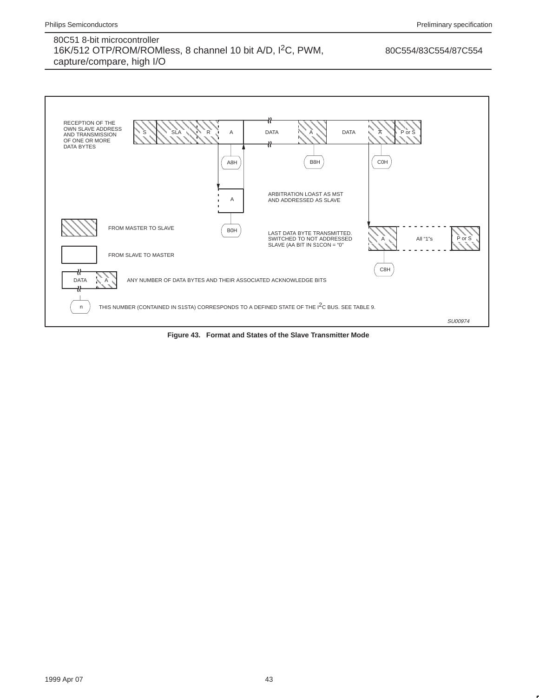

**Figure 43. Format and States of the Slave Transmitter Mode**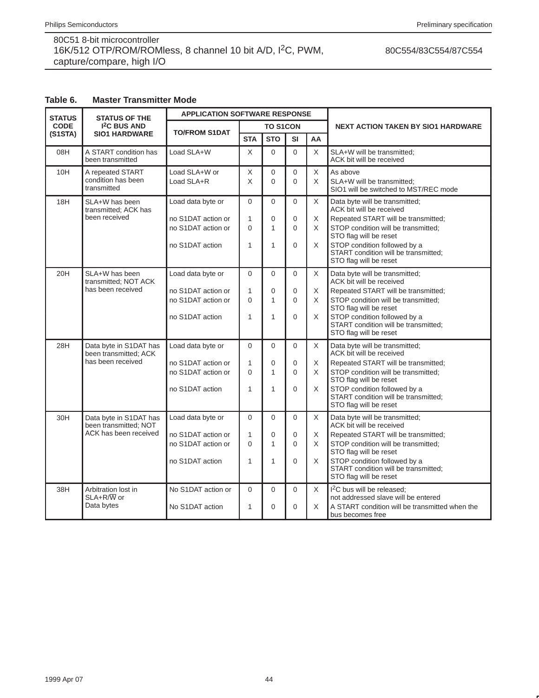## 80C554/83C554/87C554

# **Table 6. Master Transmitter Mode**

| <b>STATUS</b> | <b>STATUS OF THE</b>                                                     | <b>APPLICATION SOFTWARE RESPONSE</b>                                             |                                                       |                                      |                                       |                  |                                                                                                                                                                                                                                                                      |
|---------------|--------------------------------------------------------------------------|----------------------------------------------------------------------------------|-------------------------------------------------------|--------------------------------------|---------------------------------------|------------------|----------------------------------------------------------------------------------------------------------------------------------------------------------------------------------------------------------------------------------------------------------------------|
| <b>CODE</b>   | <b>I<sup>2</sup>C BUS AND</b>                                            |                                                                                  |                                                       | <b>TO S1CON</b>                      |                                       |                  | <b>NEXT ACTION TAKEN BY SIO1 HARDWARE</b>                                                                                                                                                                                                                            |
| (S1STA)       | <b>SIO1 HARDWARE</b>                                                     | <b>TO/FROM S1DAT</b>                                                             | <b>STA</b>                                            | <b>STO</b>                           | <b>SI</b>                             | AA               |                                                                                                                                                                                                                                                                      |
| 08H           | A START condition has<br>been transmitted                                | Load SLA+W                                                                       | X                                                     | $\mathbf 0$                          | 0                                     | X                | SLA+W will be transmitted;<br>ACK bit will be received                                                                                                                                                                                                               |
| 10H           | A repeated START<br>condition has been<br>transmitted                    | Load SLA+W or<br>Load SLA+R                                                      | X<br>X                                                | $\mathbf 0$<br>$\Omega$              | $\Omega$<br>$\Omega$                  | X<br>X           | As above<br>SLA+W will be transmitted;<br>SIO1 will be switched to MST/REC mode                                                                                                                                                                                      |
| 18H           | SLA+W has been<br>transmitted; ACK has<br>been received                  | Load data byte or<br>no S1DAT action or<br>no S1DAT action or<br>no S1DAT action | $\overline{0}$<br>1<br>$\overline{0}$<br>$\mathbf{1}$ | $\Omega$<br>0<br>1<br>1              | $\Omega$<br>$\Omega$<br>$\Omega$<br>0 | X<br>X<br>X<br>X | Data byte will be transmitted;<br>ACK bit will be received<br>Repeated START will be transmitted;<br>STOP condition will be transmitted:<br>STO flag will be reset<br>STOP condition followed by a<br>START condition will be transmitted;<br>STO flag will be reset |
| 20H           | SLA+W has been<br>transmitted: NOT ACK<br>has been received              | Load data byte or<br>no S1DAT action or<br>no S1DAT action or<br>no S1DAT action | 0<br>1<br>$\mathbf 0$<br>$\mathbf{1}$                 | $\Omega$<br>$\overline{0}$<br>1<br>1 | $\Omega$<br>$\Omega$<br>0<br>$\Omega$ | X<br>X<br>X<br>X | Data byte will be transmitted;<br>ACK bit will be received<br>Repeated START will be transmitted;<br>STOP condition will be transmitted;<br>STO flag will be reset<br>STOP condition followed by a<br>START condition will be transmitted;<br>STO flag will be reset |
| 28H           | Data byte in S1DAT has<br>been transmitted; ACK<br>has been received     | Load data byte or<br>no S1DAT action or<br>no S1DAT action or<br>no S1DAT action | $\Omega$<br>1<br>$\overline{0}$<br>$\mathbf{1}$       | $\Omega$<br>0<br>1<br>1              | $\Omega$<br>0<br>$\Omega$<br>$\Omega$ | X<br>X<br>X<br>X | Data byte will be transmitted;<br>ACK bit will be received<br>Repeated START will be transmitted;<br>STOP condition will be transmitted;<br>STO flag will be reset<br>STOP condition followed by a<br>START condition will be transmitted;<br>STO flag will be reset |
| 30H           | Data byte in S1DAT has<br>been transmitted; NOT<br>ACK has been received | Load data byte or<br>no S1DAT action or<br>no S1DAT action or<br>no S1DAT action | $\mathbf 0$<br>1<br>$\overline{0}$<br>1               | $\mathbf 0$<br>0<br>1<br>1           | $\Omega$<br>0<br>$\Omega$<br>$\Omega$ | X<br>X<br>X<br>X | Data byte will be transmitted;<br>ACK bit will be received<br>Repeated START will be transmitted;<br>STOP condition will be transmitted;<br>STO flag will be reset<br>STOP condition followed by a<br>START condition will be transmitted;<br>STO flag will be reset |
| 38H           | Arbitration lost in<br>$SLA+R/W$ or<br>Data bytes                        | No S1DAT action or<br>No S1DAT action                                            | $\overline{0}$<br>1                                   | 0<br>$\mathbf 0$                     | $\Omega$<br>0                         | X<br>X           | I <sup>2</sup> C bus will be released;<br>not addressed slave will be entered<br>A START condition will be transmitted when the<br>bus becomes free                                                                                                                  |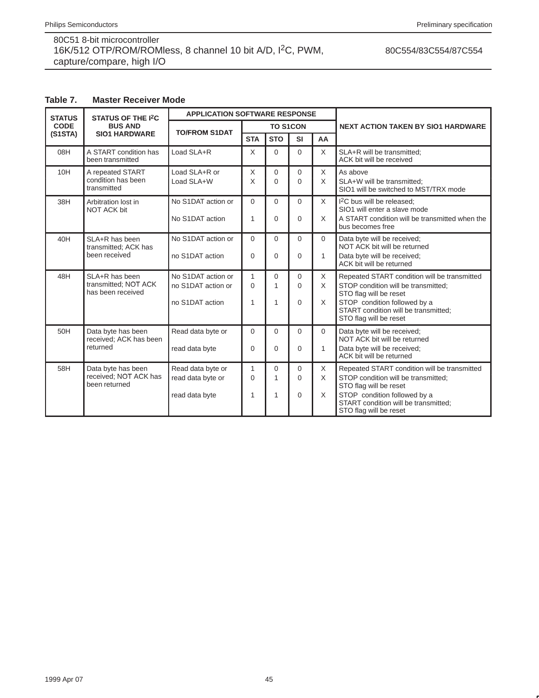## 80C554/83C554/87C554

# **Table 7. Master Receiver Mode**

| <b>STATUS</b> | <b>STATUS OF THE I<sup>2</sup>C</b>                          | <b>APPLICATION SOFTWARE RESPONSE</b>                        |                      |                      |                                  |                           |                                                                                                                                                                                                                 |
|---------------|--------------------------------------------------------------|-------------------------------------------------------------|----------------------|----------------------|----------------------------------|---------------------------|-----------------------------------------------------------------------------------------------------------------------------------------------------------------------------------------------------------------|
| <b>CODE</b>   | <b>BUS AND</b>                                               | <b>TO/FROM S1DAT</b>                                        |                      | <b>TO S1CON</b>      |                                  |                           | <b>NEXT ACTION TAKEN BY SIO1 HARDWARE</b>                                                                                                                                                                       |
| (S1STA)       | <b>SIO1 HARDWARE</b>                                         |                                                             | <b>STA</b>           | <b>STO</b>           | <b>SI</b>                        | AA                        |                                                                                                                                                                                                                 |
| 08H           | A START condition has<br>been transmitted                    | Load SLA+R                                                  | $\times$             | $\Omega$             | $\Omega$                         | X                         | SLA+R will be transmitted:<br>ACK bit will be received                                                                                                                                                          |
| 10H           | A repeated START<br>condition has been<br>transmitted        | Load SLA+R or<br>Load SLA+W                                 | X<br>X               | $\Omega$<br>$\Omega$ | $\Omega$<br>$\Omega$             | $\times$<br>X             | As above<br>SLA+W will be transmitted;<br>SIO1 will be switched to MST/TRX mode                                                                                                                                 |
| 38H           | Arbitration lost in<br><b>NOT ACK bit</b>                    | No S1DAT action or<br>No S1DAT action                       | $\Omega$<br>1        | $\Omega$<br>$\Omega$ | $\Omega$<br>$\Omega$             | $\times$<br>X             | I <sup>2</sup> C bus will be released;<br>SIO1 will enter a slave mode<br>A START condition will be transmitted when the<br>bus becomes free                                                                    |
| 40H           | SLA+R has been<br>transmitted; ACK has<br>been received      | No S1DAT action or<br>no S1DAT action                       | $\Omega$<br>$\Omega$ | $\Omega$<br>$\Omega$ | $\Omega$<br>$\Omega$             | $\Omega$<br>$\mathbf{1}$  | Data byte will be received;<br>NOT ACK bit will be returned<br>Data byte will be received;<br>ACK bit will be returned                                                                                          |
| 48H           | SLA+R has been<br>transmitted; NOT ACK<br>has been received  | No S1DAT action or<br>no S1DAT action or<br>no S1DAT action | 1<br>$\Omega$<br>1   | $\Omega$<br>1<br>1   | $\Omega$<br>$\Omega$<br>$\Omega$ | $\times$<br>X<br>X        | Repeated START condition will be transmitted<br>STOP condition will be transmitted;<br>STO flag will be reset<br>STOP condition followed by a<br>START condition will be transmitted;<br>STO flag will be reset |
| 50H           | Data byte has been<br>received; ACK has been<br>returned     | Read data byte or<br>read data byte                         | $\Omega$<br>$\Omega$ | $\Omega$<br>$\Omega$ | $\Omega$<br>$\Omega$             | $\mathbf 0$<br>1          | Data byte will be received;<br>NOT ACK bit will be returned<br>Data byte will be received;<br>ACK bit will be returned                                                                                          |
| 58H           | Data byte has been<br>received; NOT ACK has<br>been returned | Read data byte or<br>read data byte or<br>read data byte    | 1<br>$\Omega$<br>1   | $\Omega$<br>1<br>1   | $\Omega$<br>$\Omega$<br>$\Omega$ | $\times$<br>X<br>$\times$ | Repeated START condition will be transmitted<br>STOP condition will be transmitted:<br>STO flag will be reset<br>STOP condition followed by a<br>START condition will be transmitted;<br>STO flag will be reset |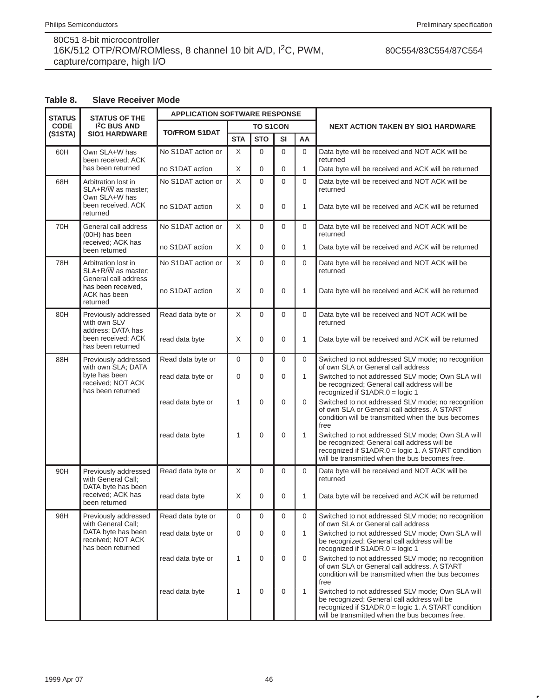## 80C554/83C554/87C554

### **Table 8. Slave Receiver Mode**

| <b>STATUS</b> | <b>STATUS OF THE</b>                                                                                 | <b>APPLICATION SOFTWARE RESPONSE</b> |                |                 |          |              | <b>NEXT ACTION TAKEN BY SIO1 HARDWARE</b>                                                                                                                                                               |  |
|---------------|------------------------------------------------------------------------------------------------------|--------------------------------------|----------------|-----------------|----------|--------------|---------------------------------------------------------------------------------------------------------------------------------------------------------------------------------------------------------|--|
| <b>CODE</b>   | <b>I<sup>2</sup>C BUS AND</b>                                                                        | <b>TO/FROM S1DAT</b>                 |                | <b>TO S1CON</b> |          |              |                                                                                                                                                                                                         |  |
| (S1STA)       | <b>SIO1 HARDWARE</b>                                                                                 |                                      | <b>STA</b>     | <b>STO</b>      | SI       | AA           |                                                                                                                                                                                                         |  |
| 60H           | Own SLA+W has<br>been received: ACK                                                                  | No S1DAT action or                   | X              | 0               | 0        | $\mathbf 0$  | Data byte will be received and NOT ACK will be<br>returned                                                                                                                                              |  |
|               | has been returned                                                                                    | no S1DAT action                      | X              | 0               | 0        | $\mathbf{1}$ | Data byte will be received and ACK will be returned                                                                                                                                                     |  |
| 68H           | Arbitration lost in<br>SLA+R/W as master;<br>Own SLA+W has                                           | No S1DAT action or                   | X              | $\Omega$        | $\Omega$ | $\Omega$     | Data byte will be received and NOT ACK will be<br>returned                                                                                                                                              |  |
|               | been received, ACK<br>returned                                                                       | no S1DAT action                      | X              | 0               | 0        | 1            | Data byte will be received and ACK will be returned                                                                                                                                                     |  |
| 70H           | General call address<br>(00H) has been                                                               | No S1DAT action or                   | X              | 0               | 0        | $\mathbf 0$  | Data byte will be received and NOT ACK will be<br>returned                                                                                                                                              |  |
|               | received; ACK has<br>been returned                                                                   | no S1DAT action                      | X              | 0               | 0        | 1            | Data byte will be received and ACK will be returned                                                                                                                                                     |  |
| 78H           | Arbitration lost in<br>$SLA+R/\overline{W}$ as master;<br>General call address<br>has been received. | No S1DAT action or                   | $\mathsf X$    | 0               | $\Omega$ | $\Omega$     | Data byte will be received and NOT ACK will be<br>returned                                                                                                                                              |  |
|               | ACK has been<br>returned                                                                             | no S1DAT action                      | X              | 0               | 0        | 1            | Data byte will be received and ACK will be returned                                                                                                                                                     |  |
| 80H           | Previously addressed<br>with own SLV<br>address; DATA has                                            | Read data byte or                    | $\mathsf X$    | $\Omega$        | $\Omega$ | $\Omega$     | Data byte will be received and NOT ACK will be<br>returned                                                                                                                                              |  |
|               | been received; ACK<br>has been returned                                                              | read data byte                       | X              | $\mathbf 0$     | 0        | 1            | Data byte will be received and ACK will be returned                                                                                                                                                     |  |
| 88H           | Previously addressed<br>with own SLA; DATA                                                           | Read data byte or                    | $\overline{0}$ | 0               | $\Omega$ | $\mathbf 0$  | Switched to not addressed SLV mode; no recognition<br>of own SLA or General call address                                                                                                                |  |
|               | byte has been<br>received; NOT ACK<br>has been returned                                              | read data byte or                    | 0              | $\mathbf 0$     | 0        | 1            | Switched to not addressed SLV mode; Own SLA will<br>be recognized; General call address will be<br>recognized if S1ADR.0 = logic 1                                                                      |  |
|               |                                                                                                      | read data byte or                    | 1              | 0               | 0        | $\Omega$     | Switched to not addressed SLV mode; no recognition<br>of own SLA or General call address. A START<br>condition will be transmitted when the bus becomes<br>free                                         |  |
|               |                                                                                                      | read data byte                       | 1              | 0               | 0        | 1            | Switched to not addressed SLV mode; Own SLA will<br>be recognized; General call address will be<br>recognized if S1ADR.0 = logic 1. A START condition<br>will be transmitted when the bus becomes free. |  |
| 90H           | Previously addressed<br>with General Call;<br>DATA byte has been                                     | Read data byte or                    | X              | 0               | 0        | $\Omega$     | Data byte will be received and NOT ACK will be<br>returned                                                                                                                                              |  |
|               | received: ACK has<br>been returned                                                                   | read data byte                       | X              | 0               | 0        | 1            | Data byte will be received and ACK will be returned                                                                                                                                                     |  |
| 98H           | Previously addressed<br>with General Call:                                                           | Read data byte or                    | $\mathbf 0$    | 0               | 0        | $\Omega$     | Switched to not addressed SLV mode; no recognition<br>of own SLA or General call address                                                                                                                |  |
|               | DATA byte has been<br>received; NOT ACK<br>has been returned                                         | read data byte or                    | $\mathbf 0$    | 0               | 0        | 1            | Switched to not addressed SLV mode: Own SLA will<br>be recognized; General call address will be<br>recognized if S1ADR.0 = logic 1                                                                      |  |
|               |                                                                                                      | read data byte or                    | 1              | 0               | 0        | $\Omega$     | Switched to not addressed SLV mode; no recognition<br>of own SLA or General call address. A START<br>condition will be transmitted when the bus becomes<br>free                                         |  |
|               |                                                                                                      | read data byte                       | 1              | 0               | 0        | $\mathbf{1}$ | Switched to not addressed SLV mode; Own SLA will<br>be recognized; General call address will be<br>recognized if S1ADR.0 = logic 1. A START condition<br>will be transmitted when the bus becomes free. |  |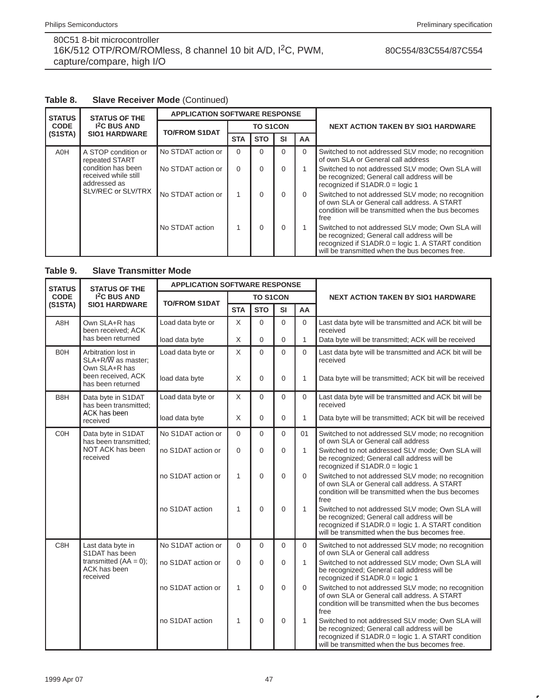## 80C554/83C554/87C554

## **Table 8. Slave Receiver Mode** (Continued)

| <b>STATUS</b> | <b>STATUS OF THE</b>                                       | <b>APPLICATION SOFTWARE RESPONSE</b> |                 |            |           |           |                                                                                                                                                                                                         |
|---------------|------------------------------------------------------------|--------------------------------------|-----------------|------------|-----------|-----------|---------------------------------------------------------------------------------------------------------------------------------------------------------------------------------------------------------|
| <b>CODE</b>   | <b>I<sup>2</sup>C BUS AND</b>                              | <b>TO/FROM S1DAT</b>                 | <b>TO S1CON</b> |            |           |           | <b>NEXT ACTION TAKEN BY SIO1 HARDWARE</b>                                                                                                                                                               |
| (S1STA)       | <b>SIO1 HARDWARE</b>                                       |                                      | <b>STA</b>      | <b>STO</b> | <b>SI</b> | <b>AA</b> |                                                                                                                                                                                                         |
| A0H           | A STOP condition or<br>repeated START                      | No STDAT action or                   | $\Omega$        | 0          | 0         | $\Omega$  | Switched to not addressed SLV mode; no recognition<br>of own SLA or General call address                                                                                                                |
|               | condition has been<br>received while still<br>addressed as | No STDAT action or                   | $\Omega$        | 0          | 0         |           | Switched to not addressed SLV mode; Own SLA will<br>be recognized; General call address will be<br>recognized if $S1ADR.0 =$ logic 1                                                                    |
|               | SLV/REC or SLV/TRX                                         | No STDAT action or                   | 4               | 0          | 0         | $\Omega$  | Switched to not addressed SLV mode; no recognition<br>of own SLA or General call address. A START<br>condition will be transmitted when the bus becomes<br>free                                         |
|               |                                                            | No STDAT action                      |                 | $\Omega$   | 0         |           | Switched to not addressed SLV mode; Own SLA will<br>be recognized; General call address will be<br>recognized if S1ADR.0 = logic 1. A START condition<br>will be transmitted when the bus becomes free. |

## **Table 9. Slave Transmitter Mode**

| <b>STATUS</b>   | <b>STATUS OF THE</b>                                                    | <b>APPLICATION SOFTWARE RESPONSE</b> |                |                 |             |              |                                                                                                                                                                                                         |
|-----------------|-------------------------------------------------------------------------|--------------------------------------|----------------|-----------------|-------------|--------------|---------------------------------------------------------------------------------------------------------------------------------------------------------------------------------------------------------|
| <b>CODE</b>     | <b>I<sup>2</sup>C BUS AND</b>                                           | <b>TO/FROM S1DAT</b>                 |                | <b>TO S1CON</b> |             |              | <b>NEXT ACTION TAKEN BY SIO1 HARDWARE</b>                                                                                                                                                               |
| (S1STA)         | <b>SIO1 HARDWARE</b>                                                    |                                      | <b>STA</b>     | <b>STO</b>      | <b>SI</b>   | AA           |                                                                                                                                                                                                         |
| A8H             | Own SLA+R has<br>been received; ACK                                     | Load data byte or                    | X              | $\Omega$        | $\Omega$    | $\Omega$     | Last data byte will be transmitted and ACK bit will be<br>received                                                                                                                                      |
|                 | has been returned                                                       | load data byte                       | X              | $\mathbf 0$     | $\mathbf 0$ | $\mathbf{1}$ | Data byte will be transmitted; ACK will be received                                                                                                                                                     |
| B <sub>OH</sub> | Arbitration lost in<br>$SLA+R/\overline{W}$ as master;<br>Own SLA+R has | Load data byte or                    | X              | $\Omega$        | $\Omega$    | $\Omega$     | Last data byte will be transmitted and ACK bit will be<br>received                                                                                                                                      |
|                 | been received, ACK<br>has been returned                                 | load data byte                       | X              | $\Omega$        | $\Omega$    | $\mathbf{1}$ | Data byte will be transmitted; ACK bit will be received                                                                                                                                                 |
| B8H             | Data byte in S1DAT<br>has been transmitted;                             | Load data byte or                    | X              | $\Omega$        | $\Omega$    | $\Omega$     | Last data byte will be transmitted and ACK bit will be<br>received                                                                                                                                      |
|                 | ACK has been<br>received                                                | load data byte                       | X              | $\Omega$        | $\Omega$    | $\mathbf{1}$ | Data byte will be transmitted; ACK bit will be received                                                                                                                                                 |
| <b>COH</b>      | Data byte in S1DAT<br>has been transmitted:                             | No S1DAT action or                   | $\Omega$       | $\Omega$        | $\Omega$    | 01           | Switched to not addressed SLV mode; no recognition<br>of own SLA or General call address                                                                                                                |
|                 | NOT ACK has been<br>received                                            | no S1DAT action or                   | $\overline{0}$ | $\Omega$        | $\mathbf 0$ | 1            | Switched to not addressed SLV mode; Own SLA will<br>be recognized; General call address will be<br>recognized if $S1ADR.0 =$ logic 1                                                                    |
|                 |                                                                         | no S1DAT action or                   | 1              | $\overline{0}$  | $\mathbf 0$ | $\Omega$     | Switched to not addressed SLV mode; no recognition<br>of own SLA or General call address. A START<br>condition will be transmitted when the bus becomes<br>free                                         |
|                 |                                                                         | no S1DAT action                      | 1              | $\Omega$        | $\Omega$    | 1            | Switched to not addressed SLV mode; Own SLA will<br>be recognized; General call address will be<br>recognized if S1ADR.0 = logic 1. A START condition<br>will be transmitted when the bus becomes free. |
| C8H             | Last data byte in<br>S1DAT has been                                     | No S1DAT action or                   | $\Omega$       | $\Omega$        | $\Omega$    | $\Omega$     | Switched to not addressed SLV mode; no recognition<br>of own SLA or General call address                                                                                                                |
|                 | transmitted $(AA = 0)$ ;<br>ACK has been<br>received                    | no S1DAT action or                   | $\Omega$       | $\Omega$        | $\Omega$    | 1            | Switched to not addressed SLV mode: Own SLA will<br>be recognized; General call address will be<br>recognized if S1ADR.0 = logic 1                                                                      |
|                 |                                                                         | no S1DAT action or                   | $\mathbf{1}$   | $\Omega$        | $\Omega$    | $\Omega$     | Switched to not addressed SLV mode; no recognition<br>of own SLA or General call address. A START<br>condition will be transmitted when the bus becomes<br>free                                         |
|                 |                                                                         | no S1DAT action                      | 1              | $\overline{0}$  | $\mathbf 0$ | 1            | Switched to not addressed SLV mode; Own SLA will<br>be recognized; General call address will be<br>recognized if S1ADR.0 = logic 1. A START condition<br>will be transmitted when the bus becomes free. |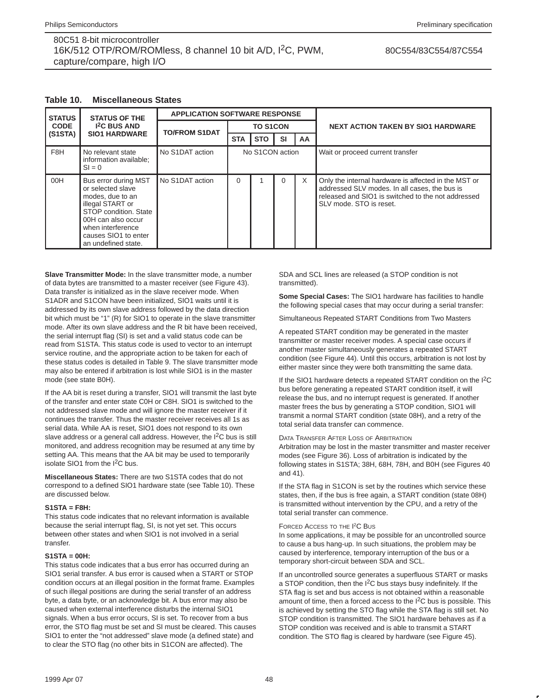#### 80C554/83C554/87C554

| <b>STATUS</b> | <b>STATUS OF THE</b>                                                                                                                                                                                 | <b>APPLICATION SOFTWARE RESPONSE</b> |                 |            |           |           |                                                                                                                                                                                        |  |
|---------------|------------------------------------------------------------------------------------------------------------------------------------------------------------------------------------------------------|--------------------------------------|-----------------|------------|-----------|-----------|----------------------------------------------------------------------------------------------------------------------------------------------------------------------------------------|--|
| <b>CODE</b>   | <b>I<sup>2</sup>C BUS AND</b>                                                                                                                                                                        | <b>TO/FROM S1DAT</b>                 | <b>TO S1CON</b> |            |           |           | <b>NEXT ACTION TAKEN BY SIO1 HARDWARE</b>                                                                                                                                              |  |
| (S1STA)       | <b>SIO1 HARDWARE</b>                                                                                                                                                                                 |                                      | <b>STA</b>      | <b>STO</b> | <b>SI</b> | <b>AA</b> |                                                                                                                                                                                        |  |
| F8H           | No relevant state<br>information available;<br>$SI = 0$                                                                                                                                              | No S1DAT action                      | No S1CON action |            |           |           | Wait or proceed current transfer                                                                                                                                                       |  |
| 00H           | Bus error during MST<br>or selected slave<br>modes, due to an<br>illegal START or<br>STOP condition. State<br>00H can also occur<br>when interference<br>causes SIO1 to enter<br>an undefined state. | No S1DAT action                      | 0               |            | 0         | $\times$  | Only the internal hardware is affected in the MST or<br>addressed SLV modes. In all cases, the bus is<br>released and SIO1 is switched to the not addressed<br>SLV mode. STO is reset. |  |

#### **Table 10. Miscellaneous States**

**Slave Transmitter Mode:** In the slave transmitter mode, a number of data bytes are transmitted to a master receiver (see Figure 43). Data transfer is initialized as in the slave receiver mode. When S1ADR and S1CON have been initialized, SIO1 waits until it is addressed by its own slave address followed by the data direction bit which must be "1" (R) for SIO1 to operate in the slave transmitter mode. After its own slave address and the R bit have been received, the serial interrupt flag (SI) is set and a valid status code can be read from S1STA. This status code is used to vector to an interrupt service routine, and the appropriate action to be taken for each of these status codes is detailed in Table 9. The slave transmitter mode may also be entered if arbitration is lost while SIO1 is in the master mode (see state B0H).

If the AA bit is reset during a transfer, SIO1 will transmit the last byte of the transfer and enter state C0H or C8H. SIO1 is switched to the not addressed slave mode and will ignore the master receiver if it continues the transfer. Thus the master receiver receives all 1s as serial data. While AA is reset, SIO1 does not respond to its own slave address or a general call address. However, the  $1<sup>2</sup>C$  bus is still monitored, and address recognition may be resumed at any time by setting AA. This means that the AA bit may be used to temporarily isolate SIO1 from the I2C bus.

**Miscellaneous States:** There are two S1STA codes that do not correspond to a defined SIO1 hardware state (see Table 10). These are discussed below.

#### **S1STA = F8H:**

This status code indicates that no relevant information is available because the serial interrupt flag, SI, is not yet set. This occurs between other states and when SIO1 is not involved in a serial transfer.

#### **S1STA = 00H:**

This status code indicates that a bus error has occurred during an SIO1 serial transfer. A bus error is caused when a START or STOP condition occurs at an illegal position in the format frame. Examples of such illegal positions are during the serial transfer of an address byte, a data byte, or an acknowledge bit. A bus error may also be caused when external interference disturbs the internal SIO1 signals. When a bus error occurs, SI is set. To recover from a bus error, the STO flag must be set and SI must be cleared. This causes SIO1 to enter the "not addressed" slave mode (a defined state) and to clear the STO flag (no other bits in S1CON are affected). The

SDA and SCL lines are released (a STOP condition is not transmitted).

**Some Special Cases:** The SIO1 hardware has facilities to handle the following special cases that may occur during a serial transfer:

Simultaneous Repeated START Conditions from Two Masters

A repeated START condition may be generated in the master transmitter or master receiver modes. A special case occurs if another master simultaneously generates a repeated START condition (see Figure 44). Until this occurs, arbitration is not lost by either master since they were both transmitting the same data.

If the SIO1 hardware detects a repeated START condition on the I2C bus before generating a repeated START condition itself, it will release the bus, and no interrupt request is generated. If another master frees the bus by generating a STOP condition, SIO1 will transmit a normal START condition (state 08H), and a retry of the total serial data transfer can commence.

#### DATA TRANSFER AFTER LOSS OF ARBITRATION

Arbitration may be lost in the master transmitter and master receiver modes (see Figure 36). Loss of arbitration is indicated by the following states in S1STA; 38H, 68H, 78H, and B0H (see Figures 40 and 41).

If the STA flag in S1CON is set by the routines which service these states, then, if the bus is free again, a START condition (state 08H) is transmitted without intervention by the CPU, and a retry of the total serial transfer can commence.

#### FORCED ACCESS TO THE I<sup>2</sup>C BUS

In some applications, it may be possible for an uncontrolled source to cause a bus hang-up. In such situations, the problem may be caused by interference, temporary interruption of the bus or a temporary short-circuit between SDA and SCL.

If an uncontrolled source generates a superfluous START or masks a STOP condition, then the I2C bus stays busy indefinitely. If the STA flag is set and bus access is not obtained within a reasonable amount of time, then a forced access to the  $1<sup>2</sup>C$  bus is possible. This is achieved by setting the STO flag while the STA flag is still set. No STOP condition is transmitted. The SIO1 hardware behaves as if a STOP condition was received and is able to transmit a START condition. The STO flag is cleared by hardware (see Figure 45).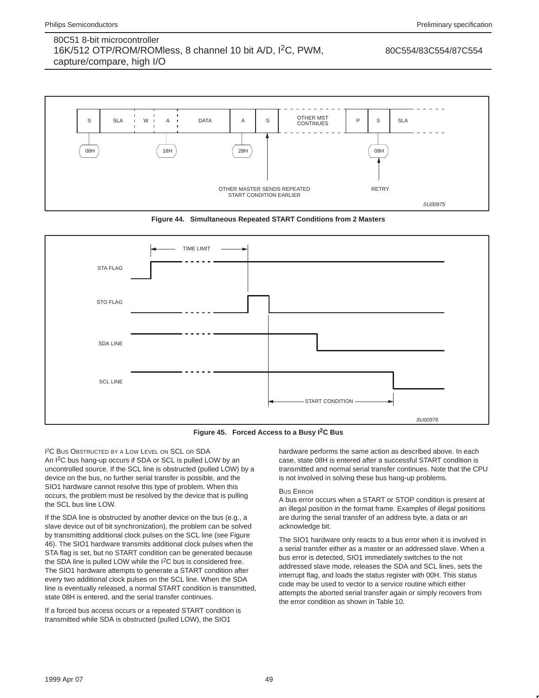#### 80C554/83C554/87C554







**Figure 45. Forced Access to a Busy I2C Bus**

I 2C BUS OBSTRUCTED BY A LOW LEVEL ON SCL OR SDA An I<sup>2</sup>C bus hang-up occurs if SDA or SCL is pulled LOW by an uncontrolled source. If the SCL line is obstructed (pulled LOW) by a device on the bus, no further serial transfer is possible, and the SIO1 hardware cannot resolve this type of problem. When this occurs, the problem must be resolved by the device that is pulling the SCL bus line LOW.

If the SDA line is obstructed by another device on the bus (e.g., a slave device out of bit synchronization), the problem can be solved by transmitting additional clock pulses on the SCL line (see Figure 46). The SIO1 hardware transmits additional clock pulses when the STA flag is set, but no START condition can be generated because the SDA line is pulled LOW while the I<sup>2</sup>C bus is considered free. The SIO1 hardware attempts to generate a START condition after every two additional clock pulses on the SCL line. When the SDA line is eventually released, a normal START condition is transmitted, state 08H is entered, and the serial transfer continues.

If a forced bus access occurs or a repeated START condition is transmitted while SDA is obstructed (pulled LOW), the SIO1

hardware performs the same action as described above. In each case, state 08H is entered after a successful START condition is transmitted and normal serial transfer continues. Note that the CPU is not involved in solving these bus hang-up problems.

#### BUS ERROR

A bus error occurs when a START or STOP condition is present at an illegal position in the format frame. Examples of illegal positions are during the serial transfer of an address byte, a data or an acknowledge bit.

The SIO1 hardware only reacts to a bus error when it is involved in a serial transfer either as a master or an addressed slave. When a bus error is detected, SIO1 immediately switches to the not addressed slave mode, releases the SDA and SCL lines, sets the interrupt flag, and loads the status register with 00H. This status code may be used to vector to a service routine which either attempts the aborted serial transfer again or simply recovers from the error condition as shown in Table 10.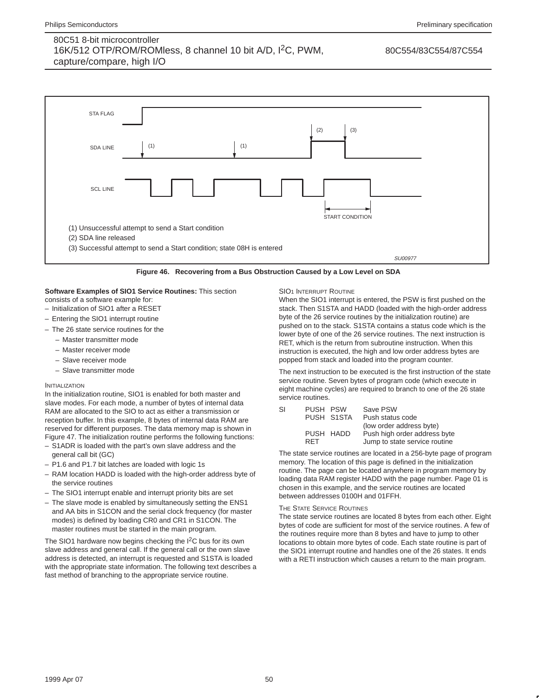#### 80C554/83C554/87C554



**Figure 46. Recovering from a Bus Obstruction Caused by a Low Level on SDA**

### **Software Examples of SIO1 Service Routines:** This section

- consists of a software example for:
- Initialization of SIO1 after a RESET
- Entering the SIO1 interrupt routine
- The 26 state service routines for the
	- Master transmitter mode
	- Master receiver mode
	- Slave receiver mode
	- Slave transmitter mode

#### INITIALIZATION

In the initialization routine, SIO1 is enabled for both master and slave modes. For each mode, a number of bytes of internal data RAM are allocated to the SIO to act as either a transmission or reception buffer. In this example, 8 bytes of internal data RAM are reserved for different purposes. The data memory map is shown in Figure 47. The initialization routine performs the following functions:

- S1ADR is loaded with the part's own slave address and the general call bit (GC)
- P1.6 and P1.7 bit latches are loaded with logic 1s
- RAM location HADD is loaded with the high-order address byte of the service routines
- The SIO1 interrupt enable and interrupt priority bits are set
- The slave mode is enabled by simultaneously setting the ENS1 and AA bits in S1CON and the serial clock frequency (for master modes) is defined by loading CR0 and CR1 in S1CON. The master routines must be started in the main program.

The SIO1 hardware now begins checking the I<sup>2</sup>C bus for its own slave address and general call. If the general call or the own slave address is detected, an interrupt is requested and S1STA is loaded with the appropriate state information. The following text describes a fast method of branching to the appropriate service routine.

SIO1 INTERRUPT ROUTINE

When the SIO1 interrupt is entered, the PSW is first pushed on the stack. Then S1STA and HADD (loaded with the high-order address byte of the 26 service routines by the initialization routine) are pushed on to the stack. S1STA contains a status code which is the lower byte of one of the 26 service routines. The next instruction is RET, which is the return from subroutine instruction. When this instruction is executed, the high and low order address bytes are popped from stack and loaded into the program counter.

The next instruction to be executed is the first instruction of the state service routine. Seven bytes of program code (which execute in eight machine cycles) are required to branch to one of the 26 state service routines.

| SI | PUSH PSW   | Save PSW                      |
|----|------------|-------------------------------|
|    | PUSH S1STA | Push status code              |
|    |            | (low order address byte)      |
|    | PUSH HADD  | Push high order address byte  |
|    | RFT        | Jump to state service routine |

The state service routines are located in a 256-byte page of program memory. The location of this page is defined in the initialization routine. The page can be located anywhere in program memory by loading data RAM register HADD with the page number. Page 01 is chosen in this example, and the service routines are located between addresses 0100H and 01FFH.

#### THE STATE SERVICE ROUTINES

The state service routines are located 8 bytes from each other. Eight bytes of code are sufficient for most of the service routines. A few of the routines require more than 8 bytes and have to jump to other locations to obtain more bytes of code. Each state routine is part of the SIO1 interrupt routine and handles one of the 26 states. It ends with a RETI instruction which causes a return to the main program.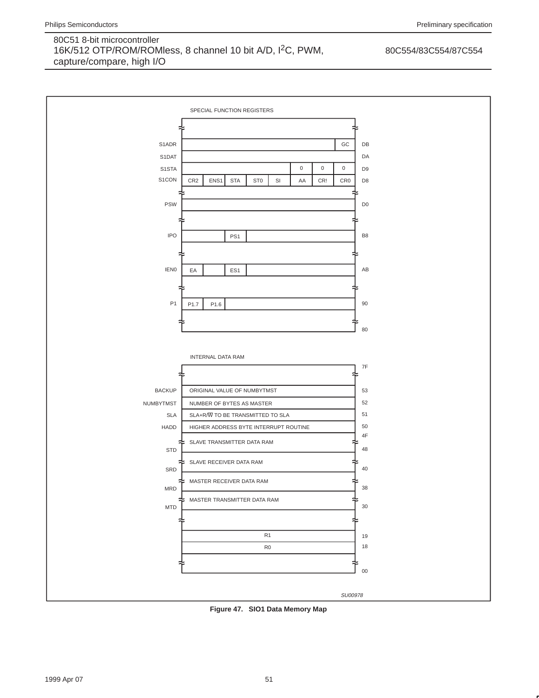

**Figure 47. SIO1 Data Memory Map**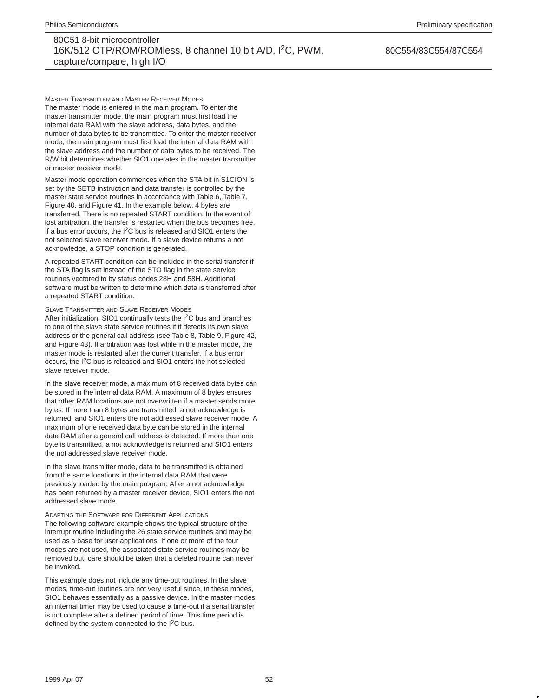80C554/83C554/87C554

MASTER TRANSMITTER AND MASTER RECEIVER MODES The master mode is entered in the main program. To enter the master transmitter mode, the main program must first load the internal data RAM with the slave address, data bytes, and the number of data bytes to be transmitted. To enter the master receiver mode, the main program must first load the internal data RAM with the slave address and the number of data bytes to be received. The R/W bit determines whether SIO1 operates in the master transmitter or master receiver mode.

Master mode operation commences when the STA bit in S1CION is set by the SETB instruction and data transfer is controlled by the master state service routines in accordance with Table 6, Table 7, Figure 40, and Figure 41. In the example below, 4 bytes are transferred. There is no repeated START condition. In the event of lost arbitration, the transfer is restarted when the bus becomes free. If a bus error occurs, the I<sup>2</sup>C bus is released and SIO1 enters the not selected slave receiver mode. If a slave device returns a not acknowledge, a STOP condition is generated.

A repeated START condition can be included in the serial transfer if the STA flag is set instead of the STO flag in the state service routines vectored to by status codes 28H and 58H. Additional software must be written to determine which data is transferred after a repeated START condition.

#### SLAVE TRANSMITTER AND SLAVE RECEIVER MODES

After initialization, SIO1 continually tests the I<sup>2</sup>C bus and branches to one of the slave state service routines if it detects its own slave address or the general call address (see Table 8, Table 9, Figure 42, and Figure 43). If arbitration was lost while in the master mode, the master mode is restarted after the current transfer. If a bus error occurs, the I2C bus is released and SIO1 enters the not selected slave receiver mode.

In the slave receiver mode, a maximum of 8 received data bytes can be stored in the internal data RAM. A maximum of 8 bytes ensures that other RAM locations are not overwritten if a master sends more bytes. If more than 8 bytes are transmitted, a not acknowledge is returned, and SIO1 enters the not addressed slave receiver mode. A maximum of one received data byte can be stored in the internal data RAM after a general call address is detected. If more than one byte is transmitted, a not acknowledge is returned and SIO1 enters the not addressed slave receiver mode.

In the slave transmitter mode, data to be transmitted is obtained from the same locations in the internal data RAM that were previously loaded by the main program. After a not acknowledge has been returned by a master receiver device, SIO1 enters the not addressed slave mode.

#### ADAPTING THE SOFTWARE FOR DIFFERENT APPLICATIONS

The following software example shows the typical structure of the interrupt routine including the 26 state service routines and may be used as a base for user applications. If one or more of the four modes are not used, the associated state service routines may be removed but, care should be taken that a deleted routine can never be invoked.

This example does not include any time-out routines. In the slave modes, time-out routines are not very useful since, in these modes, SIO1 behaves essentially as a passive device. In the master modes, an internal timer may be used to cause a time-out if a serial transfer is not complete after a defined period of time. This time period is defined by the system connected to the  $I<sup>2</sup>C$  bus.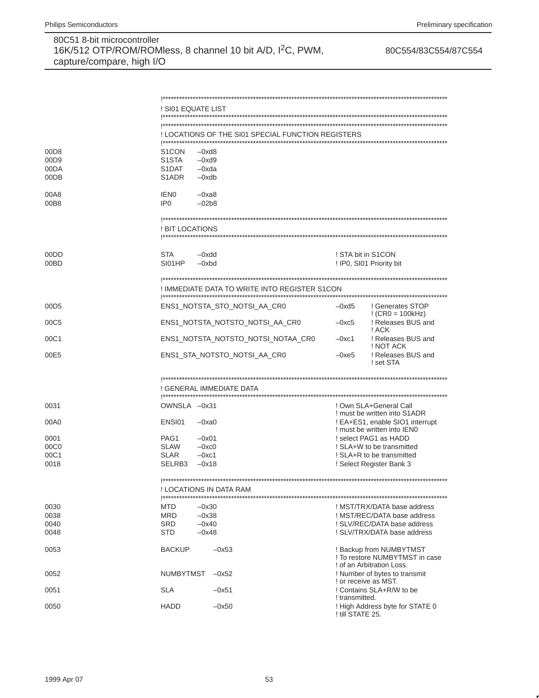|                                          | ! SI01 EQUATE LIST                            |                                                         |                                                |                                                                                        |
|------------------------------------------|-----------------------------------------------|---------------------------------------------------------|------------------------------------------------|----------------------------------------------------------------------------------------|
|                                          |                                               |                                                         |                                                |                                                                                        |
|                                          |                                               | ! LOCATIONS OF THE SI01 SPECIAL FUNCTION REGISTERS      |                                                |                                                                                        |
| 00D <sub>8</sub><br>00D9<br>00DA<br>00DB | S1CON<br>S1STA<br>S1DAT<br>S <sub>1</sub> ADR | $-0xd8$<br>$-0xd9$<br>$-0xda$<br>$-0xdb$                |                                                |                                                                                        |
| 00A8                                     | IEN <sub>0</sub>                              | $-0xa8$                                                 |                                                |                                                                                        |
| 00B8                                     | IP <sub>0</sub>                               | $-02b8$                                                 |                                                |                                                                                        |
|                                          | ! BIT LOCATIONS                               |                                                         |                                                |                                                                                        |
| 00DD<br>00BD                             | <b>STA</b><br>SI01HP                          | $-0x$ dd<br>$-0$ x $bd$                                 | ! STA bit in S1CON<br>! IP0, SI01 Priority bit |                                                                                        |
|                                          |                                               | ! IMMEDIATE DATA TO WRITE INTO REGISTER S1CON           |                                                |                                                                                        |
| 00D <sub>5</sub>                         |                                               | ENS1 NOTSTA STO NOTSI AA CR0                            | $-0xd5$                                        | ! Generates STOP                                                                       |
| 00C5                                     |                                               | ENS1_NOTSTA_NOTSTO_NOTSI_AA_CR0                         | $-0xc5$                                        | $CRO = 100kHz$<br>! Releases BUS and<br>! ACK                                          |
| 00C1                                     |                                               | ENS1_NOTSTA_NOTSTO_NOTSI_NOTAA_CR0                      | $-0xc1$                                        | ! Releases BUS and<br>! NOT ACK                                                        |
| 00E5                                     |                                               | ENS1_STA_NOTSTO_NOTSI_AA_CR0                            | $-0xe5$                                        | ! Releases BUS and<br>! set STA                                                        |
|                                          |                                               |                                                         |                                                |                                                                                        |
|                                          |                                               | ! GENERAL IMMEDIATE DATA                                |                                                |                                                                                        |
| 0031                                     | OWNSLA -0x31                                  |                                                         |                                                | ! Own SLA+General Call<br>! must be written into S1ADR                                 |
| 00A0                                     | ENSI01                                        | $-0xa0$                                                 |                                                | ! EA+ES1, enable SIO1 interrupt<br>! must be written into IEN0                         |
| 0001                                     | PAG1                                          | $-0x01$                                                 |                                                | ! select PAG1 as HADD                                                                  |
| 00C0                                     | <b>SLAW</b>                                   | $-0xc0$                                                 |                                                | ! SLA+W to be transmitted                                                              |
| 00C1<br>0018                             | <b>SLAR</b><br>SELRB3                         | $-0xc1$<br>$-0x18$                                      |                                                | ! SLA+R to be transmitted<br>! Select Register Bank 3                                  |
|                                          |                                               | ! LOCATIONS IN DATA RAM<br> *************************** |                                                |                                                                                        |
| 0030                                     | MTD                                           | $-0x30$                                                 |                                                | ! MST/TRX/DATA base address                                                            |
| 0038                                     | MRD                                           | $-0x38$                                                 |                                                | ! MST/REC/DATA base address                                                            |
| 0040<br>0048                             | <b>SRD</b><br><b>STD</b>                      | $-0x40$<br>$-0x48$                                      |                                                | ! SLV/REC/DATA base address<br>! SLV/TRX/DATA base address                             |
|                                          |                                               |                                                         |                                                |                                                                                        |
| 0053                                     | <b>BACKUP</b>                                 | $-0x53$                                                 |                                                | ! Backup from NUMBYTMST<br>! To restore NUMBYTMST in case<br>! of an Arbitration Loss. |
| 0052                                     | <b>NUMBYTMST</b>                              | $-0x52$                                                 | ! or receive as MST.                           | ! Number of bytes to transmit                                                          |
| 0051                                     | <b>SLA</b>                                    | $-0x51$                                                 | ! transmitted.                                 | ! Contains SLA+R/W to be                                                               |
| 0050                                     | <b>HADD</b>                                   | $-0x50$                                                 | ! till STATE 25.                               | ! High Address byte for STATE 0                                                        |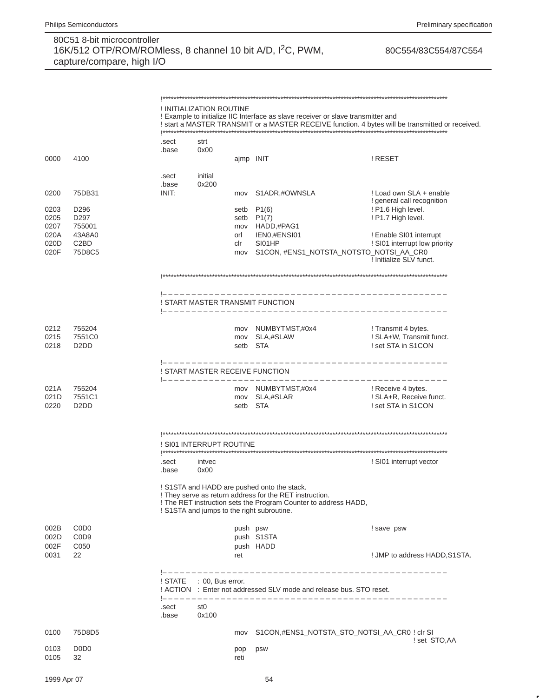#### 80C554/83C554/87C554

! INITIALIZATION ROUTINE ! Example to initialize IIC Interface as slave receiver or slave transmitter and ! start a MASTER TRANSMIT or a MASTER RECEIVE function. 4 bytes will be transmitted or received. .sect strt  $0x00$ .base 0000 4100 ajmp INIT ! RESET initial .sect 0x200 .base 0200 75DB31 INIT: S1ADR,#OWNSLA ! Load own SLA + enable mov ! general call recognition 0203 D296 setb  $P1(6)$ ! P1.6 High level. 0205 D<sub>297</sub> setb P1(7) ! P1.7 High level. 0207 755001 mov HADD,#PAG1 020A 43A8A0 IEN0,#ENSI01 ! Enable SI01 interrupt orl 020D C<sub>2</sub>B<sub>D</sub> clr SI01HP ! SI01 interrupt low priority mov S1CON, #ENS1\_NOTSTA\_NOTSTO\_NOTSI\_AA\_CR0 020F 75D8C5 ! Initialize SLV funct. ! START MASTER TRANSMIT FUNCTION 0212 755204 mov NUMBYTMST,#0x4 ! Transmit 4 bytes. 0215 7551C0 mov SLA,#SLAW ! SLA+W, Transmit funct. 0218 D<sub>2</sub>D<sub>D</sub> setb STA ! set STA in S1CON \_\_\_\_\_\_\_\_\_\_\_\_\_\_\_\_\_\_\_\_\_\_\_\_\_\_\_\_\_ ! START MASTER RECEIVE FUNCTION 021A 755204 mov NUMBYTMST,#0x4 ! Receive 4 bytes. 7551C1 ! SLA+R, Receive funct.  $021D$ mov SLA,#SLAR 0220 D<sub>2</sub>D<sub>D</sub> setb STA ! set STA in S1CON ! SI01 INTERRUPT ROUTINE intvec ! SI01 interrupt vector .sect .base  $0x00$ ! S1STA and HADD are pushed onto the stack. ! They serve as return address for the RET instruction. ! The RET instruction sets the Program Counter to address HADD, ! S1STA and jumps to the right subroutine. 002B C<sub>0</sub>D<sub>0</sub> push psw ! save psw 002D C<sub>0</sub>D<sub>9</sub> push S1STA 002F C050 push HADD 0031 22 ret ! JMP to address HADD, S1STA. ! STATE : 00, Bus error. ! ACTION : Enter not addressed SLV mode and release bus. STO reset.  $|- - - - - - - -$ .sect st<sub>0</sub> 0x100 .base 0100 75D8D5 S1CON,#ENS1\_NOTSTA\_STO\_NOTSI\_AA\_CR0 ! clr SI mov ! set STO, AA 0103 DODO pop **DSW** 0105 32 reti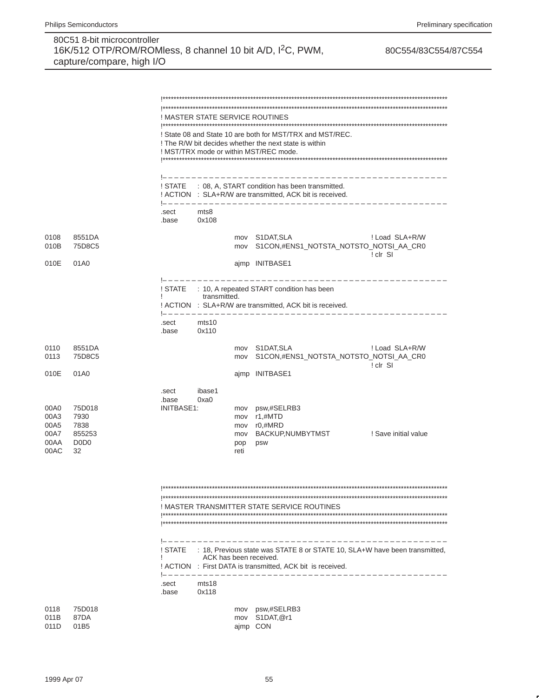|                                              |                                                                         |                              |                        |                                  | ! MASTER STATE SERVICE ROUTINES                                                                                                                                               |                            |
|----------------------------------------------|-------------------------------------------------------------------------|------------------------------|------------------------|----------------------------------|-------------------------------------------------------------------------------------------------------------------------------------------------------------------------------|----------------------------|
|                                              |                                                                         |                              |                        |                                  | ! State 08 and State 10 are both for MST/TRX and MST/REC.<br>! The R/W bit decides whether the next state is within<br>! MST/TRX mode or within MST/REC mode.                 |                            |
|                                              |                                                                         | ! STATE                      |                        |                                  | : 08, A, START condition has been transmitted.<br>! ACTION : SLA+R/W are transmitted, ACK bit is received.                                                                    |                            |
|                                              |                                                                         | .sect<br>.base               | mts8<br>0x108          |                                  | --------------------------                                                                                                                                                    |                            |
| 0108<br>010B                                 | 8551DA<br>75D8C5                                                        |                              |                        | mov                              | mov S1DAT, SLA<br>S1CON,#ENS1_NOTSTA_NOTSTO_NOTSI_AA_CR0                                                                                                                      | ! Load SLA+R/W<br>! clr SI |
| 010E                                         | 01A0                                                                    |                              |                        |                                  | ajmp INITBASE1                                                                                                                                                                |                            |
|                                              |                                                                         |                              | transmitted.           |                                  | ! STATE : 10, A repeated START condition has been<br>! ACTION : SLA+R/W are transmitted, ACK bit is received.                                                                 |                            |
|                                              |                                                                         | .sect<br>.base               | mts10<br>0x110         |                                  |                                                                                                                                                                               |                            |
| 0110<br>0113                                 | 8551DA<br>75D8C5                                                        |                              |                        |                                  | mov S1DAT, SLA<br>mov S1CON,#ENS1_NOTSTA_NOTSTO_NOTSI_AA_CR0                                                                                                                  | ! Load SLA+R/W<br>! clr SI |
| 010E                                         | 01A0                                                                    |                              |                        |                                  | ajmp INITBASE1                                                                                                                                                                |                            |
| 00A0<br>00A3<br>00A5<br>00A7<br>00AA<br>00AC | 75D018<br>7930<br>7838<br>855253<br>D <sub>0</sub> D <sub>0</sub><br>32 | .sect<br>.base<br>INITBASE1: | ibase1<br>0xa0         | mov<br>mov<br>mov<br>pop<br>reti | psw,#SELRB3<br>r1,#MTD<br>mov r0,#MRD<br>BACKUP,NUMBYTMST<br>psw                                                                                                              | ! Save initial value       |
|                                              |                                                                         |                              |                        |                                  | ! MASTER TRANSMITTER STATE SERVICE ROUTINES                                                                                                                                   |                            |
|                                              |                                                                         | ! STATE<br>J.                | ACK has been received. |                                  | : 18, Previous state was STATE 8 or STATE 10, SLA+W have been transmitted,<br>! ACTION : First DATA is transmitted, ACK bit is received.<br> -------------------------------- |                            |
|                                              |                                                                         | .sect<br>.base               | mts18<br>0x118         |                                  |                                                                                                                                                                               |                            |
| 0118<br>011B<br>011D                         | 75D018<br>87DA<br>01B5                                                  |                              |                        | ajmp CON                         | mov psw,#SELRB3<br>mov S1DAT, @r1                                                                                                                                             |                            |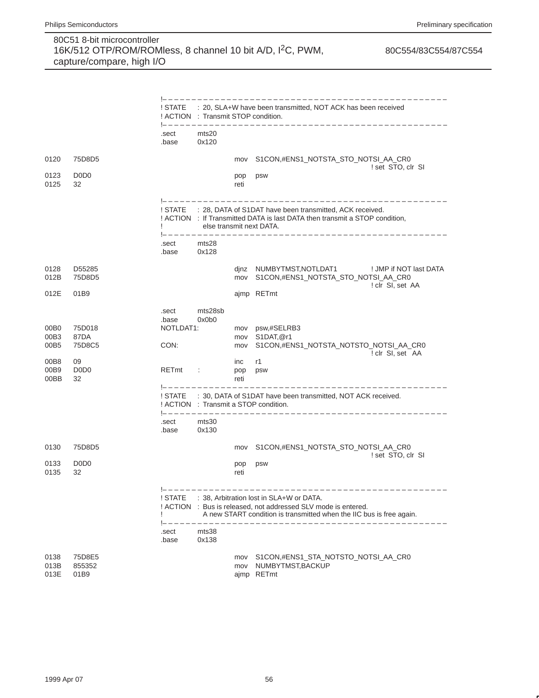|                      |                                     |                                                             |                          |                    | --------------------------------------                                                                                                                                             |  |
|----------------------|-------------------------------------|-------------------------------------------------------------|--------------------------|--------------------|------------------------------------------------------------------------------------------------------------------------------------------------------------------------------------|--|
|                      |                                     | ! ACTION : Transmit STOP condition.<br> ------------------- |                          |                    | ! STATE : 20, SLA+W have been transmitted, NOT ACK has been received<br>_______________________________                                                                            |  |
|                      |                                     | .sect<br>.base                                              | mts20<br>0x120           |                    |                                                                                                                                                                                    |  |
| 0120                 | 75D8D5                              |                                                             |                          | mov                | S1CON,#ENS1_NOTSTA_STO_NOTSI_AA_CR0<br>! set STO, clr SI                                                                                                                           |  |
| 0123<br>0125         | D <sub>0</sub> D <sub>0</sub><br>32 |                                                             |                          | psw<br>pop<br>reti |                                                                                                                                                                                    |  |
|                      |                                     |                                                             | else transmit next DATA. |                    | ! STATE : 28, DATA of S1DAT have been transmitted, ACK received.<br>! ACTION : If Transmitted DATA is last DATA then transmit a STOP condition,                                    |  |
|                      |                                     | .sect<br>.base                                              | mts28<br>0x128           |                    |                                                                                                                                                                                    |  |
| 0128<br>012B         | D55285<br>75D8D5                    |                                                             |                          |                    | dinz NUMBYTMST, NOTLDAT1<br>! JMP if NOT last DATA<br>mov S1CON,#ENS1_NOTSTA_STO_NOTSI_AA_CR0<br>! clr SI, set AA                                                                  |  |
| 012E                 | 01B9                                |                                                             |                          |                    | ajmp RETmt                                                                                                                                                                         |  |
|                      |                                     | .sect<br>.base                                              | mts28sb<br>0x0b0         |                    |                                                                                                                                                                                    |  |
| 00B0<br>00B3         | 75D018<br>87DA                      | NOTLDAT1:                                                   |                          | mov<br>mov         | psw,#SELRB3<br>S1DAT, @r1                                                                                                                                                          |  |
| 00B5                 | 75D8C5                              | CON:                                                        |                          | mov                | S1CON,#ENS1_NOTSTA_NOTSTO_NOTSI_AA_CR0<br>! clr SI, set AA                                                                                                                         |  |
| 00B8<br>00B9         | 09<br>D <sub>0</sub> D <sub>0</sub> | RETmt                                                       | $\sim 100$               | inc<br>pop         | r1<br>psw                                                                                                                                                                          |  |
| 00BB                 | 32                                  |                                                             |                          | reti               |                                                                                                                                                                                    |  |
|                      |                                     |                                                             |                          |                    | ! STATE : 30, DATA of S1DAT have been transmitted, NOT ACK received.<br>! ACTION : Transmit a STOP condition.                                                                      |  |
|                      |                                     | .sect<br>.base                                              | mts30<br>0x130           |                    |                                                                                                                                                                                    |  |
| 0130                 | 75D8D5                              |                                                             |                          | mov                | S1CON,#ENS1_NOTSTA_STO_NOTSI_AA_CR0<br>! set STO, clr SI                                                                                                                           |  |
| 0133<br>0135         | D <sub>0</sub> D <sub>0</sub><br>32 |                                                             |                          | pop<br>reti        | psw                                                                                                                                                                                |  |
|                      |                                     | ! STATE                                                     |                          |                    | : 38, Arbitration lost in SLA+W or DATA.<br>! ACTION : Bus is released, not addressed SLV mode is entered.<br>A new START condition is transmitted when the IIC bus is free again. |  |
|                      |                                     | .sect<br>.base                                              | mts38<br>0x138           |                    |                                                                                                                                                                                    |  |
| 0138<br>013B<br>013E | 75D8E5<br>855352<br>01B9            |                                                             |                          | mov<br>mov         | S1CON,#ENS1_STA_NOTSTO_NOTSI_AA_CR0<br>NUMBYTMST, BACKUP<br>ajmp RETmt                                                                                                             |  |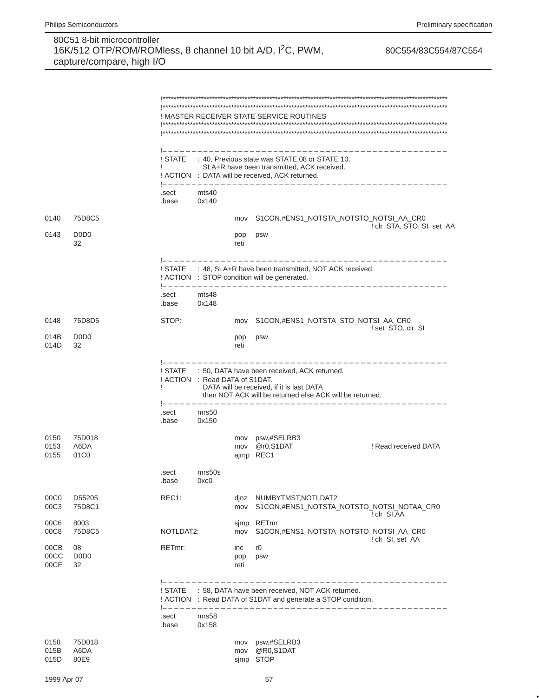|                      |                                           | ! MASTER RECEIVER STATE SERVICE ROUTINES |                                |                    |                                                                                                                                                               |                           |  |  |  |
|----------------------|-------------------------------------------|------------------------------------------|--------------------------------|--------------------|---------------------------------------------------------------------------------------------------------------------------------------------------------------|---------------------------|--|--|--|
|                      |                                           | ! STATE<br>T                             |                                |                    | : 40, Previous state was STATE 08 or STATE 10,<br>SLA+R have been transmitted, ACK received.<br>! ACTION : DATA will be received, ACK returned.               |                           |  |  |  |
|                      |                                           | .sect<br>.base                           | mts40<br>0x140                 |                    |                                                                                                                                                               |                           |  |  |  |
| 0140                 | 75D8C5                                    |                                          |                                | mov                | S1CON,#ENS1_NOTSTA_NOTSTO_NOTSI_AA_CR0                                                                                                                        |                           |  |  |  |
| 0143                 | D <sub>0</sub> D <sub>0</sub><br>32       |                                          |                                | pop<br>reti        | psw                                                                                                                                                           | ! clr STA, STO, SI set AA |  |  |  |
|                      |                                           |                                          |                                |                    | ! STATE : 48, SLA+R have been transmitted, NOT ACK received.<br>! ACTION : STOP condition will be generated.                                                  |                           |  |  |  |
|                      |                                           | !--------<br>.sect<br>.base              | mts48<br>0x148                 |                    |                                                                                                                                                               |                           |  |  |  |
| 0148                 | 75D8D5                                    | STOP:                                    |                                | mov                | S1CON,#ENS1_NOTSTA_STO_NOTSI_AA_CR0                                                                                                                           | ! set STO, clr SI         |  |  |  |
| 014B<br>014D         | D <sub>0</sub> D <sub>0</sub><br>32       |                                          |                                | pop<br>reti        | psw                                                                                                                                                           |                           |  |  |  |
|                      |                                           |                                          | ! ACTION : Read DATA of S1DAT. |                    | ! STATE : 50, DATA have been received, ACK returned.<br>DATA will be received, if it is last DATA<br>then NOT ACK will be returned else ACK will be returned. |                           |  |  |  |
|                      |                                           | .sect<br>.base                           | mrs50<br>0x150                 |                    |                                                                                                                                                               |                           |  |  |  |
| 0150<br>0153<br>0155 | 75D018<br>A6DA<br>01C <sub>0</sub>        |                                          |                                |                    | mov psw,#SELRB3<br>mov @r0,S1DAT<br>ajmp REC1                                                                                                                 | ! Read received DATA      |  |  |  |
|                      |                                           | .sect<br>.base                           | mrs50s<br>0xc0                 |                    |                                                                                                                                                               |                           |  |  |  |
| 00C0<br>00C3         | D55205<br>75D8C1                          | REC1:                                    |                                | mov                | dinz NUMBYTMST, NOTLDAT2<br>S1CON,#ENS1 NOTSTA NOTSTO NOTSI NOTAA CR0                                                                                         | ! clr SI, AA              |  |  |  |
| 00C6<br>00C8         | 8003<br>75D8C5                            | NOTLDAT2:                                |                                | sjmp<br>mov        | RETmr<br>S1CON,#ENS1 NOTSTA NOTSTO NOTSI AA CR0                                                                                                               |                           |  |  |  |
| 00CB<br>00CC<br>00CE | 08<br>D <sub>0</sub> D <sub>0</sub><br>32 | RETmr:                                   |                                | inc<br>pop<br>reti | r <sub>0</sub><br>psw                                                                                                                                         | ! clr SI, set AA          |  |  |  |
|                      |                                           | $1 - - - - - - - -$<br>! STATE           |                                |                    | : 58, DATA have been received, NOT ACK returned.<br>! ACTION : Read DATA of S1DAT and generate a STOP condition.<br>________________________                  |                           |  |  |  |
|                      |                                           | $! - - - - - - - - -$<br>.sect<br>.base  | mrs58<br>0x158                 |                    |                                                                                                                                                               |                           |  |  |  |
| 0158<br>015B<br>015D | 75D018<br>A6DA<br>80E9                    |                                          |                                | mov<br>mov         | psw,#SELRB3<br>@R0,S1DAT<br>sjmp STOP                                                                                                                         |                           |  |  |  |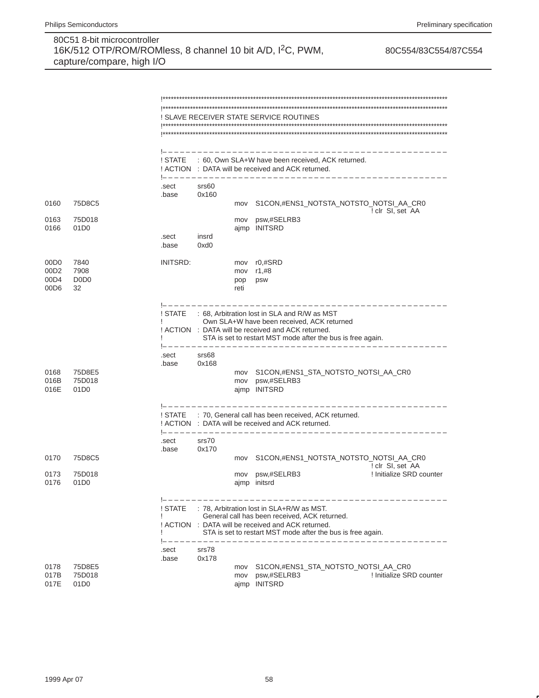|                  |                                     |                 |                                 |             | ! SLAVE RECEIVER STATE SERVICE ROUTINES                                                                                                          |
|------------------|-------------------------------------|-----------------|---------------------------------|-------------|--------------------------------------------------------------------------------------------------------------------------------------------------|
|                  |                                     |                 |                                 |             |                                                                                                                                                  |
|                  |                                     |                 |                                 |             | _____________________________<br>! STATE : 60, Own SLA+W have been received, ACK returned.<br>! ACTION : DATA will be received and ACK returned. |
|                  |                                     | .sect<br>.base  | 1------------<br>srs60<br>0x160 |             |                                                                                                                                                  |
| 0160             | 75D8C5                              |                 |                                 | mov         | S1CON,#ENS1_NOTSTA_NOTSTO_NOTSI_AA_CR0<br>! clr SI, set AA                                                                                       |
| 0163             | 75D018                              |                 |                                 | mov         | psw,#SELRB3                                                                                                                                      |
| 0166             | 01D <sub>0</sub>                    |                 |                                 |             | ajmp INITSRD                                                                                                                                     |
|                  |                                     | .sect<br>.base  | insrd<br>0xd0                   |             |                                                                                                                                                  |
| 00D <sub>0</sub> | 7840                                | <b>INITSRD:</b> |                                 | mov         | $r0,$ #SRD                                                                                                                                       |
| 00D <sub>2</sub> | 7908                                |                 |                                 |             | mov r1,#8                                                                                                                                        |
| 00D4<br>00D6     | D <sub>0</sub> D <sub>0</sub><br>32 |                 |                                 | pop<br>reti | psw                                                                                                                                              |
|                  |                                     |                 |                                 |             |                                                                                                                                                  |
|                  |                                     | ! STATE         |                                 |             | : 68, Arbitration lost in SLA and R/W as MST                                                                                                     |
|                  |                                     |                 |                                 |             | Own SLA+W have been received, ACK returned<br>! ACTION : DATA will be received and ACK returned.                                                 |
|                  |                                     |                 |                                 |             | STA is set to restart MST mode after the bus is free again.                                                                                      |
|                  |                                     | .sect<br>.base  | srs68<br>0x168                  |             |                                                                                                                                                  |
| 0168             | 75D8E5                              |                 |                                 | mov         | S1CON,#ENS1_STA_NOTSTO_NOTSI_AA_CR0                                                                                                              |
| 016B             | 75D018                              |                 |                                 |             | mov psw,#SELRB3                                                                                                                                  |
| 016E             | 01D <sub>0</sub>                    |                 |                                 |             | ajmp INITSRD                                                                                                                                     |
|                  |                                     | ! STATE         |                                 |             | : 70, General call has been received, ACK returned.                                                                                              |
|                  |                                     |                 |                                 |             | ! ACTION : DATA will be received and ACK returned.                                                                                               |
|                  |                                     | .sect           | srs70                           |             |                                                                                                                                                  |
| 0170             | 75D8C5                              | .base           | 0x170                           | mov         | S1CON,#ENS1_NOTSTA_NOTSTO_NOTSI_AA_CR0                                                                                                           |
|                  |                                     |                 |                                 |             | ! clr SI, set AA                                                                                                                                 |
| 0173<br>0176     | 75D018<br>01D <sub>0</sub>          |                 |                                 | mov         | ! Initialize SRD counter<br>psw,#SELRB3<br>ajmp initsrd                                                                                          |
|                  |                                     |                 |                                 |             |                                                                                                                                                  |
|                  |                                     | ! STATE         |                                 |             | --------<br>: 78, Arbitration lost in SLA+R/W as MST.                                                                                            |
|                  |                                     |                 |                                 |             | General call has been received, ACK returned.                                                                                                    |
|                  |                                     |                 |                                 |             | ! ACTION : DATA will be received and ACK returned.<br>STA is set to restart MST mode after the bus is free again.                                |
|                  |                                     |                 |                                 |             | __________________________________                                                                                                               |
|                  |                                     | .sect<br>.base  | srs78<br>0x178                  |             |                                                                                                                                                  |
| 0178             | 75D8E5                              |                 |                                 | mov         | S1CON,#ENS1 STA NOTSTO NOTSI AA CR0                                                                                                              |
| 017B<br>017E     | 75D018<br>01D <sub>0</sub>          |                 |                                 | mov         | psw,#SELRB3<br>! Initialize SRD counter<br>ajmp INITSRD                                                                                          |
|                  |                                     |                 |                                 |             |                                                                                                                                                  |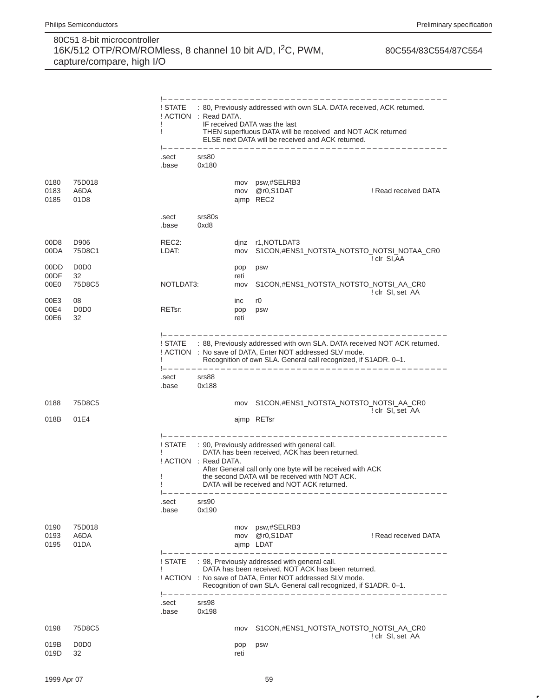|                          |                                               |                             |                       |                    | _________________________________                                                                                                                                                                                                                                                        |                      |
|--------------------------|-----------------------------------------------|-----------------------------|-----------------------|--------------------|------------------------------------------------------------------------------------------------------------------------------------------------------------------------------------------------------------------------------------------------------------------------------------------|----------------------|
|                          |                                               | ! STATE<br>Ţ                | ! ACTION : Read DATA. |                    | : 80, Previously addressed with own SLA. DATA received, ACK returned.<br>IF received DATA was the last<br>THEN superfluous DATA will be received and NOT ACK returned<br>ELSE next DATA will be received and ACK returned.<br>________________________________                           |                      |
|                          |                                               | .sect<br>.base              | srs80<br>0x180        |                    |                                                                                                                                                                                                                                                                                          |                      |
| 0180<br>0183<br>0185     | 75D018<br>A6DA<br>01D <sub>8</sub>            |                             |                       | mov<br>mov         | psw,#SELRB3<br>@r0,S1DAT<br>ajmp REC2                                                                                                                                                                                                                                                    | ! Read received DATA |
|                          |                                               | .sect<br>.base              | srs80s<br>0xd8        |                    |                                                                                                                                                                                                                                                                                          |                      |
| 00D <sub>8</sub><br>00DA | D906<br>75D8C1                                | REC <sub>2</sub> :<br>LDAT: |                       | mov                | dinz r1, NOTLDAT3<br>S1CON,#ENS1_NOTSTA_NOTSTO_NOTSI_NOTAA_CR0                                                                                                                                                                                                                           | ! clr SI, AA         |
| 00DD<br>00DF<br>00E0     | D <sub>0</sub> D <sub>0</sub><br>32<br>75D8C5 | NOTLDAT3:                   |                       | pop<br>reti<br>mov | psw<br>S1CON,#ENS1_NOTSTA_NOTSTO_NOTSI_AA_CR0                                                                                                                                                                                                                                            |                      |
| 00E3<br>00E4<br>00E6     | 08<br>D <sub>0</sub> D <sub>0</sub><br>32     | RETsr:                      |                       | inc<br>pop<br>reti | r0<br>psw                                                                                                                                                                                                                                                                                | ! clr SI, set AA     |
|                          |                                               |                             |                       |                    | ! STATE : 88, Previously addressed with own SLA. DATA received NOT ACK returned.<br>! ACTION : No save of DATA, Enter NOT addressed SLV mode.<br>Recognition of own SLA. General call recognized, if S1ADR. 0-1.                                                                         |                      |
|                          |                                               | .sect<br>.base              | srs88<br>0x188        |                    |                                                                                                                                                                                                                                                                                          |                      |
| 0188<br>018B             | 75D8C5<br>01E4                                |                             |                       | mov                | S1CON,#ENS1_NOTSTA_NOTSTO_NOTSI_AA_CR0<br>ajmp RETsr                                                                                                                                                                                                                                     | ! clr SI, set AA     |
|                          |                                               | ! STATE<br>J<br>ı           | ! ACTION : Read DATA. |                    | ----------------------<br>: 90, Previously addressed with general call.<br>DATA has been received, ACK has been returned.<br>After General call only one byte will be received with ACK<br>the second DATA will be received with NOT ACK.<br>DATA will be received and NOT ACK returned. |                      |
|                          |                                               | .sect<br>.base              | srs90<br>0x190        |                    |                                                                                                                                                                                                                                                                                          |                      |
| 0190<br>0193<br>0195     | 75D018<br>A6DA<br>01DA                        |                             |                       | mov<br>mov         | psw,#SELRB3<br>@r0,S1DAT<br>ajmp LDAT                                                                                                                                                                                                                                                    | ! Read received DATA |
|                          |                                               | ! STATE<br>J.               |                       |                    | : 98, Previously addressed with general call.<br>DATA has been received, NOT ACK has been returned.<br>! ACTION : No save of DATA, Enter NOT addressed SLV mode.<br>Recognition of own SLA. General call recognized, if S1ADR. 0-1.<br>___________________________________               |                      |
|                          |                                               | .sect<br>.base              | srs98<br>0x198        |                    |                                                                                                                                                                                                                                                                                          |                      |
| 0198                     | 75D8C5                                        |                             |                       | mov                | S1CON,#ENS1_NOTSTA_NOTSTO_NOTSI_AA_CR0                                                                                                                                                                                                                                                   | ! clr SI, set AA     |
| 019B<br>019D             | D <sub>0</sub> D <sub>0</sub><br>32           |                             |                       | pop<br>reti        | psw                                                                                                                                                                                                                                                                                      |                      |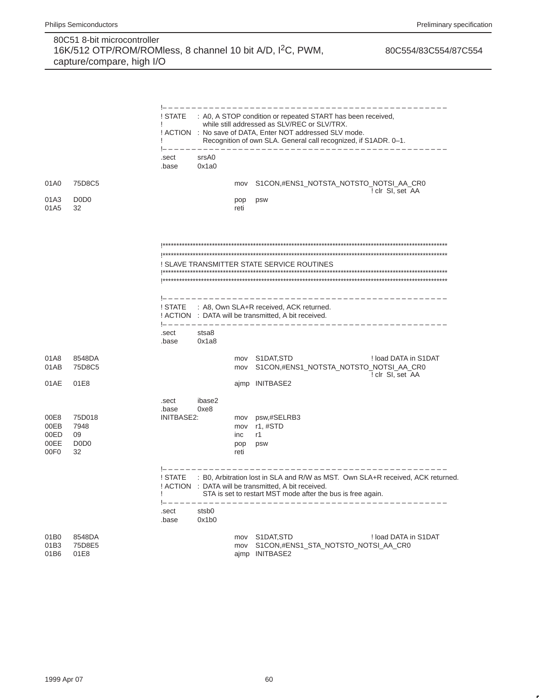|                                                  |                                                             |                              |                |                                  | -----------------                                                                                                                                                                                                                           |
|--------------------------------------------------|-------------------------------------------------------------|------------------------------|----------------|----------------------------------|---------------------------------------------------------------------------------------------------------------------------------------------------------------------------------------------------------------------------------------------|
|                                                  |                                                             | ! STATE<br>L                 |                |                                  | : A0, A STOP condition or repeated START has been received,<br>while still addressed as SLV/REC or SLV/TRX.<br>! ACTION : No save of DATA, Enter NOT addressed SLV mode.<br>Recognition of own SLA. General call recognized, if S1ADR. 0-1. |
|                                                  |                                                             | .sect<br>.base               | srsA0<br>0x1a0 |                                  |                                                                                                                                                                                                                                             |
| 01A0                                             | 75D8C5                                                      |                              |                | mov                              | S1CON,#ENS1_NOTSTA_NOTSTO_NOTSI_AA_CR0                                                                                                                                                                                                      |
| 01A3<br>01A5                                     | D <sub>0</sub> D <sub>0</sub><br>32                         |                              |                | pop<br>reti                      | ! clr SI, set AA<br>psw                                                                                                                                                                                                                     |
|                                                  |                                                             |                              |                |                                  | ! SLAVE TRANSMITTER STATE SERVICE ROUTINES                                                                                                                                                                                                  |
|                                                  |                                                             | ! STATE                      |                |                                  | ______________________________________<br>: A8, Own SLA+R received, ACK returned.<br>! ACTION : DATA will be transmitted, A bit received.                                                                                                   |
|                                                  |                                                             | .sect<br>.base               | stsa8<br>0x1a8 |                                  |                                                                                                                                                                                                                                             |
| 01A8<br>01AB                                     | 8548DA<br>75D8C5                                            |                              |                | mov<br>mov                       | S1DAT, STD<br>! load DATA in S1DAT<br>S1CON,#ENS1_NOTSTA_NOTSTO_NOTSI_AA_CR0<br>! clr SI, set AA                                                                                                                                            |
| 01AE                                             | 01E8                                                        |                              |                |                                  | ajmp INITBASE2                                                                                                                                                                                                                              |
| 00E8<br>00EB<br>00ED<br>00EE<br>00F <sub>0</sub> | 75D018<br>7948<br>09<br>D <sub>0</sub> D <sub>0</sub><br>32 | .sect<br>.base<br>INITBASE2: | ibase2<br>0xe8 | mov<br>mov<br>inc<br>pop<br>reti | psw,#SELRB3<br>r1, #STD<br>r1<br>psw                                                                                                                                                                                                        |
|                                                  |                                                             | ! STATE<br>ı<br>.sect        | stsb0          |                                  | : B0, Arbitration lost in SLA and R/W as MST. Own SLA+R received, ACK returned.<br>! ACTION : DATA will be transmitted, A bit received.<br>STA is set to restart MST mode after the bus is free again.                                      |
|                                                  |                                                             | .base                        | 0x1b0          |                                  |                                                                                                                                                                                                                                             |
| 01B0<br>01B3<br>01B6                             | 8548DA<br>75D8E5<br>01E8                                    |                              |                | mov                              | mov S1DAT, STD<br>! load DATA in S1DAT<br>S1CON,#ENS1_STA_NOTSTO_NOTSI_AA_CR0<br>ajmp INITBASE2                                                                                                                                             |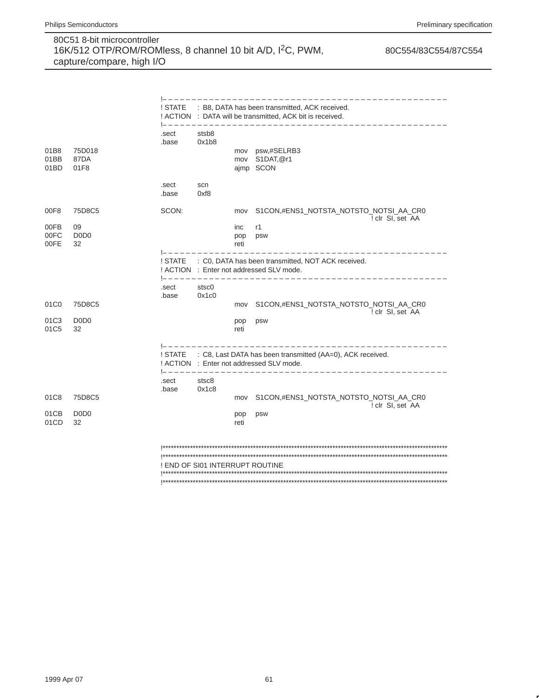|                          |                                         |                                                                                                                                              |                                 |             | ! STATE : B8, DATA has been transmitted, ACK received.<br>! ACTION : DATA will be transmitted, ACK bit is received.                       |  |  |  |  |
|--------------------------|-----------------------------------------|----------------------------------------------------------------------------------------------------------------------------------------------|---------------------------------|-------------|-------------------------------------------------------------------------------------------------------------------------------------------|--|--|--|--|
| 01B8<br>01BB<br>01BD     | 75D018<br>87DA<br>01F8                  | .sect<br>.base                                                                                                                               | stsb8<br>0x1b8                  |             | mov psw,#SELRB3<br>mov S1DAT, @r1<br>aimp SCON                                                                                            |  |  |  |  |
|                          |                                         | .sect<br>.base                                                                                                                               | scn<br>0xf8                     |             |                                                                                                                                           |  |  |  |  |
| 00F8<br>00FB             | 75D8C5<br>09                            | SCON:                                                                                                                                        |                                 | mov<br>inc  | S1CON,#ENS1_NOTSTA_NOTSTO_NOTSI_AA_CR0<br>! clr SI, set AA<br>r1                                                                          |  |  |  |  |
| 00FC<br>00FE             | D <sub>0</sub> D <sub>0</sub><br>32     |                                                                                                                                              |                                 | pop<br>reti | psw                                                                                                                                       |  |  |  |  |
|                          |                                         | : C0, DATA has been transmitted, NOT ACK received.<br>! STATE<br>! ACTION : Enter not addressed SLV mode.<br>1------------------------------ |                                 |             |                                                                                                                                           |  |  |  |  |
|                          |                                         | .sect<br>.base                                                                                                                               | stsc0<br>0x1c0                  |             |                                                                                                                                           |  |  |  |  |
| 01C <sub>0</sub><br>01C3 | 75D8C5<br>D <sub>0</sub> D <sub>0</sub> |                                                                                                                                              |                                 | mov         | S1CON,#ENS1_NOTSTA_NOTSTO_NOTSI_AA_CR0<br>! clr SI, set AA                                                                                |  |  |  |  |
| 01C <sub>5</sub>         | 32                                      |                                                                                                                                              |                                 | pop<br>reti | psw                                                                                                                                       |  |  |  |  |
|                          |                                         | ! STATE                                                                                                                                      |                                 |             | : C8, Last DATA has been transmitted (AA=0), ACK received.<br>! ACTION : Enter not addressed SLV mode.<br>1------------------------------ |  |  |  |  |
|                          |                                         | .sect<br>.base                                                                                                                               | stsc8<br>0x1c8                  |             |                                                                                                                                           |  |  |  |  |
| 01C8                     | 75D8C5                                  |                                                                                                                                              |                                 | mov         | S1CON,#ENS1_NOTSTA_NOTSTO_NOTSI_AA_CR0<br>! clr SI, set AA                                                                                |  |  |  |  |
| 01CB<br>01CD             | D <sub>0</sub> D <sub>0</sub><br>32     |                                                                                                                                              |                                 | pop<br>reti | psw                                                                                                                                       |  |  |  |  |
|                          |                                         |                                                                                                                                              |                                 |             |                                                                                                                                           |  |  |  |  |
|                          |                                         |                                                                                                                                              | ! END OF SI01 INTERRUPT ROUTINE |             |                                                                                                                                           |  |  |  |  |
|                          |                                         |                                                                                                                                              |                                 |             |                                                                                                                                           |  |  |  |  |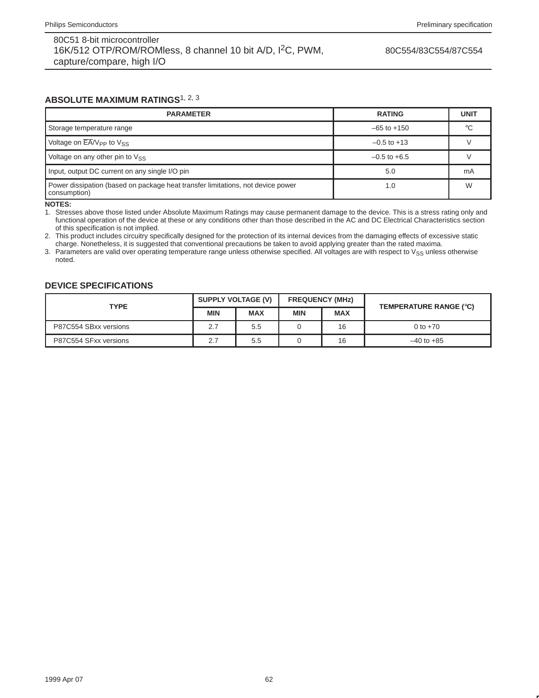80C554/83C554/87C554

### **ABSOLUTE MAXIMUM RATINGS**1, 2, <sup>3</sup>

| <b>PARAMETER</b>                                                                                | <b>RATING</b>    | <b>UNIT</b> |
|-------------------------------------------------------------------------------------------------|------------------|-------------|
| Storage temperature range                                                                       | $-65$ to $+150$  | °C          |
| Voltage on $EAV_{PP}$ to $V_{SS}$                                                               | $-0.5$ to $+13$  |             |
| Voltage on any other pin to $V_{SS}$                                                            | $-0.5$ to $+6.5$ |             |
| Input, output DC current on any single I/O pin                                                  | 5.0              | mA          |
| Power dissipation (based on package heat transfer limitations, not device power<br>consumption) | 1.0              | W           |

**NOTES:**

1. Stresses above those listed under Absolute Maximum Ratings may cause permanent damage to the device. This is a stress rating only and functional operation of the device at these or any conditions other than those described in the AC and DC Electrical Characteristics section of this specification is not implied.

2. This product includes circuitry specifically designed for the protection of its internal devices from the damaging effects of excessive static charge. Nonetheless, it is suggested that conventional precautions be taken to avoid applying greater than the rated maxima.

3. Parameters are valid over operating temperature range unless otherwise specified. All voltages are with respect to  $V_{SS}$  unless otherwise noted.

### **DEVICE SPECIFICATIONS**

| <b>TYPE</b>           | SUPPLY VOLTAGE (V) |            | <b>FREQUENCY (MHz)</b> |            | TEMPERATURE RANGE (°C) |  |
|-----------------------|--------------------|------------|------------------------|------------|------------------------|--|
|                       | <b>MIN</b>         | <b>MAX</b> | <b>MIN</b>             | <b>MAX</b> |                        |  |
| P87C554 SBxx versions | 2.7                | 5.5        |                        | 16         | 0 to $+70$             |  |
| P87C554 SFxx versions | 2.7                | 5.5        |                        | 16         | $-40$ to $+85$         |  |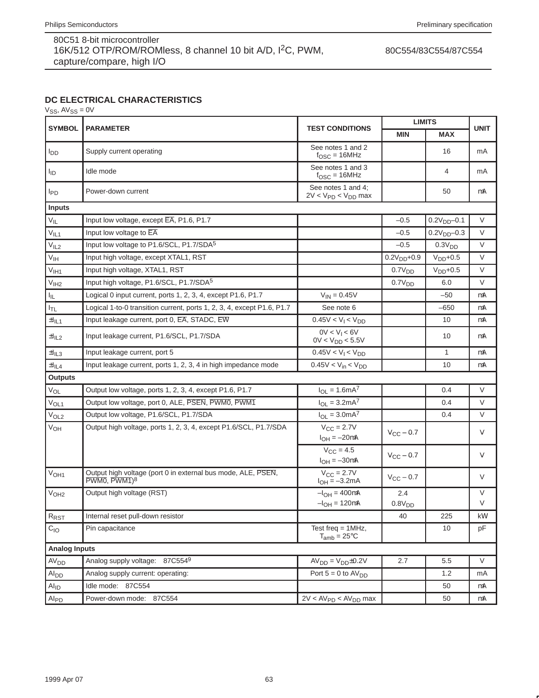80C554/83C554/87C554

# **DC ELECTRICAL CHARACTERISTICS**

 $V_{SS}$ ,  $AV_{SS} = 0V$ 

| <b>SYMBOL</b>               | <b>PARAMETER</b>                                                                         | <b>TEST CONDITIONS</b>                                | <b>MIN</b>            | <b>LIMITS</b><br><b>MAX</b><br>16<br>4 | <b>UNIT</b> |
|-----------------------------|------------------------------------------------------------------------------------------|-------------------------------------------------------|-----------------------|----------------------------------------|-------------|
| $I_{DD}$                    | Supply current operating                                                                 | See notes 1 and 2<br>$f_{\text{OSC}} = 16$ MHz        |                       |                                        | mA          |
| <b>I</b> ID                 | Idle mode                                                                                | See notes 1 and 3<br>$f_{\text{OSC}} = 16 \text{MHz}$ |                       |                                        | mA          |
| <b>IPD</b>                  | Power-down current                                                                       | See notes 1 and 4:<br>$2V < VPD < VDD$ max            |                       | 50                                     | μA          |
| Inputs                      |                                                                                          |                                                       |                       |                                        |             |
| $V_{IL}$                    | Input low voltage, except EA, P1.6, P1.7                                                 |                                                       | $-0.5$                | $0.2V_{DD} - 0.1$                      | V           |
| V <sub>IL1</sub>            | Input low voltage to EA                                                                  |                                                       | $-0.5$                | $0.2VDD-0.3$                           | V           |
| V <sub>IL2</sub>            | Input low voltage to P1.6/SCL, P1.7/SDA <sup>5</sup>                                     |                                                       | $-0.5$                | 0.3V <sub>DD</sub>                     | $\vee$      |
| V <sub>IH</sub>             | Input high voltage, except XTAL1, RST                                                    |                                                       | $0.2VDD+0.9$          | $VDD+0.5$                              | $\vee$      |
| V <sub>IH1</sub>            | Input high voltage, XTAL1, RST                                                           |                                                       | 0.7V <sub>DD</sub>    | $VDD+0.5$                              | V           |
| V <sub>IH2</sub>            | Input high voltage, P1.6/SCL, P1.7/SDA <sup>5</sup>                                      |                                                       | 0.7V <sub>DD</sub>    | 6.0                                    | $\vee$      |
| ΙL.                         | Logical 0 input current, ports 1, 2, 3, 4, except P1.6, P1.7                             | $V_{IN} = 0.45V$                                      |                       | $-50$                                  | μA          |
| $I_{TL}$                    | Logical 1-to-0 transition current, ports 1, 2, 3, 4, except P1.6, P1.7                   | See note 6                                            |                       | $-650$                                 | μA          |
| $\pm I_{\parallel L1}$      | Input leakage current, port 0, EA, STADC, EW                                             | $0.45V < V_1 < V_{DD}$                                |                       | 10                                     | μA          |
| $\pm I_{IL2}$               | Input leakage current, P1.6/SCL, P1.7/SDA                                                | $0V < V_1 < 6V$<br>$0V < V_{DD} < 5.5V$               |                       | 10                                     | μA          |
| $\pm I_{IL3}$               | Input leakage current, port 5                                                            | $0.45V < V1 < VDD$                                    |                       | $\mathbf{1}$                           | μA          |
| $\pm I_{\parallel L4}$      | Input leakage current, ports 1, 2, 3, 4 in high impedance mode                           | $0.45V < V_{in} < V_{DD}$                             |                       | 10                                     | μA          |
| <b>Outputs</b>              |                                                                                          |                                                       |                       |                                        |             |
| $\mathrm{V_{OL}}$           | Output low voltage, ports 1, 2, 3, 4, except P1.6, P1.7                                  | $I_{OL} = 1.6mA^7$                                    |                       | 0.4                                    | V           |
| V <sub>OL1</sub>            | Output low voltage, port 0, ALE, PSEN, PWM0, PWM1                                        | $I_{OL} = 3.2mA^7$                                    |                       | 0.4                                    | V           |
| V <sub>OL2</sub>            | Output low voltage, P1.6/SCL, P1.7/SDA                                                   | $I_{OL} = 3.0mA^{7}$                                  |                       | 0.4                                    | V           |
| V <sub>OH</sub>             | Output high voltage, ports 1, 2, 3, 4, except P1.6/SCL, P1.7/SDA                         | $V_{\rm CC}$ = 2.7V<br>$I_{OH} = -20 \mu A$           | $V_{\rm CC}$ – 0.7    |                                        | V           |
|                             |                                                                                          | $V_{CC} = 4.5$<br>$I_{OH} = -30 \mu A$                | $V_{\text{CC}}$ – 0.7 |                                        | V           |
| V <sub>OH1</sub>            | Output high voltage (port 0 in external bus mode, ALE, PSEN,<br>PWM0, PWM1) <sup>8</sup> | $V_{\text{CC}} = 2.7V$<br>$I_{OH} = -3.2mA$           | $V_{CC}$ – 0.7        |                                        | V           |
| V <sub>OH2</sub>            | Output high voltage (RST)                                                                | $-I_{OH} = 400 \mu A$                                 | 2.4                   |                                        | V           |
|                             |                                                                                          | $-I_{OH} = 120 \mu A$                                 | 0.8V <sub>DD</sub>    |                                        | V           |
| R <sub>RST</sub>            | Internal reset pull-down resistor                                                        |                                                       | 40                    | 225                                    | k $\Omega$  |
| $C_{IO}$                    | Pin capacitance                                                                          | Test freq = $1MHz$ ,<br>$T_{amb} = 25^{\circ}C$       |                       | 10                                     | pF          |
| <b>Analog Inputs</b>        |                                                                                          |                                                       |                       |                                        |             |
| AV <sub>DD</sub>            | Analog supply voltage: 87C5549                                                           | $AVDD = VDD \pm 0.2V$                                 | 2.7                   | 5.5                                    | V           |
| Alpp                        | Analog supply current: operating:                                                        | Port $5 = 0$ to $AV_{DD}$                             |                       | 1.2                                    | mA          |
| $\mathsf{Al}_{\mathsf{ID}}$ | Idle mode: 87C554                                                                        |                                                       |                       | 50                                     | μA          |
| Al <sub>PD</sub>            | Power-down mode: 87C554                                                                  | $2V < AVPD < AVDD$ max                                |                       | 50                                     | μA          |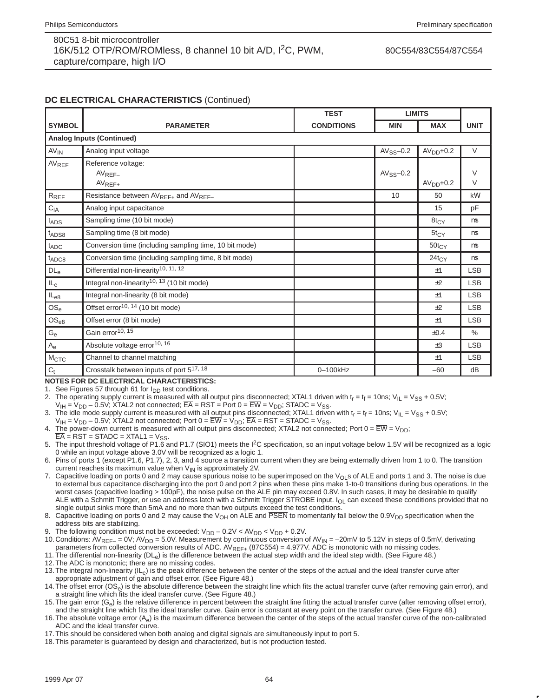80C554/83C554/87C554

## **DC ELECTRICAL CHARACTERISTICS** (Continued)

|                   |                                                              | <b>TEST</b>       |                | <b>LIMITS</b>     |             |
|-------------------|--------------------------------------------------------------|-------------------|----------------|-------------------|-------------|
| <b>SYMBOL</b>     | <b>PARAMETER</b>                                             | <b>CONDITIONS</b> | <b>MIN</b>     | <b>MAX</b>        | <b>UNIT</b> |
|                   | <b>Analog Inputs (Continued)</b>                             |                   |                |                   |             |
| $AV_{IN}$         | Analog input voltage                                         |                   | $AV_{SS}$ -0.2 | $AVDD+0.2$        | $\vee$      |
| AVREF             | Reference voltage:<br>$AV_{REF-}$                            |                   | $AV_{SS}$ -0.2 |                   | V           |
|                   | $AV_{REF+}$                                                  |                   |                | $AVDD+0.2$        | V           |
| $R_{REF}$         | Resistance between AV <sub>REF+</sub> and AV <sub>REF-</sub> |                   | 10             | 50                | $k\Omega$   |
| $C_{IA}$          | Analog input capacitance                                     |                   |                | 15                | pF          |
| t <sub>ADS</sub>  | Sampling time (10 bit mode)                                  |                   |                | $8t_{C}y$         | μs          |
| t <sub>ADS8</sub> | Sampling time (8 bit mode)                                   |                   |                | $5t_{CY}$         | μs          |
| $t_{ADC}$         | Conversion time (including sampling time, 10 bit mode)       |                   |                | $50t_{CY}$        | μs          |
| $t_{ADC8}$        | Conversion time (including sampling time, 8 bit mode)        |                   |                | 24t <sub>CY</sub> | μs          |
| DL <sub>e</sub>   | Differential non-linearity <sup>10, 11, 12</sup>             |                   |                | $+1$              | <b>LSB</b>  |
| $IL_e$            | Integral non-linearity <sup>10, 13</sup> (10 bit mode)       |                   |                | ±2                | <b>LSB</b>  |
| $IL_{e8}$         | Integral non-linearity (8 bit mode)                          |                   |                | $+1$              | <b>LSB</b>  |
| $OS_e$            | Offset error <sup>10, 14</sup> (10 bit mode)                 |                   |                | ±2                | <b>LSB</b>  |
| $OS_{e8}$         | Offset error (8 bit mode)                                    |                   |                | ±1                | <b>LSB</b>  |
| $G_{e}$           | Gain error <sup>10, 15</sup>                                 |                   |                | ±0.4              | %           |
| $A_{e}$           | Absolute voltage error <sup>10, 16</sup>                     |                   |                | $\pm 3$           | <b>LSB</b>  |
| M <sub>CTC</sub>  | Channel to channel matching                                  |                   |                | ±1                | <b>LSB</b>  |
| $\mathrm{C_{t}}$  | Crosstalk between inputs of port 517, 18                     | 0-100kHz          |                | $-60$             | dB          |

**NOTES FOR DC ELECTRICAL CHARACTERISTICS:**

1. See Figures 57 through 61 for I<sub>DD</sub> test conditions.

- 2. The operating supply current is measured with all output pins disconnected; XTAL1 driven with  $t_r = t_f = 10$ ns; V<sub>IL</sub> = V<sub>SS</sub> + 0.5V;  $V_{\text{IH}} = V_{\text{DD}} - 0.5V$ ; XTAL2 not connected;  $\overline{\text{EA}}$  = RST = Port 0 =  $\overline{\text{EW}}$  =  $V_{\text{DD}}$ ; STADC =  $V_{\text{SS}}$ .
- The idle mode supply current is measured with all output pins disconnected; XTAL1 driven with  $t_r = t_f = 10$ ns; V<sub>IL</sub> = V<sub>SS</sub> + 0.5V;

 $V_{IH} = V_{DD} - 0.5V$ ; XTAL2 not connected; Port  $0 = \overline{EW} = V_{DD}$ ;  $\overline{EA} = RST = STADC = V_{SS}$ .

4. The power-down current is measured with all output pins disconnected; XTAL2 not connected; Port  $0 = \overline{EW} = V_{DD}$ ;

 $\overline{EA}$  = RST = STADC = XTAL1 =  $V_{SS}$ . 5. The input threshold voltage of P1.6 and P1.7 (SIO1) meets the I2C specification, so an input voltage below 1.5V will be recognized as a logic 0 while an input voltage above 3.0V will be recognized as a logic 1.

6. Pins of ports 1 (except P1.6, P1.7), 2, 3, and 4 source a transition current when they are being externally driven from 1 to 0. The transition current reaches its maximum value when  $V_{IN}$  is approximately 2V.

- 7. Capacitive loading on ports 0 and 2 may cause spurious noise to be superimposed on the V<sub>OL</sub>s of ALE and ports 1 and 3. The noise is due to external bus capacitance discharging into the port 0 and port 2 pins when these pins make 1-to-0 transitions during bus operations. In the worst cases (capacitive loading > 100pF), the noise pulse on the ALE pin may exceed 0.8V. In such cases, it may be desirable to qualify ALE with a Schmitt Trigger, or use an address latch with a Schmitt Trigger STROBE input. I<sub>OL</sub> can exceed these conditions provided that no single output sinks more than 5mA and no more than two outputs exceed the test conditions.
- 8. Capacitive loading on ports 0 and 2 may cause the V<sub>OH</sub> on ALE and PSEN to momentarily fall below the 0.9V<sub>DD</sub> specification when the address bits are stabilizing.
- 9. The following condition must not be exceeded:  $V_{DD} 0.2V < AV_{DD} < V_{DD} + 0.2V$ .
- 10. Conditions:  $AV_{RFF-} = 0V$ ;  $AV_{DD} = 5.0V$ . Measurement by continuous conversion of  $AV_{IN} = -20mV$  to 5.12V in steps of 0.5mV, derivating parameters from collected conversion results of ADC. AV<sub>REF+</sub> (87C554) = 4.977V. ADC is monotonic with no missing codes.

11. The differential non-linearity (DL<sub>e</sub>) is the difference between the actual step width and the ideal step width. (See Figure 48.)

- 12.The ADC is monotonic; there are no missing codes.
- 13. The integral non-linearity  $(IL_e)$  is the peak difference between the center of the steps of the actual and the ideal transfer curve after appropriate adjustment of gain and offset error. (See Figure 48.)
- 14. The offset error (OS<sub>e</sub>) is the absolute difference between the straight line which fits the actual transfer curve (after removing gain error), and a straight line which fits the ideal transfer curve. (See Figure 48.)
- 15. The gain error  $(G<sub>e</sub>)$  is the relative difference in percent between the straight line fitting the actual transfer curve (after removing offset error), and the straight line which fits the ideal transfer curve. Gain error is constant at every point on the transfer curve. (See Figure 48.)
- 16. The absolute voltage error (A<sub>e</sub>) is the maximum difference between the center of the steps of the actual transfer curve of the non-calibrated ADC and the ideal transfer curve.
- 17.This should be considered when both analog and digital signals are simultaneously input to port 5.
- 18.This parameter is guaranteed by design and characterized, but is not production tested.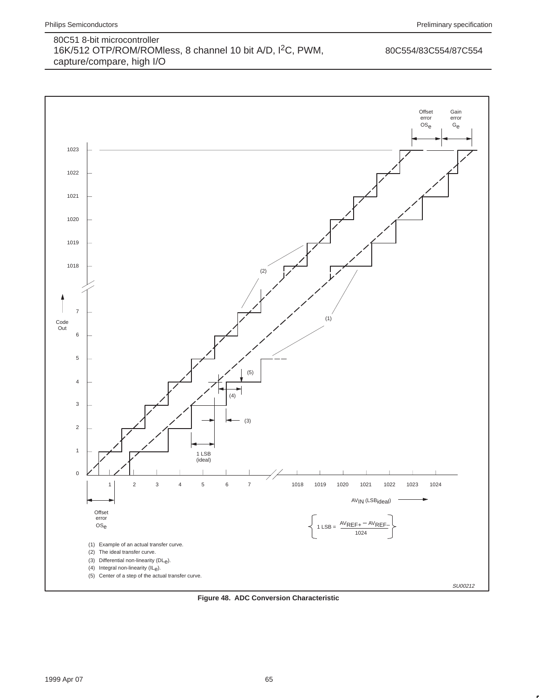

**Figure 48. ADC Conversion Characteristic**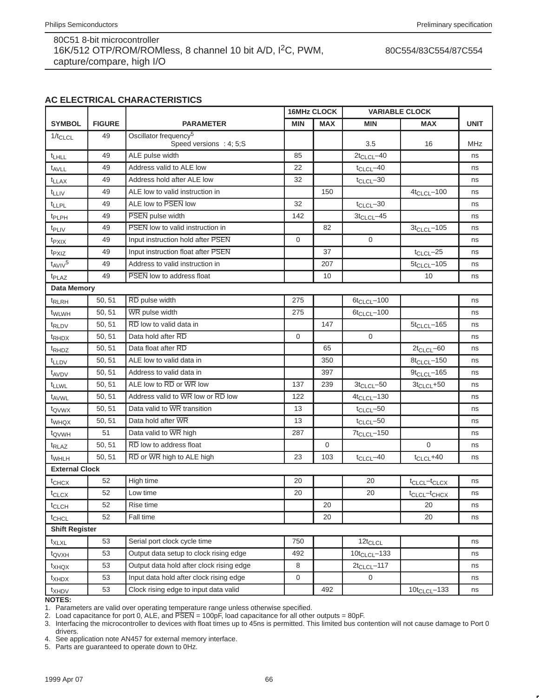80C554/83C554/87C554

# **AC ELECTRICAL CHARACTERISTICS**

|                       |               |                                                              |              | <b>16MHz CLOCK</b> |                    | <b>VARIABLE CLOCK</b>                |             |
|-----------------------|---------------|--------------------------------------------------------------|--------------|--------------------|--------------------|--------------------------------------|-------------|
| <b>SYMBOL</b>         | <b>FIGURE</b> | <b>PARAMETER</b>                                             | <b>MIN</b>   | <b>MAX</b>         | MIN                | <b>MAX</b>                           | <b>UNIT</b> |
| $1/t_{CLCL}$          | 49            | Oscillator frequency <sup>5</sup><br>Speed versions : 4; 5;S |              |                    | 3.5                | 16                                   | <b>MHz</b>  |
| t <sub>LHLL</sub>     | 49            | ALE pulse width                                              | 85           |                    | $2t_{CLCL} - 40$   |                                      | ns          |
| t <sub>AVLL</sub>     | 49            | Address valid to ALE low                                     | 22           |                    | $t_{CLCL}$ -40     |                                      | ns          |
| t <sub>LLAX</sub>     | 49            | Address hold after ALE low                                   | 32           |                    | $t_{CLCL}$ -30     |                                      | ns          |
| t <sub>LLIV</sub>     | 49            | ALE low to valid instruction in                              |              | 150                |                    | $4t_{CLCL} - 100$                    | ns          |
| <b>t</b> LLPL         | 49            | ALE low to PSEN low                                          | 32           |                    | $t_{CLCL}$ -30     |                                      | ns          |
| t <sub>PLPH</sub>     | 49            | <b>PSEN</b> pulse width                                      | 142          |                    | $3t_{CLCL} - 45$   |                                      | ns          |
| t <sub>PLIV</sub>     | 49            | PSEN low to valid instruction in                             |              | 82                 |                    | $3t_{CLCL} - 105$                    | ns          |
| $t_{PXIX}$            | 49            | Input instruction hold after PSEN                            | $\mathbf{0}$ |                    | $\mathbf 0$        |                                      | ns          |
| t <sub>PXIZ</sub>     | 49            | Input instruction float after PSEN                           |              | 37                 |                    | $t_{CLCL}$ -25                       | ns          |
| $t_{AVIV}5$           | 49            | Address to valid instruction in                              |              | 207                |                    | $5t_{CLCL} - 105$                    | ns          |
| t <sub>PLAZ</sub>     | 49            | <b>PSEN</b> low to address float                             |              | 10                 |                    | 10                                   | ns          |
| <b>Data Memory</b>    |               |                                                              |              |                    |                    |                                      |             |
| <sup>t</sup> RLRH     | 50, 51        | RD pulse width                                               | 275          |                    | $6t_{CLCL} - 100$  |                                      | ns          |
| t <sub>WLWH</sub>     | 50, 51        | WR pulse width                                               | 275          |                    | $6t_{CLCL} - 100$  |                                      | ns          |
| t <sub>RLDV</sub>     | 50, 51        | $\overline{RD}$ low to valid data in                         |              | 147                |                    | $5t_{CLCL} - 165$                    | ns          |
| t <sub>RHDX</sub>     | 50, 51        | Data hold after RD                                           | $\mathbf 0$  |                    | $\mathbf 0$        |                                      | ns          |
| t <sub>RHDZ</sub>     | 50, 51        | Data float after RD                                          |              | 65                 |                    | $2t_{CLCL} - 60$                     | ns          |
| t <sub>LLDV</sub>     | 50, 51        | ALE low to valid data in                                     |              | 350                |                    | $8t_{CLCL} - 150$                    | ns          |
| t <sub>AVDV</sub>     | 50, 51        | Address to valid data in                                     |              | 397                |                    | $9t_{CLCL} - 165$                    | ns          |
| t <sub>LLWL</sub>     | 50, 51        | ALE low to RD or WR low                                      | 137          | 239                | $3t_{CLCL} - 50$   | $3t_{CLCL} + 50$                     | ns          |
| t <sub>AVWL</sub>     | 50, 51        | Address valid to WR low or RD low                            | 122          |                    | $4t_{CLCL} - 130$  |                                      | ns          |
| t <sub>QVWX</sub>     | 50, 51        | Data valid to WR transition                                  | 13           |                    | $t_{CLCL}$ -50     |                                      | ns          |
| twhqx                 | 50, 51        | Data hold after WR                                           | 13           |                    | $t_{CLCL}$ -50     |                                      | ns          |
| t <sub>QVWH</sub>     | 51            | Data valid to WR high                                        | 287          |                    | $7t_{CLCL} - 150$  |                                      | ns          |
| t <sub>RLAZ</sub>     | 50, 51        | RD low to address float                                      |              | $\mathbf 0$        |                    | $\mathbf{0}$                         | ns          |
| t <sub>WHLH</sub>     | 50, 51        | RD or WR high to ALE high                                    | 23           | 103                | $t_{CLCL}$ -40     | $t_{CLCL} + 40$                      | ns          |
| <b>External Clock</b> |               |                                                              |              |                    |                    |                                      |             |
| t <sub>CHCX</sub>     | 52            | High time                                                    | 20           |                    | 20                 | t <sub>CLCL</sub> -t <sub>CLCX</sub> | ns          |
| $t_{CLCX}$            | 52            | Low time                                                     | 20           |                    | 20                 | t <sub>CLCL</sub> -t <sub>CHCX</sub> | ns          |
| t <sub>CLCH</sub>     | 52            | Rise time                                                    |              | 20                 |                    | 20                                   | ns          |
| <sup>t</sup> CHCL     | 52            | Fall time                                                    |              | 20                 |                    | 20                                   | ns          |
| <b>Shift Register</b> |               |                                                              |              |                    |                    |                                      |             |
| $t_{XLXL}$            | 53            | Serial port clock cycle time                                 | 750          |                    | $12t_{CLCL}$       |                                      | ns          |
| t <sub>QVXH</sub>     | 53            | Output data setup to clock rising edge                       | 492          |                    | $10t_{CLCL} - 133$ |                                      | ns          |
| t <sub>XHQX</sub>     | 53            | Output data hold after clock rising edge                     | 8            |                    | $2t_{CLCL} - 117$  |                                      | ns          |
| t <sub>XHDX</sub>     | 53            | Input data hold after clock rising edge                      | 0            |                    | 0                  |                                      | ns          |
| $t_{XHDV}$            | 53            | Clock rising edge to input data valid                        |              | 492                |                    | $10t_{CLCL} - 133$                   | ns          |

**NOTES:**

1. Parameters are valid over operating temperature range unless otherwise specified.

2. Load capacitance for port 0, ALE, and  $\overline{\text{PSEN}} = 100 \text{pF}$ , load capacitance for all other outputs = 80pF.

3. Interfacing the microcontroller to devices with float times up to 45ns is permitted. This limited bus contention will not cause damage to Port 0 drivers.

4. See application note AN457 for external memory interface.

5. Parts are guaranteed to operate down to 0Hz.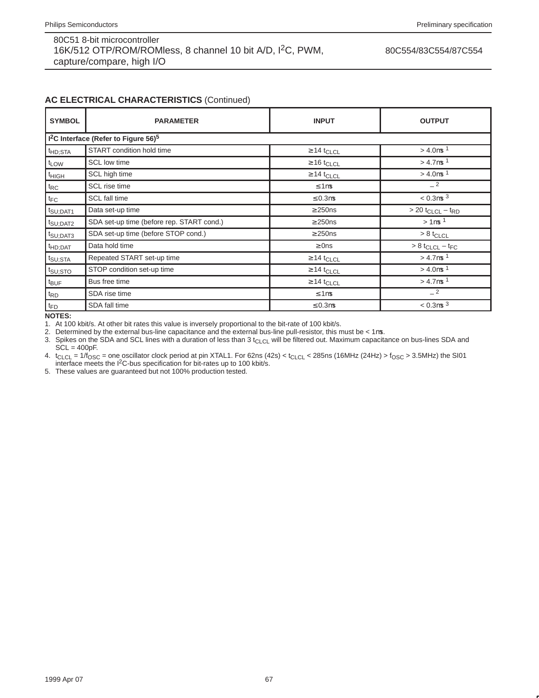#### 80C554/83C554/87C554

## **AC ELECTRICAL CHARACTERISTICS** (Continued)

| <b>SYMBOL</b>                                                | <b>PARAMETER</b>                          | <b>INPUT</b>                | <b>OUTPUT</b>                                |
|--------------------------------------------------------------|-------------------------------------------|-----------------------------|----------------------------------------------|
| 1 <sup>2</sup> C Interface (Refer to Figure 56) <sup>5</sup> |                                           |                             |                                              |
| t <sub>HD;STA</sub>                                          | START condition hold time                 | $\geq$ 14 t <sub>CLCL</sub> | $> 4.0 \mu s$ <sup>1</sup>                   |
| t <sub>LOW</sub>                                             | SCL low time                              | $\geq 16$ t <sub>CLCL</sub> | $> 4.7 \mu s$ <sup>1</sup>                   |
| <sup>t</sup> HIGH                                            | SCL high time                             | $\geq$ 14 t <sub>CLCL</sub> | $> 4.0 \mu s$ <sup>1</sup>                   |
| $t_{RC}$                                                     | SCL rise time                             | $\leq 1 \mu s$              | $-2$                                         |
| $t_{FC}$                                                     | SCL fall time                             | $\leq 0.3 \mu s$            | $< 0.3 \mu s^{3}$                            |
| $t_{\text{SU;DATA}}$                                         | Data set-up time                          | $\geq$ 250ns                | $> 20$ t <sub>CLCL</sub> $-$ t <sub>RD</sub> |
| $t_{\text{SU;DATA}}$                                         | SDA set-up time (before rep. START cond.) | $\geq$ 250ns                | $> 1 \mu s$ <sup>1</sup>                     |
| t <sub>SU;DAT3</sub>                                         | SDA set-up time (before STOP cond.)       | $\geq$ 250ns                | $> 8$ t <sub>CLCL</sub>                      |
| $t_{HD;DAT}$                                                 | Data hold time                            | $\geq$ 0ns                  | $> 8$ t <sub>CLCL</sub> – t <sub>FC</sub>    |
| t <sub>SU;STA</sub>                                          | Repeated START set-up time                | $\geq$ 14 t <sub>CLCL</sub> | $> 4.7 \mu s$ <sup>1</sup>                   |
| $t_{\text{SU;STO}}$                                          | STOP condition set-up time                | $\geq$ 14 t <sub>CLCL</sub> | $> 4.0 \mu s$ <sup>1</sup>                   |
| $t_{\text{BUF}}$                                             | Bus free time                             | $\geq$ 14 t <sub>CLCL</sub> | $> 4.7 \mu s$ <sup>1</sup>                   |
| $t_{RD}$                                                     | SDA rise time                             | $\leq 1 \mu s$              | $-2$                                         |
| $t_{FD}$                                                     | SDA fall time                             | $\leq 0.3$ us               | $< 0.3 \mu s^{3}$                            |

**NOTES:**

1. At 100 kbit/s. At other bit rates this value is inversely proportional to the bit-rate of 100 kbit/s.

2. Determined by the external bus-line capacitance and the external bus-line pull-resistor, this must be < 1µs.

3. Spikes on the SDA and SCL lines with a duration of less than  $3t_{CLCL}$  will be filtered out. Maximum capacitance on bus-lines SDA and  $SCL = 400pF$ .

4.  $t_{CLCL} = 1/f_{OSC} =$  one oscillator clock period at pin XTAL1. For 62ns (42s) <  $t_{CLCL}$  < 285ns (16MHz (24Hz) >  $f_{OSC}$  > 3.5MHz) the SI01 interface meets the I<sup>2</sup>C-bus specification for bit-rates up to 100 kbit/s.

5. These values are guaranteed but not 100% production tested.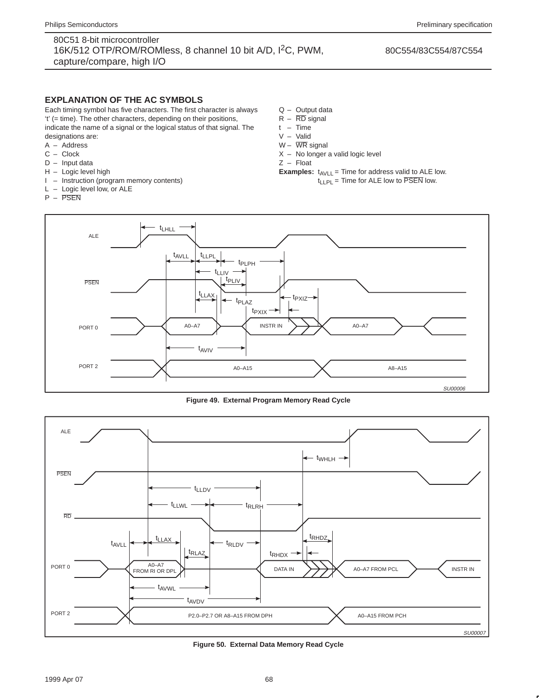### **EXPLANATION OF THE AC SYMBOLS**

Each timing symbol has five characters. The first character is always 't' (= time). The other characters, depending on their positions, indicate the name of a signal or the logical status of that signal. The designations are:

- A Address
- C Clock
- D Input data
- H Logic level high
- I Instruction (program memory contents)
- L Logic level low, or ALE
- P PSEN
- Q Output data
- $R \overline{RD}$  signal
- t Time
- V Valid
- $W \overline{WR}$  signal
- X No longer a valid logic level

Z – Float

**Examples:**  $t_{AVLL}$  = Time for address valid to ALE low.  $t_{LLPL}$  = Time for ALE low to  $\overline{PSEN}$  low.



**Figure 49. External Program Memory Read Cycle**



**Figure 50. External Data Memory Read Cycle**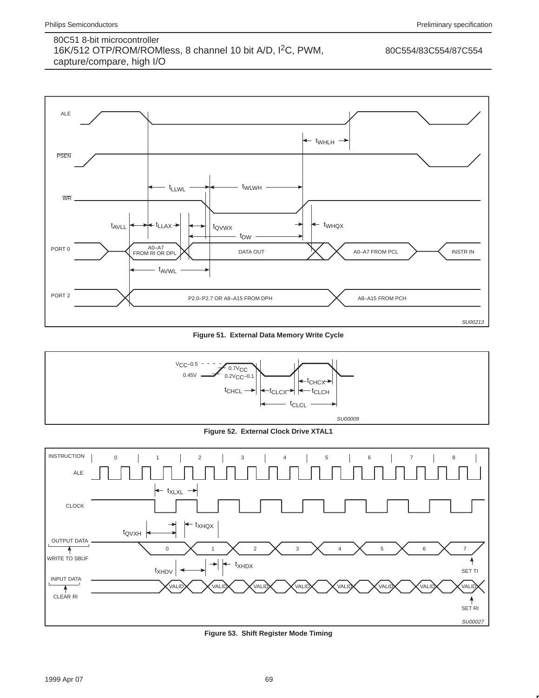

**Figure 51. External Data Memory Write Cycle**



**Figure 52. External Clock Drive XTAL1**



**Figure 53. Shift Register Mode Timing**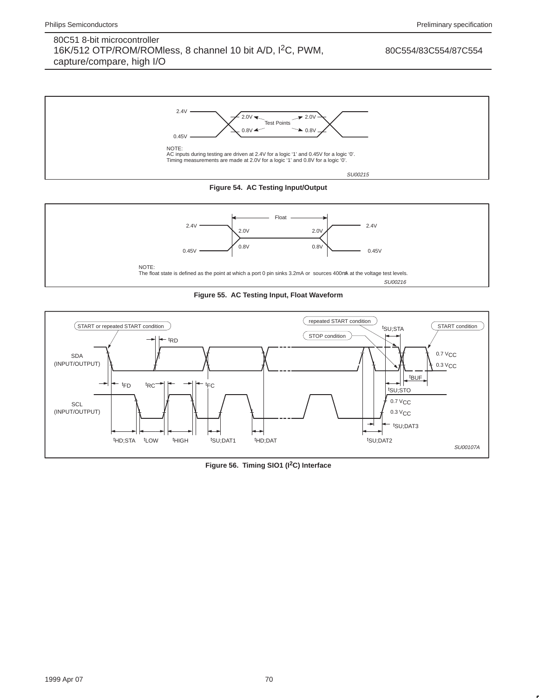





**Figure 55. AC Testing Input, Float Waveform**



**Figure 56. Timing SIO1 (I2C) Interface**

1999 Apr 07 70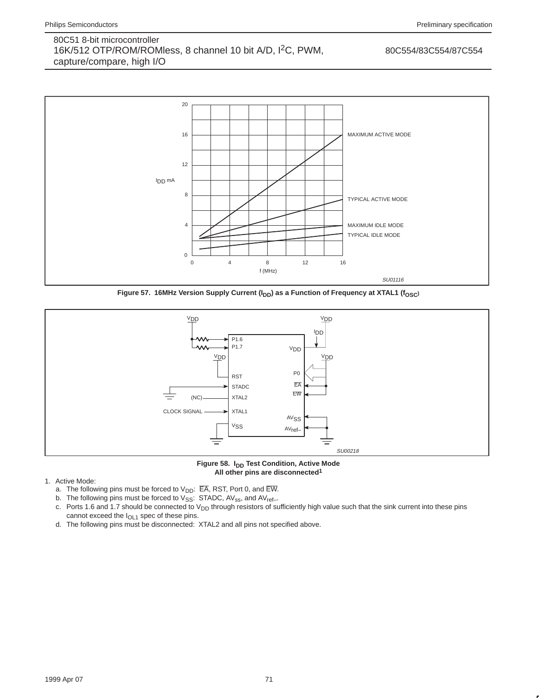

Figure 57. 16MHz Version Supply Current (I<sub>DD</sub>) as a Function of Frequency at XTAL1 (f<sub>OSC</sub>)



Figure 58. I<sub>DD</sub> Test Condition, Active Mode **All other pins are disconnected1**

- 1. Active Mode:
	- a. The following pins must be forced to  $V_{DD}$ :  $\overline{EA}$ , RST, Port 0, and  $\overline{EW}$ .
	- b. The following pins must be forced to  $\mathrm{V}_{\mathrm{SS}}$ : STADC, AV<sub>ss</sub>, and AV<sub>ref-</sub>.
	- c. Ports 1.6 and 1.7 should be connected to V<sub>DD</sub> through resistors of sufficiently high value such that the sink current into these pins cannot exceed the  $I<sub>OL1</sub>$  spec of these pins.
	- d. The following pins must be disconnected: XTAL2 and all pins not specified above.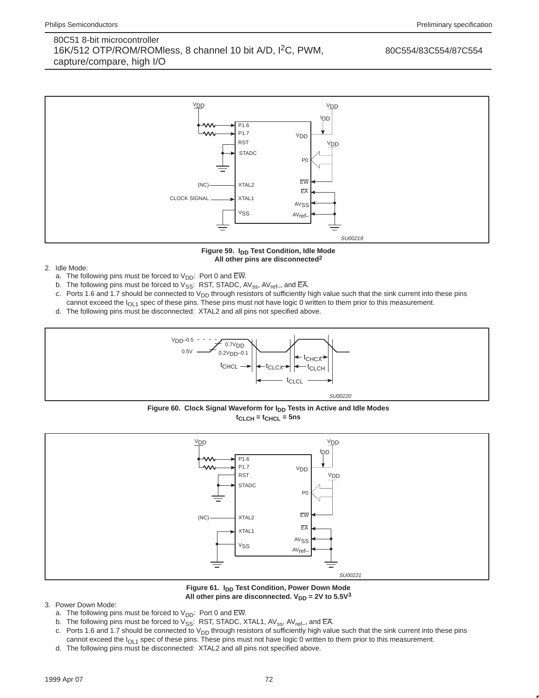

Figure 59. I<sub>DD</sub> Test Condition, Idle Mode **All other pins are disconnected2**

- 2. Idle Mode:
	- a. The following pins must be forced to  $V_{DD}$ : Port 0 and  $\overline{EW}$ .
	- b. The following pins must be forced to  $V_{SS}$ : RST, STADC, AV<sub>ss</sub>, AV<sub>ref-</sub>, and  $\overline{EA}$ .
	- c. Ports 1.6 and 1.7 should be connected to V<sub>DD</sub> through resistors of sufficiently high value such that the sink current into these pins cannot exceed the  $I<sub>OL1</sub>$  spec of these pins. These pins must not have logic 0 written to them prior to this measurement.
	- d. The following pins must be disconnected: XTAL2 and all pins not specified above.



Figure 60. Clock Signal Waveform for I<sub>DD</sub> Tests in Active and Idle Modes **tCLCH = tCHCL = 5ns**



Figure 61. I<sub>DD</sub> Test Condition, Power Down Mode All other pins are disconnected.  $V_{DD} = 2V$  to  $5.5V^3$ 

- 3. Power Down Mode:
	- a. The following pins must be forced to  $V_{DD}$ : Port 0 and  $\overline{\rm EW}$ .
	- b. The following pins must be forced to  $V_{SS}$ : RST, STADC, XTAL1, AV<sub>ss</sub>, AV<sub>ref-</sub>, and EA.
	- c. Ports 1.6 and 1.7 should be connected to V<sub>DD</sub> through resistors of sufficiently high value such that the sink current into these pins cannot exceed the I<sub>OL1</sub> spec of these pins. These pins must not have logic 0 written to them prior to this measurement.
	- d. The following pins must be disconnected: XTAL2 and all pins not specified above.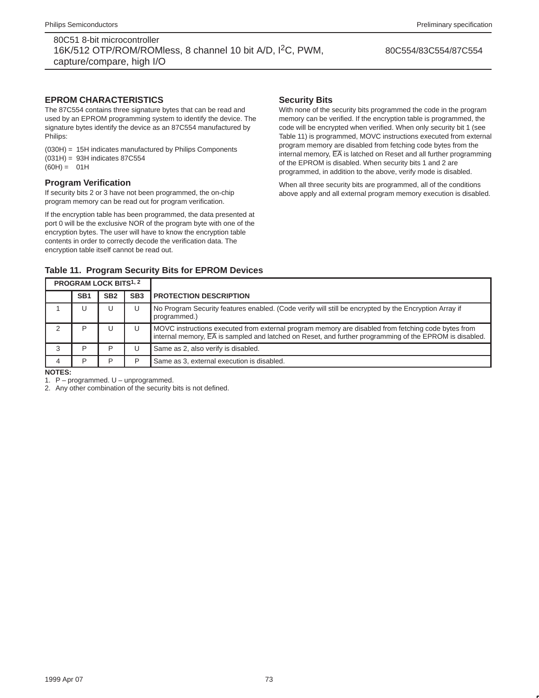#### 80C554/83C554/87C554

## **EPROM CHARACTERISTICS**

The 87C554 contains three signature bytes that can be read and used by an EPROM programming system to identify the device. The signature bytes identify the device as an 87C554 manufactured by Philips:

(030H) = 15H indicates manufactured by Philips Components (031H) = 93H indicates 87C554  $(60H) = 01H$ 

## **Program Verification**

If security bits 2 or 3 have not been programmed, the on-chip program memory can be read out for program verification.

If the encryption table has been programmed, the data presented at port 0 will be the exclusive NOR of the program byte with one of the encryption bytes. The user will have to know the encryption table contents in order to correctly decode the verification data. The encryption table itself cannot be read out.

**Table 11. Program Security Bits for EPROM Devices**

### **Security Bits**

With none of the security bits programmed the code in the program memory can be verified. If the encryption table is programmed, the code will be encrypted when verified. When only security bit 1 (see Table 11) is programmed, MOVC instructions executed from external program memory are disabled from fetching code bytes from the internal memory,  $\overline{EA}$  is latched on Reset and all further programming of the EPROM is disabled. When security bits 1 and 2 are programmed, in addition to the above, verify mode is disabled.

When all three security bits are programmed, all of the conditions above apply and all external program memory execution is disabled.

| <b>PROGRAM LOCK BITS1, 2</b> |                 |                 |                 |                                                                                                                                                                                                                           |
|------------------------------|-----------------|-----------------|-----------------|---------------------------------------------------------------------------------------------------------------------------------------------------------------------------------------------------------------------------|
|                              | SB <sub>1</sub> | SB <sub>2</sub> | SB <sub>3</sub> | <b>PROTECTION DESCRIPTION</b>                                                                                                                                                                                             |
|                              | U               | U               |                 | No Program Security features enabled. (Code verify will still be encrypted by the Encryption Array if<br>programmed.)                                                                                                     |
|                              | P               | U               |                 | MOVC instructions executed from external program memory are disabled from fetching code bytes from<br>internal memory, $\overline{EA}$ is sampled and latched on Reset, and further programming of the EPROM is disabled. |
| 3                            | P               | ח               |                 | Same as 2, also verify is disabled.                                                                                                                                                                                       |
|                              | P               | רו              |                 | Same as 3, external execution is disabled.                                                                                                                                                                                |
| $\cdots$                     |                 |                 |                 |                                                                                                                                                                                                                           |

#### **NOTES:**

1. P – programmed. U – unprogrammed.

2. Any other combination of the security bits is not defined.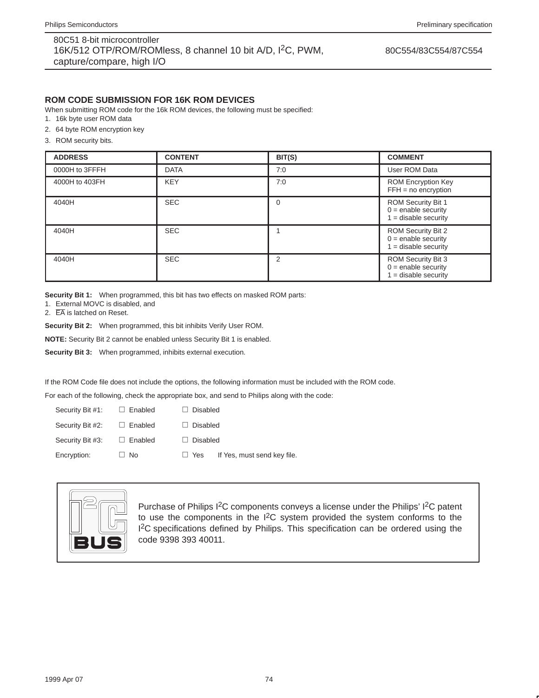## **ROM CODE SUBMISSION FOR 16K ROM DEVICES**

When submitting ROM code for the 16k ROM devices, the following must be specified:

- 1. 16k byte user ROM data
- 2. 64 byte ROM encryption key

3. ROM security bits.

| <b>ADDRESS</b> | <b>CONTENT</b> | BIT(S) | <b>COMMENT</b>                                                             |
|----------------|----------------|--------|----------------------------------------------------------------------------|
| 0000H to 3FFFH | <b>DATA</b>    | 7:0    | User ROM Data                                                              |
| 4000H to 403FH | <b>KEY</b>     | 7:0    | <b>ROM Encryption Key</b><br>$FFH = no encryption$                         |
| 4040H          | <b>SEC</b>     | 0      | ROM Security Bit 1<br>$0 =$ enable security<br>$1 =$ disable security      |
| 4040H          | <b>SEC</b>     |        | ROM Security Bit 2<br>$0 =$ enable security<br>$1 =$ disable security      |
| 4040H          | <b>SEC</b>     | 2      | <b>ROM Security Bit 3</b><br>$0 =$ enable security<br>$=$ disable security |

**Security Bit 1:** When programmed, this bit has two effects on masked ROM parts:

1. External MOVC is disabled, and

2. EA is latched on Reset.

**Security Bit 2:** When programmed, this bit inhibits Verify User ROM.

**NOTE:** Security Bit 2 cannot be enabled unless Security Bit 1 is enabled.

**Security Bit 3:** When programmed, inhibits external execution.

If the ROM Code file does not include the options, the following information must be included with the ROM code.

For each of the following, check the appropriate box, and send to Philips along with the code:<br>Security Bit  $\#1$ :  $\Box$  Enabled  $\Box$  Disabled

| Security Bit #1: | $\Box$ Enabled | <b>Disabled</b>                           |
|------------------|----------------|-------------------------------------------|
| Security Bit #2: | $\Box$ Enabled | <b>Disabled</b>                           |
| Security Bit #3: | $\Box$ Enabled | <b>Disabled</b>                           |
| Encryption:      | $\Box$ No      | If Yes, must send key file.<br>$\Box$ Yes |
|                  |                |                                           |



Purchase of Philips I2C components conveys a license under the Philips' I2C patent to use the components in the  $1^2C$  system provided the system conforms to the <sup>12</sup>C specifications defined by Philips. This specification can be ordered using the code 9398 393 40011.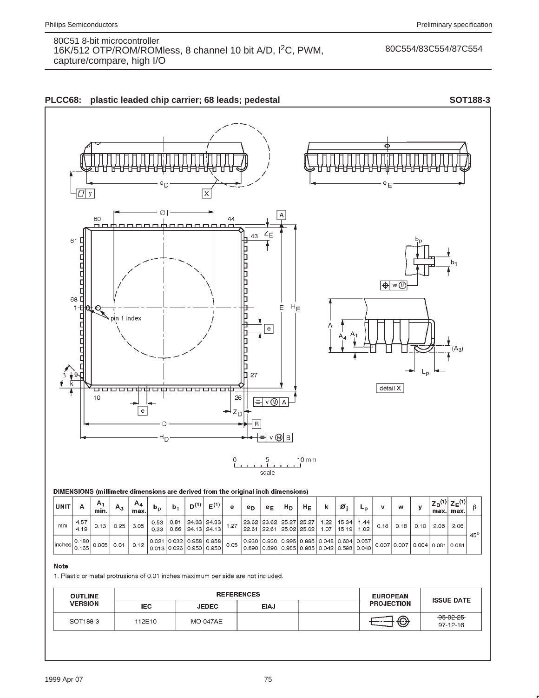## 80C554/83C554/87C554



## **Note**

1. Plastic or metal protrusions of 0.01 inches maximum per side are not included.

| <b>OUTLINE</b> | <b>REFERENCES</b> |                 |             |  | <b>EUROPEAN</b>   |                         |
|----------------|-------------------|-----------------|-------------|--|-------------------|-------------------------|
| <b>VERSION</b> | <b>IEC</b>        | <b>JEDEC</b>    | <b>EIAJ</b> |  | <b>PROJECTION</b> | <b>ISSUE DATE</b>       |
| SOT188-3       | 112E10            | <b>MO-047AE</b> |             |  | ⊕                 | $-95-02-25$<br>97-12-16 |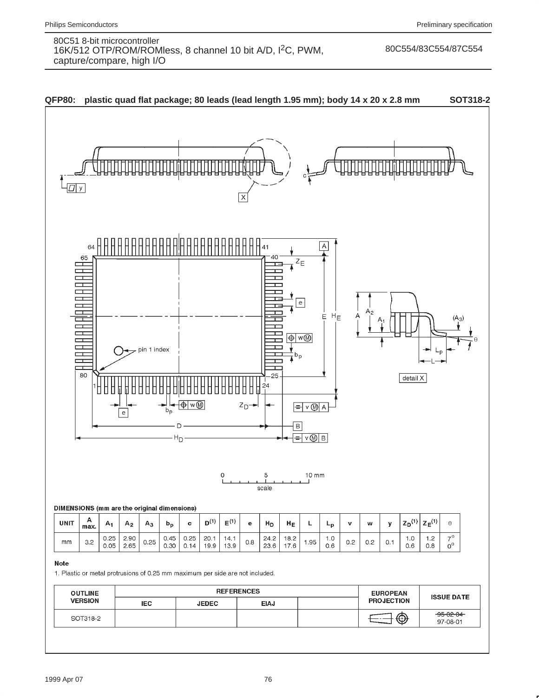#### 80C554/83C554/87C554

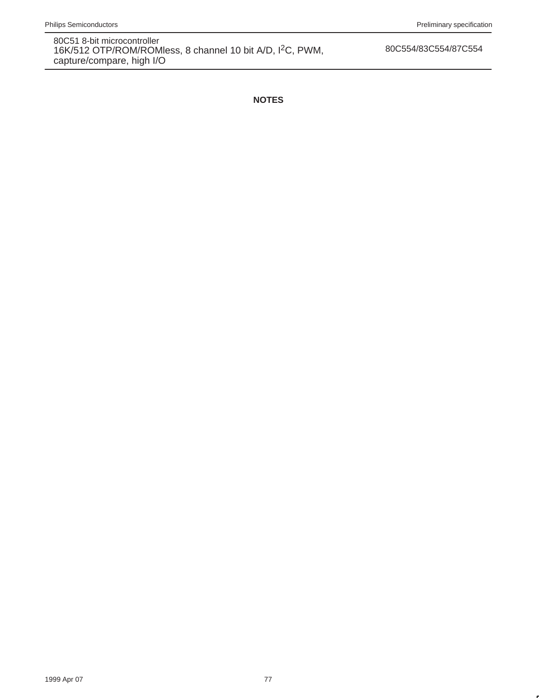80C554/83C554/87C554

**NOTES**